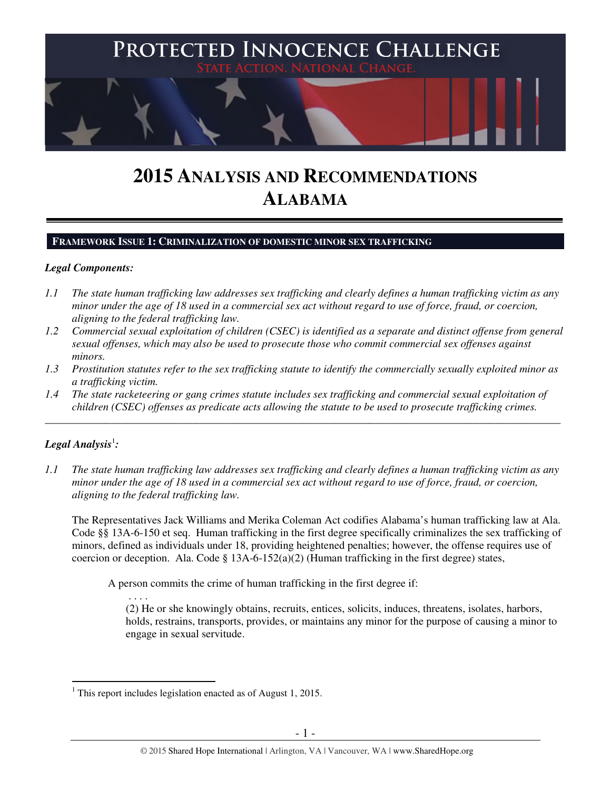

# **2015 ANALYSIS AND RECOMMENDATIONS ALABAMA**

# **FRAMEWORK ISSUE 1: CRIMINALIZATION OF DOMESTIC MINOR SEX TRAFFICKING**

# *Legal Components:*

- *1.1 The state human trafficking law addresses sex trafficking and clearly defines a human trafficking victim as any minor under the age of 18 used in a commercial sex act without regard to use of force, fraud, or coercion, aligning to the federal trafficking law.*
- *1.2 Commercial sexual exploitation of children (CSEC) is identified as a separate and distinct offense from general sexual offenses, which may also be used to prosecute those who commit commercial sex offenses against minors.*
- *1.3 Prostitution statutes refer to the sex trafficking statute to identify the commercially sexually exploited minor as a trafficking victim.*
- *1.4 The state racketeering or gang crimes statute includes sex trafficking and commercial sexual exploitation of children (CSEC) offenses as predicate acts allowing the statute to be used to prosecute trafficking crimes.*

\_\_\_\_\_\_\_\_\_\_\_\_\_\_\_\_\_\_\_\_\_\_\_\_\_\_\_\_\_\_\_\_\_\_\_\_\_\_\_\_\_\_\_\_\_\_\_\_\_\_\_\_\_\_\_\_\_\_\_\_\_\_\_\_\_\_\_\_\_\_\_\_\_\_\_\_\_\_\_\_\_\_\_\_\_\_\_\_\_\_\_\_\_\_

# $\bm{\mathit{Legal\, Analysis^1}}$ :

*1.1 The state human trafficking law addresses sex trafficking and clearly defines a human trafficking victim as any minor under the age of 18 used in a commercial sex act without regard to use of force, fraud, or coercion, aligning to the federal trafficking law.* 

The Representatives Jack Williams and Merika Coleman Act codifies Alabama's human trafficking law at Ala. Code §§ 13A-6-150 et seq. Human trafficking in the first degree specifically criminalizes the sex trafficking of minors, defined as individuals under 18, providing heightened penalties; however, the offense requires use of coercion or deception. Ala. Code § 13A-6-152(a)(2) (Human trafficking in the first degree) states,

A person commits the crime of human trafficking in the first degree if:

 . . . . (2) He or she knowingly obtains, recruits, entices, solicits, induces, threatens, isolates, harbors, holds, restrains, transports, provides, or maintains any minor for the purpose of causing a minor to engage in sexual servitude.

 $\overline{a}$ <sup>1</sup> This report includes legislation enacted as of August 1, 2015.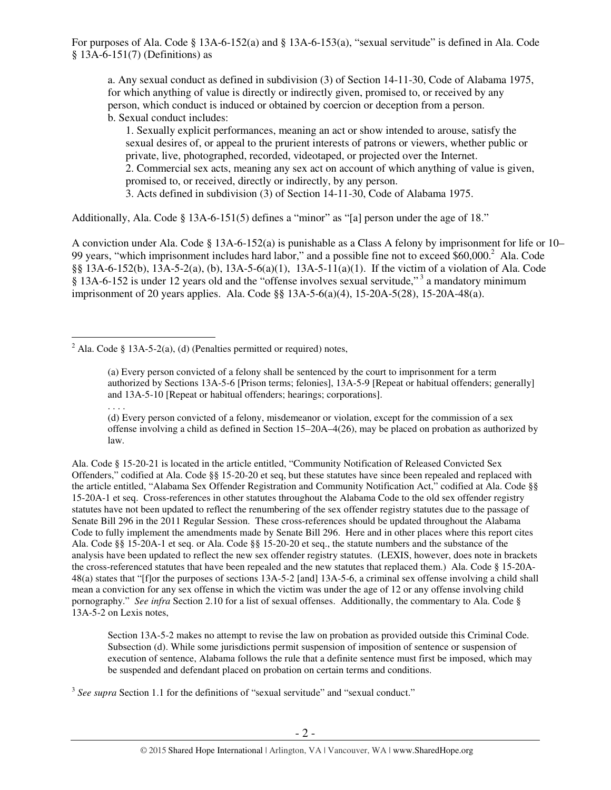a. Any sexual conduct as defined in subdivision (3) of Section 14-11-30, Code of Alabama 1975, for which anything of value is directly or indirectly given, promised to, or received by any person, which conduct is induced or obtained by coercion or deception from a person. b. Sexual conduct includes:

1. Sexually explicit performances, meaning an act or show intended to arouse, satisfy the sexual desires of, or appeal to the prurient interests of patrons or viewers, whether public or private, live, photographed, recorded, videotaped, or projected over the Internet. 2. Commercial sex acts, meaning any sex act on account of which anything of value is given, promised to, or received, directly or indirectly, by any person. 3. Acts defined in subdivision (3) of Section 14-11-30, Code of Alabama 1975.

Additionally, Ala. Code § 13A-6-151(5) defines a "minor" as "[a] person under the age of 18."

A conviction under Ala. Code § 13A-6-152(a) is punishable as a Class A felony by imprisonment for life or 10– 99 years, "which imprisonment includes hard labor," and a possible fine not to exceed \$60,000.<sup>2</sup> Ala. Code §§ 13A-6-152(b), 13A-5-2(a), (b), 13A-5-6(a)(1), 13A-5-11(a)(1). If the victim of a violation of Ala. Code § 13A-6-152 is under 12 years old and the "offense involves sexual servitude,"<sup>3</sup> a mandatory minimum imprisonment of 20 years applies. Ala. Code §§ 13A-5-6(a)(4), 15-20A-5(28), 15-20A-48(a).

 $\overline{a}$ <sup>2</sup> Ala. Code § 13A-5-2(a), (d) (Penalties permitted or required) notes,

. . . .

(d) Every person convicted of a felony, misdemeanor or violation, except for the commission of a sex offense involving a child as defined in Section 15–20A–4(26), may be placed on probation as authorized by law.

Ala. Code § 15-20-21 is located in the article entitled, "Community Notification of Released Convicted Sex Offenders," codified at Ala. Code §§ 15-20-20 et seq, but these statutes have since been repealed and replaced with the article entitled, "Alabama Sex Offender Registration and Community Notification Act," codified at Ala. Code §§ 15-20A-1 et seq. Cross-references in other statutes throughout the Alabama Code to the old sex offender registry statutes have not been updated to reflect the renumbering of the sex offender registry statutes due to the passage of Senate Bill 296 in the 2011 Regular Session. These cross-references should be updated throughout the Alabama Code to fully implement the amendments made by Senate Bill 296. Here and in other places where this report cites Ala. Code §§ 15-20A-1 et seq. or Ala. Code §§ 15-20-20 et seq., the statute numbers and the substance of the analysis have been updated to reflect the new sex offender registry statutes. (LEXIS, however, does note in brackets the cross-referenced statutes that have been repealed and the new statutes that replaced them.) Ala. Code § 15-20A-48(a) states that "[f]or the purposes of sections 13A-5-2 [and] 13A-5-6, a criminal sex offense involving a child shall mean a conviction for any sex offense in which the victim was under the age of 12 or any offense involving child pornography." *See infra* Section 2.10 for a list of sexual offenses. Additionally, the commentary to Ala. Code § 13A-5-2 on Lexis notes,

Section 13A-5-2 makes no attempt to revise the law on probation as provided outside this Criminal Code. Subsection (d). While some jurisdictions permit suspension of imposition of sentence or suspension of execution of sentence, Alabama follows the rule that a definite sentence must first be imposed, which may be suspended and defendant placed on probation on certain terms and conditions.

<sup>3</sup> See supra Section 1.1 for the definitions of "sexual servitude" and "sexual conduct."

<sup>(</sup>a) Every person convicted of a felony shall be sentenced by the court to imprisonment for a term authorized by Sections 13A-5-6 [Prison terms; felonies], 13A-5-9 [Repeat or habitual offenders; generally] and 13A-5-10 [Repeat or habitual offenders; hearings; corporations].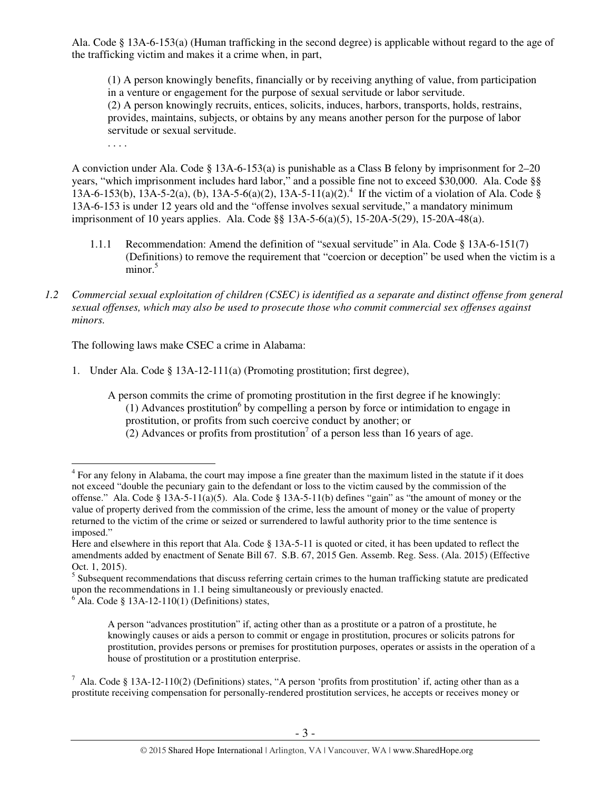Ala. Code § 13A-6-153(a) (Human trafficking in the second degree) is applicable without regard to the age of the trafficking victim and makes it a crime when, in part,

(1) A person knowingly benefits, financially or by receiving anything of value, from participation in a venture or engagement for the purpose of sexual servitude or labor servitude. (2) A person knowingly recruits, entices, solicits, induces, harbors, transports, holds, restrains, provides, maintains, subjects, or obtains by any means another person for the purpose of labor servitude or sexual servitude.

. . . .

 $\overline{a}$ 

A conviction under Ala. Code § 13A-6-153(a) is punishable as a Class B felony by imprisonment for 2–20 years, "which imprisonment includes hard labor," and a possible fine not to exceed \$30,000. Ala. Code §§ 13A-6-153(b), 13A-5-2(a), (b), 13A-5-6(a)(2), 13A-5-11(a)(2).<sup>4</sup> If the victim of a violation of Ala. Code § 13A-6-153 is under 12 years old and the "offense involves sexual servitude," a mandatory minimum imprisonment of 10 years applies. Ala. Code §§ 13A-5-6(a)(5), 15-20A-5(29), 15-20A-48(a).

- 1.1.1 Recommendation: Amend the definition of "sexual servitude" in Ala. Code § 13A-6-151(7) (Definitions) to remove the requirement that "coercion or deception" be used when the victim is a minor.<sup>5</sup>
- *1.2 Commercial sexual exploitation of children (CSEC) is identified as a separate and distinct offense from general sexual offenses, which may also be used to prosecute those who commit commercial sex offenses against minors.*

The following laws make CSEC a crime in Alabama:

1. Under Ala. Code § 13A-12-111(a) (Promoting prostitution; first degree),

 $6$  Ala. Code § 13A-12-110(1) (Definitions) states,

A person "advances prostitution" if, acting other than as a prostitute or a patron of a prostitute, he knowingly causes or aids a person to commit or engage in prostitution, procures or solicits patrons for prostitution, provides persons or premises for prostitution purposes, operates or assists in the operation of a house of prostitution or a prostitution enterprise.

A person commits the crime of promoting prostitution in the first degree if he knowingly: (1) Advances prostitution<sup>6</sup> by compelling a person by force or intimidation to engage in prostitution, or profits from such coercive conduct by another; or  $(2)$  Advances or profits from prostitution<sup>7</sup> of a person less than 16 years of age.

<sup>&</sup>lt;sup>4</sup> For any felony in Alabama, the court may impose a fine greater than the maximum listed in the statute if it does not exceed "double the pecuniary gain to the defendant or loss to the victim caused by the commission of the offense." Ala. Code § 13A-5-11(a)(5). Ala. Code § 13A-5-11(b) defines "gain" as "the amount of money or the value of property derived from the commission of the crime, less the amount of money or the value of property returned to the victim of the crime or seized or surrendered to lawful authority prior to the time sentence is imposed."

Here and elsewhere in this report that Ala. Code § 13A-5-11 is quoted or cited, it has been updated to reflect the amendments added by enactment of Senate Bill 67. S.B. 67, 2015 Gen. Assemb. Reg. Sess. (Ala. 2015) (Effective Oct. 1, 2015).

<sup>&</sup>lt;sup>5</sup> Subsequent recommendations that discuss referring certain crimes to the human trafficking statute are predicated upon the recommendations in 1.1 being simultaneously or previously enacted.

<sup>&</sup>lt;sup>7</sup> Ala. Code § 13A-12-110(2) (Definitions) states, "A person 'profits from prostitution' if, acting other than as a prostitute receiving compensation for personally-rendered prostitution services, he accepts or receives money or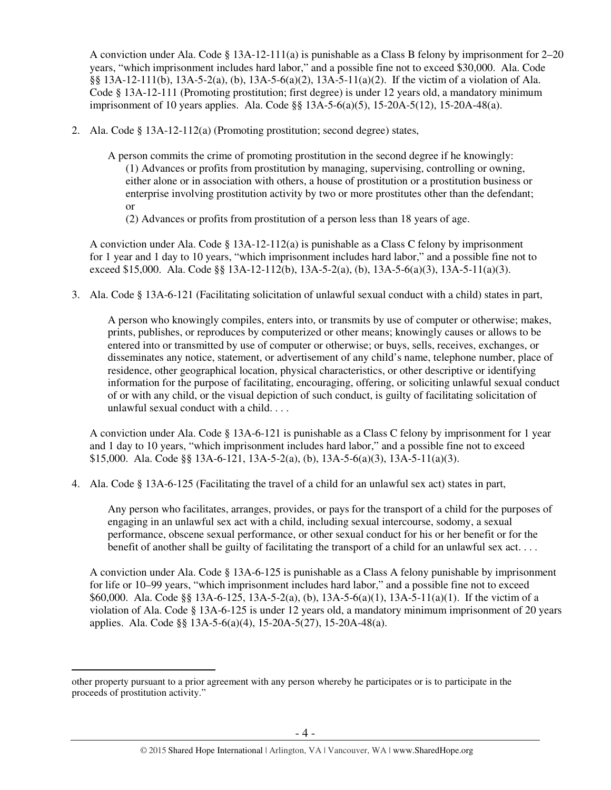A conviction under Ala. Code  $\S 13A-12-111(a)$  is punishable as a Class B felony by imprisonment for 2–20 years, "which imprisonment includes hard labor," and a possible fine not to exceed \$30,000. Ala. Code §§ 13A-12-111(b), 13A-5-2(a), (b), 13A-5-6(a)(2), 13A-5-11(a)(2). If the victim of a violation of Ala. Code § 13A-12-111 (Promoting prostitution; first degree) is under 12 years old, a mandatory minimum imprisonment of 10 years applies. Ala. Code §§ 13A-5-6(a)(5), 15-20A-5(12), 15-20A-48(a).

- 2. Ala. Code § 13A-12-112(a) (Promoting prostitution; second degree) states,
	- A person commits the crime of promoting prostitution in the second degree if he knowingly: (1) Advances or profits from prostitution by managing, supervising, controlling or owning, either alone or in association with others, a house of prostitution or a prostitution business or enterprise involving prostitution activity by two or more prostitutes other than the defendant; or
		- (2) Advances or profits from prostitution of a person less than 18 years of age.

A conviction under Ala. Code  $\S$  13A-12-112(a) is punishable as a Class C felony by imprisonment for 1 year and 1 day to 10 years, "which imprisonment includes hard labor," and a possible fine not to exceed \$15,000. Ala. Code §§ 13A-12-112(b), 13A-5-2(a), (b), 13A-5-6(a)(3), 13A-5-11(a)(3).

3. Ala. Code § 13A-6-121 (Facilitating solicitation of unlawful sexual conduct with a child) states in part,

A person who knowingly compiles, enters into, or transmits by use of computer or otherwise; makes, prints, publishes, or reproduces by computerized or other means; knowingly causes or allows to be entered into or transmitted by use of computer or otherwise; or buys, sells, receives, exchanges, or disseminates any notice, statement, or advertisement of any child's name, telephone number, place of residence, other geographical location, physical characteristics, or other descriptive or identifying information for the purpose of facilitating, encouraging, offering, or soliciting unlawful sexual conduct of or with any child, or the visual depiction of such conduct, is guilty of facilitating solicitation of unlawful sexual conduct with a child. . . .

A conviction under Ala. Code § 13A-6-121 is punishable as a Class C felony by imprisonment for 1 year and 1 day to 10 years, "which imprisonment includes hard labor," and a possible fine not to exceed \$15,000. Ala. Code §§ 13A-6-121, 13A-5-2(a), (b), 13A-5-6(a)(3), 13A-5-11(a)(3).

4. Ala. Code § 13A-6-125 (Facilitating the travel of a child for an unlawful sex act) states in part,

Any person who facilitates, arranges, provides, or pays for the transport of a child for the purposes of engaging in an unlawful sex act with a child, including sexual intercourse, sodomy, a sexual performance, obscene sexual performance, or other sexual conduct for his or her benefit or for the benefit of another shall be guilty of facilitating the transport of a child for an unlawful sex act. . . .

A conviction under Ala. Code § 13A-6-125 is punishable as a Class A felony punishable by imprisonment for life or 10–99 years, "which imprisonment includes hard labor," and a possible fine not to exceed \$60,000. Ala. Code §§ 13A-6-125, 13A-5-2(a), (b), 13A-5-6(a)(1), 13A-5-11(a)(1). If the victim of a violation of Ala. Code § 13A-6-125 is under 12 years old, a mandatory minimum imprisonment of 20 years applies. Ala. Code §§ 13A-5-6(a)(4), 15-20A-5(27), 15-20A-48(a).

 $\overline{a}$ other property pursuant to a prior agreement with any person whereby he participates or is to participate in the proceeds of prostitution activity."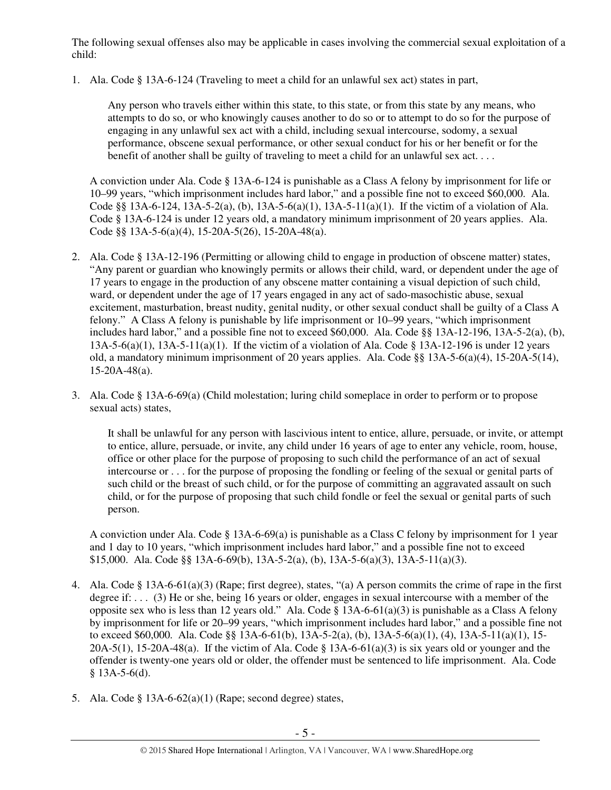The following sexual offenses also may be applicable in cases involving the commercial sexual exploitation of a child:

1. Ala. Code § 13A-6-124 (Traveling to meet a child for an unlawful sex act) states in part,

Any person who travels either within this state, to this state, or from this state by any means, who attempts to do so, or who knowingly causes another to do so or to attempt to do so for the purpose of engaging in any unlawful sex act with a child, including sexual intercourse, sodomy, a sexual performance, obscene sexual performance, or other sexual conduct for his or her benefit or for the benefit of another shall be guilty of traveling to meet a child for an unlawful sex act. . . .

A conviction under Ala. Code § 13A-6-124 is punishable as a Class A felony by imprisonment for life or 10–99 years, "which imprisonment includes hard labor," and a possible fine not to exceed \$60,000. Ala. Code §§ 13A-6-124, 13A-5-2(a), (b), 13A-5-6(a)(1), 13A-5-11(a)(1). If the victim of a violation of Ala. Code § 13A-6-124 is under 12 years old, a mandatory minimum imprisonment of 20 years applies. Ala. Code §§ 13A-5-6(a)(4), 15-20A-5(26), 15-20A-48(a).

- 2. Ala. Code § 13A-12-196 (Permitting or allowing child to engage in production of obscene matter) states, "Any parent or guardian who knowingly permits or allows their child, ward, or dependent under the age of 17 years to engage in the production of any obscene matter containing a visual depiction of such child, ward, or dependent under the age of 17 years engaged in any act of sado-masochistic abuse, sexual excitement, masturbation, breast nudity, genital nudity, or other sexual conduct shall be guilty of a Class A felony." A Class A felony is punishable by life imprisonment or 10–99 years, "which imprisonment includes hard labor," and a possible fine not to exceed  $$60,000$ . Ala. Code §§ 13A-12-196, 13A-5-2(a), (b), 13A-5-6(a)(1), 13A-5-11(a)(1). If the victim of a violation of Ala. Code § 13A-12-196 is under 12 years old, a mandatory minimum imprisonment of 20 years applies. Ala. Code §§ 13A-5-6(a)(4), 15-20A-5(14), 15-20A-48(a).
- 3. Ala. Code § 13A-6-69(a) (Child molestation; luring child someplace in order to perform or to propose sexual acts) states,

It shall be unlawful for any person with lascivious intent to entice, allure, persuade, or invite, or attempt to entice, allure, persuade, or invite, any child under 16 years of age to enter any vehicle, room, house, office or other place for the purpose of proposing to such child the performance of an act of sexual intercourse or . . . for the purpose of proposing the fondling or feeling of the sexual or genital parts of such child or the breast of such child, or for the purpose of committing an aggravated assault on such child, or for the purpose of proposing that such child fondle or feel the sexual or genital parts of such person.

A conviction under Ala. Code § 13A-6-69(a) is punishable as a Class C felony by imprisonment for 1 year and 1 day to 10 years, "which imprisonment includes hard labor," and a possible fine not to exceed \$15,000. Ala. Code §§ 13A-6-69(b), 13A-5-2(a), (b), 13A-5-6(a)(3), 13A-5-11(a)(3).

- 4. Ala. Code § 13A-6-61(a)(3) (Rape; first degree), states, "(a) A person commits the crime of rape in the first degree if: . . . (3) He or she, being 16 years or older, engages in sexual intercourse with a member of the opposite sex who is less than 12 years old." Ala. Code  $\S$  13A-6-61(a)(3) is punishable as a Class A felony by imprisonment for life or 20–99 years, "which imprisonment includes hard labor," and a possible fine not to exceed \$60,000. Ala. Code §§ 13A-6-61(b), 13A-5-2(a), (b), 13A-5-6(a)(1), (4), 13A-5-11(a)(1), 15-  $20A-5(1)$ ,  $15-20A-48(a)$ . If the victim of Ala. Code § 13A-6-61(a)(3) is six years old or younger and the offender is twenty-one years old or older, the offender must be sentenced to life imprisonment. Ala. Code  $§$  13A-5-6(d).
- 5. Ala. Code  $\S$  13A-6-62(a)(1) (Rape; second degree) states,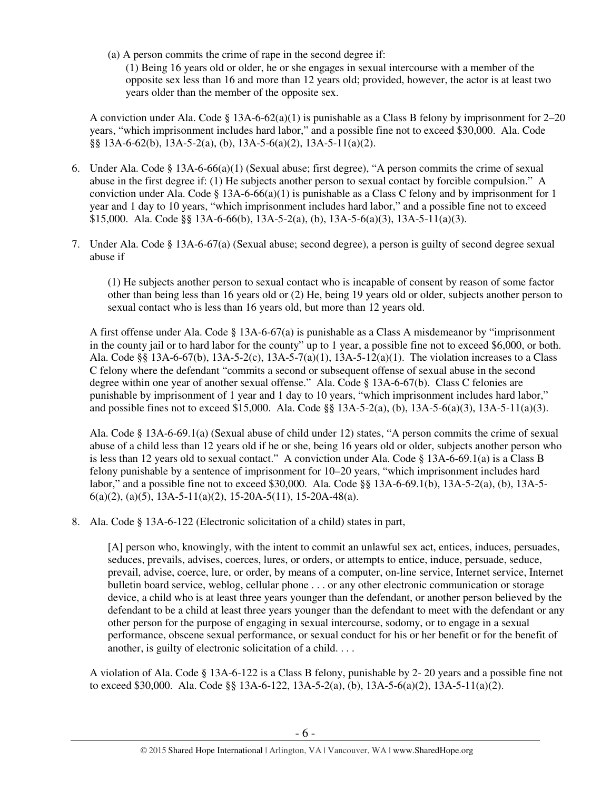(a) A person commits the crime of rape in the second degree if: (1) Being 16 years old or older, he or she engages in sexual intercourse with a member of the opposite sex less than 16 and more than 12 years old; provided, however, the actor is at least two years older than the member of the opposite sex.

A conviction under Ala. Code § 13A-6-62(a)(1) is punishable as a Class B felony by imprisonment for 2–20 years, "which imprisonment includes hard labor," and a possible fine not to exceed \$30,000. Ala. Code §§ 13A-6-62(b), 13A-5-2(a), (b), 13A-5-6(a)(2), 13A-5-11(a)(2).

- 6. Under Ala. Code § 13A-6-66(a)(1) (Sexual abuse; first degree), "A person commits the crime of sexual abuse in the first degree if: (1) He subjects another person to sexual contact by forcible compulsion." A conviction under Ala. Code § 13A-6-66(a)(1) is punishable as a Class C felony and by imprisonment for 1 year and 1 day to 10 years, "which imprisonment includes hard labor," and a possible fine not to exceed \$15,000. Ala. Code §§ 13A-6-66(b), 13A-5-2(a), (b), 13A-5-6(a)(3), 13A-5-11(a)(3).
- 7. Under Ala. Code § 13A-6-67(a) (Sexual abuse; second degree), a person is guilty of second degree sexual abuse if

(1) He subjects another person to sexual contact who is incapable of consent by reason of some factor other than being less than 16 years old or (2) He, being 19 years old or older, subjects another person to sexual contact who is less than 16 years old, but more than 12 years old.

A first offense under Ala. Code § 13A-6-67(a) is punishable as a Class A misdemeanor by "imprisonment in the county jail or to hard labor for the county" up to 1 year, a possible fine not to exceed \$6,000, or both. Ala. Code §§ 13A-6-67(b), 13A-5-2(c), 13A-5-7(a)(1), 13A-5-12(a)(1). The violation increases to a Class C felony where the defendant "commits a second or subsequent offense of sexual abuse in the second degree within one year of another sexual offense." Ala. Code § 13A-6-67(b). Class C felonies are punishable by imprisonment of 1 year and 1 day to 10 years, "which imprisonment includes hard labor," and possible fines not to exceed \$15,000. Ala. Code §§ 13A-5-2(a), (b), 13A-5-6(a)(3), 13A-5-11(a)(3).

Ala. Code § 13A-6-69.1(a) (Sexual abuse of child under 12) states, "A person commits the crime of sexual abuse of a child less than 12 years old if he or she, being 16 years old or older, subjects another person who is less than 12 years old to sexual contact." A conviction under Ala. Code § 13A-6-69.1(a) is a Class B felony punishable by a sentence of imprisonment for 10–20 years, "which imprisonment includes hard labor," and a possible fine not to exceed \$30,000. Ala. Code §§ 13A-6-69.1(b), 13A-5-2(a), (b), 13A-5-  $6(a)(2)$ ,  $(a)(5)$ ,  $13A-5-11(a)(2)$ ,  $15-20A-5(11)$ ,  $15-20A-48(a)$ .

8. Ala. Code § 13A-6-122 (Electronic solicitation of a child) states in part,

[A] person who, knowingly, with the intent to commit an unlawful sex act, entices, induces, persuades, seduces, prevails, advises, coerces, lures, or orders, or attempts to entice, induce, persuade, seduce, prevail, advise, coerce, lure, or order, by means of a computer, on-line service, Internet service, Internet bulletin board service, weblog, cellular phone . . . or any other electronic communication or storage device, a child who is at least three years younger than the defendant, or another person believed by the defendant to be a child at least three years younger than the defendant to meet with the defendant or any other person for the purpose of engaging in sexual intercourse, sodomy, or to engage in a sexual performance, obscene sexual performance, or sexual conduct for his or her benefit or for the benefit of another, is guilty of electronic solicitation of a child. . . .

A violation of Ala. Code § 13A-6-122 is a Class B felony, punishable by 2- 20 years and a possible fine not to exceed \$30,000. Ala. Code §§ 13A-6-122, 13A-5-2(a), (b), 13A-5-6(a)(2), 13A-5-11(a)(2).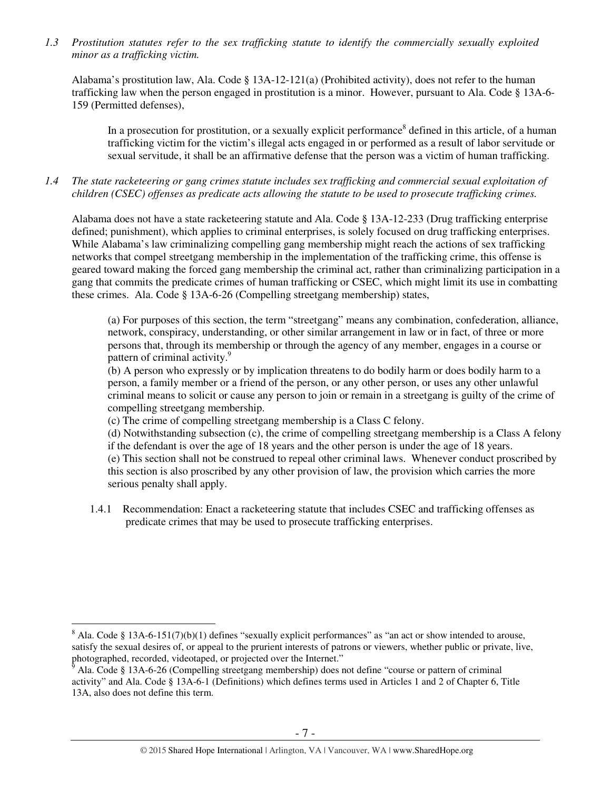*1.3 Prostitution statutes refer to the sex trafficking statute to identify the commercially sexually exploited minor as a trafficking victim.* 

Alabama's prostitution law, Ala. Code § 13A-12-121(a) (Prohibited activity), does not refer to the human trafficking law when the person engaged in prostitution is a minor. However, pursuant to Ala. Code § 13A-6- 159 (Permitted defenses),

In a prosecution for prostitution, or a sexually explicit performance<sup>8</sup> defined in this article, of a human trafficking victim for the victim's illegal acts engaged in or performed as a result of labor servitude or sexual servitude, it shall be an affirmative defense that the person was a victim of human trafficking.

*1.4 The state racketeering or gang crimes statute includes sex trafficking and commercial sexual exploitation of children (CSEC) offenses as predicate acts allowing the statute to be used to prosecute trafficking crimes.* 

Alabama does not have a state racketeering statute and Ala. Code § 13A-12-233 (Drug trafficking enterprise defined; punishment), which applies to criminal enterprises, is solely focused on drug trafficking enterprises. While Alabama's law criminalizing compelling gang membership might reach the actions of sex trafficking networks that compel streetgang membership in the implementation of the trafficking crime, this offense is geared toward making the forced gang membership the criminal act, rather than criminalizing participation in a gang that commits the predicate crimes of human trafficking or CSEC, which might limit its use in combatting these crimes. Ala. Code § 13A-6-26 (Compelling streetgang membership) states,

(a) For purposes of this section, the term "streetgang" means any combination, confederation, alliance, network, conspiracy, understanding, or other similar arrangement in law or in fact, of three or more persons that, through its membership or through the agency of any member, engages in a course or pattern of criminal activity.<sup>9</sup>

(b) A person who expressly or by implication threatens to do bodily harm or does bodily harm to a person, a family member or a friend of the person, or any other person, or uses any other unlawful criminal means to solicit or cause any person to join or remain in a streetgang is guilty of the crime of compelling streetgang membership.

(c) The crime of compelling streetgang membership is a Class C felony.

(d) Notwithstanding subsection (c), the crime of compelling streetgang membership is a Class A felony if the defendant is over the age of 18 years and the other person is under the age of 18 years. (e) This section shall not be construed to repeal other criminal laws. Whenever conduct proscribed by this section is also proscribed by any other provision of law, the provision which carries the more serious penalty shall apply.

1.4.1 Recommendation: Enact a racketeering statute that includes CSEC and trafficking offenses as predicate crimes that may be used to prosecute trafficking enterprises.

 $\overline{a}$ 

 $8$  Ala. Code § 13A-6-151(7)(b)(1) defines "sexually explicit performances" as "an act or show intended to arouse, satisfy the sexual desires of, or appeal to the prurient interests of patrons or viewers, whether public or private, live, photographed, recorded, videotaped, or projected over the Internet."<br><sup>9</sup> Ale Code 8,13A 6.26 (Compalling streatgang mombership) does n

Ala. Code § 13A-6-26 (Compelling streetgang membership) does not define "course or pattern of criminal activity" and Ala. Code § 13A-6-1 (Definitions) which defines terms used in Articles 1 and 2 of Chapter 6, Title 13A, also does not define this term.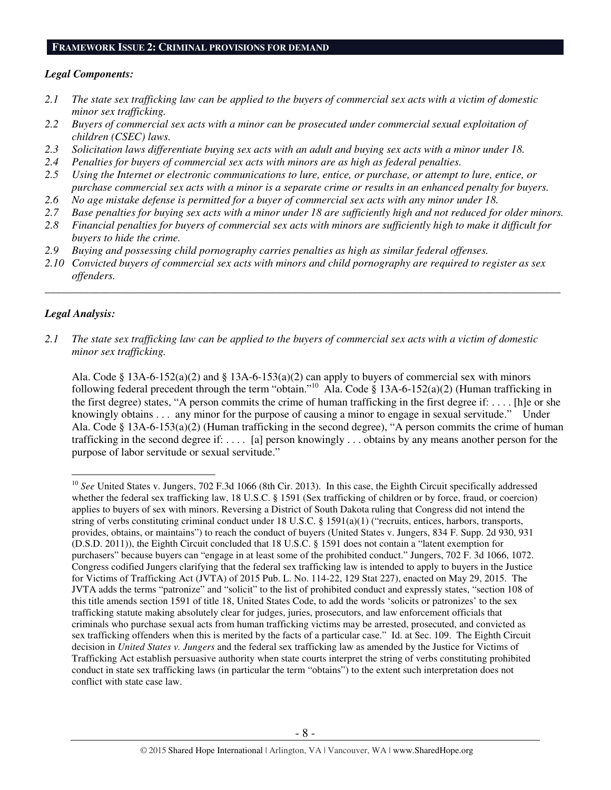#### **FRAMEWORK ISSUE 2: CRIMINAL PROVISIONS FOR DEMAND**

#### *Legal Components:*

- *2.1 The state sex trafficking law can be applied to the buyers of commercial sex acts with a victim of domestic minor sex trafficking.*
- *2.2 Buyers of commercial sex acts with a minor can be prosecuted under commercial sexual exploitation of children (CSEC) laws.*
- *2.3 Solicitation laws differentiate buying sex acts with an adult and buying sex acts with a minor under 18.*
- *2.4 Penalties for buyers of commercial sex acts with minors are as high as federal penalties.*
- *2.5 Using the Internet or electronic communications to lure, entice, or purchase, or attempt to lure, entice, or purchase commercial sex acts with a minor is a separate crime or results in an enhanced penalty for buyers.*
- *2.6 No age mistake defense is permitted for a buyer of commercial sex acts with any minor under 18.*
- *2.7 Base penalties for buying sex acts with a minor under 18 are sufficiently high and not reduced for older minors.*
- *2.8 Financial penalties for buyers of commercial sex acts with minors are sufficiently high to make it difficult for buyers to hide the crime.*
- *2.9 Buying and possessing child pornography carries penalties as high as similar federal offenses.*
- *2.10 Convicted buyers of commercial sex acts with minors and child pornography are required to register as sex offenders.*

\_\_\_\_\_\_\_\_\_\_\_\_\_\_\_\_\_\_\_\_\_\_\_\_\_\_\_\_\_\_\_\_\_\_\_\_\_\_\_\_\_\_\_\_\_\_\_\_\_\_\_\_\_\_\_\_\_\_\_\_\_\_\_\_\_\_\_\_\_\_\_\_\_\_\_\_\_\_\_\_\_\_\_\_\_\_\_\_\_\_\_\_\_\_

# *Legal Analysis:*

 $\overline{a}$ 

*2.1 The state sex trafficking law can be applied to the buyers of commercial sex acts with a victim of domestic minor sex trafficking.* 

Ala. Code § 13A-6-152(a)(2) and § 13A-6-153(a)(2) can apply to buyers of commercial sex with minors following federal precedent through the term "obtain."<sup>10</sup> Ala. Code § 13A-6-152(a)(2) (Human trafficking in the first degree) states, "A person commits the crime of human trafficking in the first degree if: . . . . [h]e or she knowingly obtains . . . any minor for the purpose of causing a minor to engage in sexual servitude." Under Ala. Code § 13A-6-153(a)(2) (Human trafficking in the second degree), "A person commits the crime of human trafficking in the second degree if: . . . . [a] person knowingly . . . obtains by any means another person for the purpose of labor servitude or sexual servitude."

<sup>&</sup>lt;sup>10</sup> See United States v. Jungers, 702 F.3d 1066 (8th Cir. 2013). In this case, the Eighth Circuit specifically addressed whether the federal sex trafficking law, 18 U.S.C. § 1591 (Sex trafficking of children or by force, fraud, or coercion) applies to buyers of sex with minors. Reversing a District of South Dakota ruling that Congress did not intend the string of verbs constituting criminal conduct under 18 U.S.C. § 1591(a)(1) ("recruits, entices, harbors, transports, provides, obtains, or maintains") to reach the conduct of buyers (United States v. Jungers, 834 F. Supp. 2d 930, 931 (D.S.D. 2011)), the Eighth Circuit concluded that 18 U.S.C. § 1591 does not contain a "latent exemption for purchasers" because buyers can "engage in at least some of the prohibited conduct." Jungers, 702 F. 3d 1066, 1072. Congress codified Jungers clarifying that the federal sex trafficking law is intended to apply to buyers in the Justice for Victims of Trafficking Act (JVTA) of 2015 Pub. L. No. 114-22, 129 Stat 227), enacted on May 29, 2015. The JVTA adds the terms "patronize" and "solicit" to the list of prohibited conduct and expressly states, "section 108 of this title amends section 1591 of title 18, United States Code, to add the words 'solicits or patronizes' to the sex trafficking statute making absolutely clear for judges, juries, prosecutors, and law enforcement officials that criminals who purchase sexual acts from human trafficking victims may be arrested, prosecuted, and convicted as sex trafficking offenders when this is merited by the facts of a particular case." Id. at Sec. 109. The Eighth Circuit decision in *United States v. Jungers* and the federal sex trafficking law as amended by the Justice for Victims of Trafficking Act establish persuasive authority when state courts interpret the string of verbs constituting prohibited conduct in state sex trafficking laws (in particular the term "obtains") to the extent such interpretation does not conflict with state case law.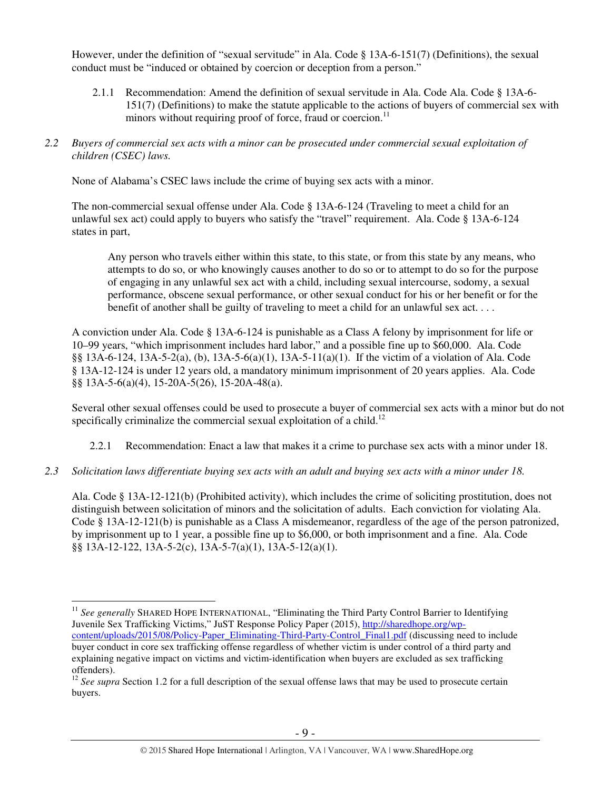However, under the definition of "sexual servitude" in Ala. Code § 13A-6-151(7) (Definitions), the sexual conduct must be "induced or obtained by coercion or deception from a person."

- 2.1.1 Recommendation: Amend the definition of sexual servitude in Ala. Code Ala. Code § 13A-6- 151(7) (Definitions) to make the statute applicable to the actions of buyers of commercial sex with minors without requiring proof of force, fraud or coercion.<sup>11</sup>
- *2.2 Buyers of commercial sex acts with a minor can be prosecuted under commercial sexual exploitation of children (CSEC) laws.*

None of Alabama's CSEC laws include the crime of buying sex acts with a minor.

The non-commercial sexual offense under Ala. Code § 13A-6-124 (Traveling to meet a child for an unlawful sex act) could apply to buyers who satisfy the "travel" requirement. Ala. Code § 13A-6-124 states in part,

Any person who travels either within this state, to this state, or from this state by any means, who attempts to do so, or who knowingly causes another to do so or to attempt to do so for the purpose of engaging in any unlawful sex act with a child, including sexual intercourse, sodomy, a sexual performance, obscene sexual performance, or other sexual conduct for his or her benefit or for the benefit of another shall be guilty of traveling to meet a child for an unlawful sex act. . . .

A conviction under Ala. Code § 13A-6-124 is punishable as a Class A felony by imprisonment for life or 10–99 years, "which imprisonment includes hard labor," and a possible fine up to \$60,000. Ala. Code §§ 13A-6-124, 13A-5-2(a), (b), 13A-5-6(a)(1), 13A-5-11(a)(1). If the victim of a violation of Ala. Code § 13A-12-124 is under 12 years old, a mandatory minimum imprisonment of 20 years applies. Ala. Code §§ 13A-5-6(a)(4), 15-20A-5(26), 15-20A-48(a).

Several other sexual offenses could be used to prosecute a buyer of commercial sex acts with a minor but do not specifically criminalize the commercial sexual exploitation of a child.<sup>12</sup>

- 2.2.1 Recommendation: Enact a law that makes it a crime to purchase sex acts with a minor under 18.
- *2.3 Solicitation laws differentiate buying sex acts with an adult and buying sex acts with a minor under 18.*

Ala. Code § 13A-12-121(b) (Prohibited activity), which includes the crime of soliciting prostitution, does not distinguish between solicitation of minors and the solicitation of adults. Each conviction for violating Ala. Code § 13A-12-121(b) is punishable as a Class A misdemeanor, regardless of the age of the person patronized, by imprisonment up to 1 year, a possible fine up to \$6,000, or both imprisonment and a fine. Ala. Code §§ 13A-12-122, 13A-5-2(c), 13A-5-7(a)(1), 13A-5-12(a)(1).

 $\overline{a}$ <sup>11</sup> See generally SHARED HOPE INTERNATIONAL, "Eliminating the Third Party Control Barrier to Identifying Juvenile Sex Trafficking Victims," JuST Response Policy Paper (2015), http://sharedhope.org/wpcontent/uploads/2015/08/Policy-Paper\_Eliminating-Third-Party-Control\_Final1.pdf (discussing need to include buyer conduct in core sex trafficking offense regardless of whether victim is under control of a third party and explaining negative impact on victims and victim-identification when buyers are excluded as sex trafficking offenders).

<sup>&</sup>lt;sup>12</sup> See supra Section 1.2 for a full description of the sexual offense laws that may be used to prosecute certain buyers.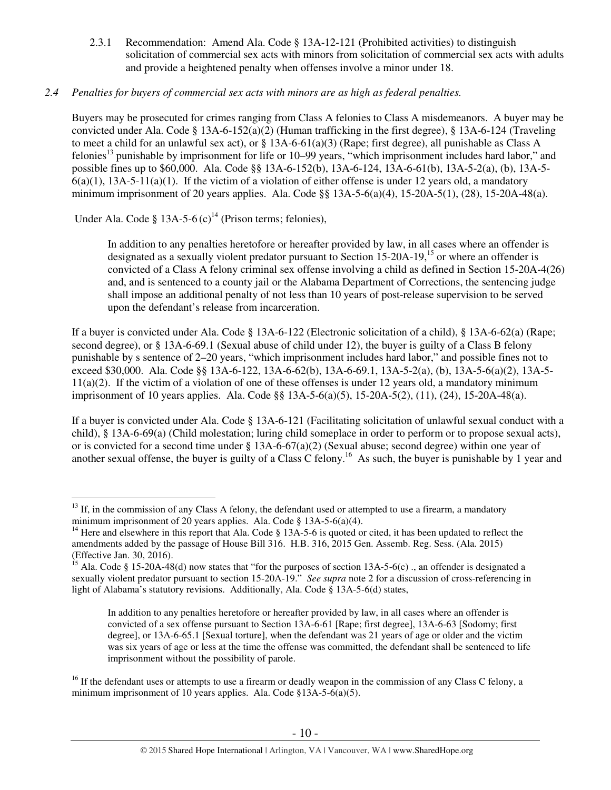2.3.1 Recommendation: Amend Ala. Code § 13A-12-121 (Prohibited activities) to distinguish solicitation of commercial sex acts with minors from solicitation of commercial sex acts with adults and provide a heightened penalty when offenses involve a minor under 18.

# *2.4 Penalties for buyers of commercial sex acts with minors are as high as federal penalties.*

Buyers may be prosecuted for crimes ranging from Class A felonies to Class A misdemeanors. A buyer may be convicted under Ala. Code § 13A-6-152(a)(2) (Human trafficking in the first degree), § 13A-6-124 (Traveling to meet a child for an unlawful sex act), or § 13A-6-61(a)(3) (Rape; first degree), all punishable as Class A felonies<sup>13</sup> punishable by imprisonment for life or 10–99 years, "which imprisonment includes hard labor," and possible fines up to \$60,000. Ala. Code §§ 13A-6-152(b), 13A-6-124, 13A-6-61(b), 13A-5-2(a), (b), 13A-5-  $6(a)(1)$ , 13A-5-11(a)(1). If the victim of a violation of either offense is under 12 years old, a mandatory minimum imprisonment of 20 years applies. Ala. Code §§ 13A-5-6(a)(4), 15-20A-5(1), (28), 15-20A-48(a).

Under Ala. Code § 13A-5-6 (c)<sup>14</sup> (Prison terms; felonies),

In addition to any penalties heretofore or hereafter provided by law, in all cases where an offender is designated as a sexually violent predator pursuant to Section 15-20A-19,<sup>15</sup> or where an offender is convicted of a Class A felony criminal sex offense involving a child as defined in Section 15-20A-4(26) and, and is sentenced to a county jail or the Alabama Department of Corrections, the sentencing judge shall impose an additional penalty of not less than 10 years of post-release supervision to be served upon the defendant's release from incarceration.

If a buyer is convicted under Ala. Code § 13A-6-122 (Electronic solicitation of a child), § 13A-6-62(a) (Rape; second degree), or § 13A-6-69.1 (Sexual abuse of child under 12), the buyer is guilty of a Class B felony punishable by s sentence of 2–20 years, "which imprisonment includes hard labor," and possible fines not to exceed \$30,000. Ala. Code §§ 13A-6-122, 13A-6-62(b), 13A-6-69.1, 13A-5-2(a), (b), 13A-5-6(a)(2), 13A-5-  $11(a)(2)$ . If the victim of a violation of one of these offenses is under 12 years old, a mandatory minimum imprisonment of 10 years applies. Ala. Code §§ 13A-5-6(a)(5), 15-20A-5(2), (11), (24), 15-20A-48(a).

If a buyer is convicted under Ala. Code § 13A-6-121 (Facilitating solicitation of unlawful sexual conduct with a child), § 13A-6-69(a) (Child molestation; luring child someplace in order to perform or to propose sexual acts), or is convicted for a second time under  $\S$  13A-6-67(a)(2) (Sexual abuse; second degree) within one year of another sexual offense, the buyer is guilty of a Class C felony.<sup>16</sup> As such, the buyer is punishable by 1 year and

 $\overline{a}$  $13$  If, in the commission of any Class A felony, the defendant used or attempted to use a firearm, a mandatory minimum imprisonment of 20 years applies. Ala. Code § 13A-5-6(a)(4).

<sup>&</sup>lt;sup>14</sup> Here and elsewhere in this report that Ala. Code  $\S$  13A-5-6 is quoted or cited, it has been updated to reflect the amendments added by the passage of House Bill 316. H.B. 316, 2015 Gen. Assemb. Reg. Sess. (Ala. 2015) (Effective Jan. 30, 2016).

<sup>&</sup>lt;sup>15</sup> Ala. Code § 15-20A-48(d) now states that "for the purposes of section 13A-5-6(c) ., an offender is designated a sexually violent predator pursuant to section 15-20A-19." *See supra* note 2 for a discussion of cross-referencing in light of Alabama's statutory revisions. Additionally, Ala. Code § 13A-5-6(d) states,

In addition to any penalties heretofore or hereafter provided by law, in all cases where an offender is convicted of a sex offense pursuant to Section 13A-6-61 [Rape; first degree], 13A-6-63 [Sodomy; first degree], or 13A-6-65.1 [Sexual torture], when the defendant was 21 years of age or older and the victim was six years of age or less at the time the offense was committed, the defendant shall be sentenced to life imprisonment without the possibility of parole.

 $16$  If the defendant uses or attempts to use a firearm or deadly weapon in the commission of any Class C felony, a minimum imprisonment of 10 years applies. Ala. Code §13A-5-6(a)(5).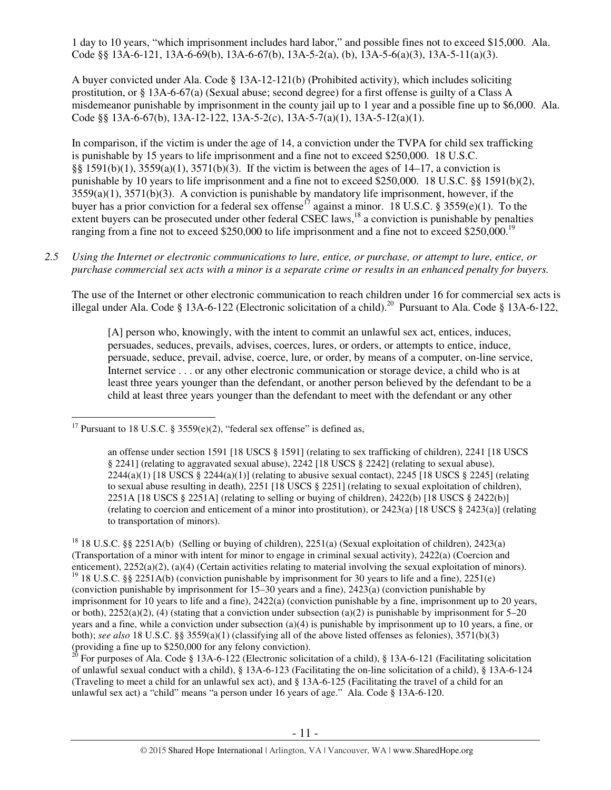1 day to 10 years, "which imprisonment includes hard labor," and possible fines not to exceed \$15,000. Ala. Code §§ 13A-6-121, 13A-6-69(b), 13A-6-67(b), 13A-5-2(a), (b), 13A-5-6(a)(3), 13A-5-11(a)(3).

A buyer convicted under Ala. Code § 13A-12-121(b) (Prohibited activity), which includes soliciting prostitution, or § 13A-6-67(a) (Sexual abuse; second degree) for a first offense is guilty of a Class A misdemeanor punishable by imprisonment in the county jail up to 1 year and a possible fine up to \$6,000. Ala. Code §§ 13A-6-67(b), 13A-12-122, 13A-5-2(c), 13A-5-7(a)(1), 13A-5-12(a)(1).

In comparison, if the victim is under the age of 14, a conviction under the TVPA for child sex trafficking is punishable by 15 years to life imprisonment and a fine not to exceed \$250,000. 18 U.S.C. §§ 1591(b)(1), 3559(a)(1), 3571(b)(3). If the victim is between the ages of 14–17, a conviction is punishable by 10 years to life imprisonment and a fine not to exceed \$250,000. 18 U.S.C. §§ 1591(b)(2), 3559(a)(1), 3571(b)(3). A conviction is punishable by mandatory life imprisonment, however, if the buyer has a prior conviction for a federal sex offense<sup>17</sup> against a minor. 18 U.S.C. § 3559(e)(1). To the extent buyers can be prosecuted under other federal CSEC laws,<sup>18</sup> a conviction is punishable by penalties ranging from a fine not to exceed \$250,000 to life imprisonment and a fine not to exceed \$250,000.<sup>19</sup>

*2.5 Using the Internet or electronic communications to lure, entice, or purchase, or attempt to lure, entice, or purchase commercial sex acts with a minor is a separate crime or results in an enhanced penalty for buyers.* 

The use of the Internet or other electronic communication to reach children under 16 for commercial sex acts is illegal under Ala. Code § 13A-6-122 (Electronic solicitation of a child).<sup>20</sup> Pursuant to Ala. Code § 13A-6-122,

[A] person who, knowingly, with the intent to commit an unlawful sex act, entices, induces, persuades, seduces, prevails, advises, coerces, lures, or orders, or attempts to entice, induce, persuade, seduce, prevail, advise, coerce, lure, or order, by means of a computer, on-line service, Internet service . . . or any other electronic communication or storage device, a child who is at least three years younger than the defendant, or another person believed by the defendant to be a child at least three years younger than the defendant to meet with the defendant or any other

<sup>20</sup> For purposes of Ala. Code § 13A-6-122 (Electronic solicitation of a child), § 13A-6-121 (Facilitating solicitation of unlawful sexual conduct with a child), § 13A-6-123 (Facilitating the on-line solicitation of a child), § 13A-6-124 (Traveling to meet a child for an unlawful sex act), and § 13A-6-125 (Facilitating the travel of a child for an unlawful sex act) a "child" means "a person under 16 years of age." Ala. Code § 13A-6-120.

 $\overline{a}$ <sup>17</sup> Pursuant to 18 U.S.C. § 3559 $(e)(2)$ , "federal sex offense" is defined as,

an offense under section 1591 [18 USCS § 1591] (relating to sex trafficking of children), 2241 [18 USCS § 2241] (relating to aggravated sexual abuse), 2242 [18 USCS § 2242] (relating to sexual abuse),  $2244(a)(1)$  [18 USCS § 2244(a)(1)] (relating to abusive sexual contact), 2245 [18 USCS § 2245] (relating to sexual abuse resulting in death), 2251 [18 USCS § 2251] (relating to sexual exploitation of children), 2251A [18 USCS § 2251A] (relating to selling or buying of children), 2422(b) [18 USCS § 2422(b)] (relating to coercion and enticement of a minor into prostitution), or 2423(a) [18 USCS § 2423(a)] (relating to transportation of minors).

<sup>18</sup> 18 U.S.C. §§ 2251A(b) (Selling or buying of children), 2251(a) (Sexual exploitation of children), 2423(a) (Transportation of a minor with intent for minor to engage in criminal sexual activity), 2422(a) (Coercion and enticement), 2252(a)(2), (a)(4) (Certain activities relating to material involving the sexual exploitation of minors). <sup>19</sup> 18 U.S.C. §§ 2251A(b) (conviction punishable by imprisonment for 30 years to life and a fine), 2251(e) (conviction punishable by imprisonment for 15–30 years and a fine), 2423(a) (conviction punishable by imprisonment for 10 years to life and a fine), 2422(a) (conviction punishable by a fine, imprisonment up to 20 years, or both),  $2252(a)(2)$ , (4) (stating that a conviction under subsection (a)(2) is punishable by imprisonment for 5–20 years and a fine, while a conviction under subsection (a)(4) is punishable by imprisonment up to 10 years, a fine, or both); *see also* 18 U.S.C. §§ 3559(a)(1) (classifying all of the above listed offenses as felonies), 3571(b)(3) (providing a fine up to \$250,000 for any felony conviction).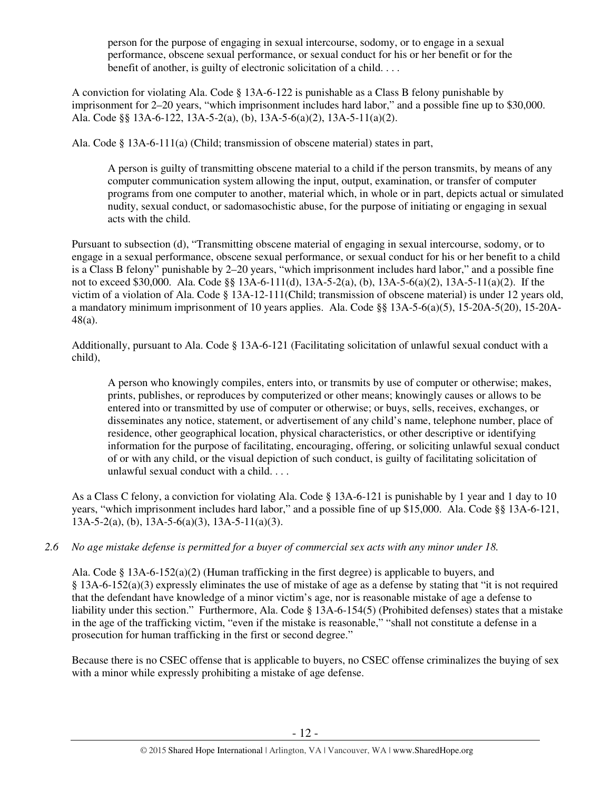person for the purpose of engaging in sexual intercourse, sodomy, or to engage in a sexual performance, obscene sexual performance, or sexual conduct for his or her benefit or for the benefit of another, is guilty of electronic solicitation of a child. . . .

A conviction for violating Ala. Code § 13A-6-122 is punishable as a Class B felony punishable by imprisonment for 2–20 years, "which imprisonment includes hard labor," and a possible fine up to \$30,000. Ala. Code §§ 13A-6-122, 13A-5-2(a), (b), 13A-5-6(a)(2), 13A-5-11(a)(2).

Ala. Code § 13A-6-111(a) (Child; transmission of obscene material) states in part,

A person is guilty of transmitting obscene material to a child if the person transmits, by means of any computer communication system allowing the input, output, examination, or transfer of computer programs from one computer to another, material which, in whole or in part, depicts actual or simulated nudity, sexual conduct, or sadomasochistic abuse, for the purpose of initiating or engaging in sexual acts with the child.

Pursuant to subsection (d), "Transmitting obscene material of engaging in sexual intercourse, sodomy, or to engage in a sexual performance, obscene sexual performance, or sexual conduct for his or her benefit to a child is a Class B felony" punishable by 2–20 years, "which imprisonment includes hard labor," and a possible fine not to exceed \$30,000. Ala. Code §§ 13A-6-111(d), 13A-5-2(a), (b), 13A-5-6(a)(2), 13A-5-11(a)(2). If the victim of a violation of Ala. Code § 13A-12-111(Child; transmission of obscene material) is under 12 years old, a mandatory minimum imprisonment of 10 years applies. Ala. Code §§ 13A-5-6(a)(5), 15-20A-5(20), 15-20A-48(a).

Additionally, pursuant to Ala. Code § 13A-6-121 (Facilitating solicitation of unlawful sexual conduct with a child),

A person who knowingly compiles, enters into, or transmits by use of computer or otherwise; makes, prints, publishes, or reproduces by computerized or other means; knowingly causes or allows to be entered into or transmitted by use of computer or otherwise; or buys, sells, receives, exchanges, or disseminates any notice, statement, or advertisement of any child's name, telephone number, place of residence, other geographical location, physical characteristics, or other descriptive or identifying information for the purpose of facilitating, encouraging, offering, or soliciting unlawful sexual conduct of or with any child, or the visual depiction of such conduct, is guilty of facilitating solicitation of unlawful sexual conduct with a child. . . .

As a Class C felony, a conviction for violating Ala. Code § 13A-6-121 is punishable by 1 year and 1 day to 10 years, "which imprisonment includes hard labor," and a possible fine of up \$15,000. Ala. Code §§ 13A-6-121, 13A-5-2(a), (b), 13A-5-6(a)(3), 13A-5-11(a)(3).

# *2.6 No age mistake defense is permitted for a buyer of commercial sex acts with any minor under 18.*

Ala. Code § 13A-6-152(a)(2) (Human trafficking in the first degree) is applicable to buyers, and § 13A-6-152(a)(3) expressly eliminates the use of mistake of age as a defense by stating that "it is not required that the defendant have knowledge of a minor victim's age, nor is reasonable mistake of age a defense to liability under this section." Furthermore, Ala. Code § 13A-6-154(5) (Prohibited defenses) states that a mistake in the age of the trafficking victim, "even if the mistake is reasonable," "shall not constitute a defense in a prosecution for human trafficking in the first or second degree."

Because there is no CSEC offense that is applicable to buyers, no CSEC offense criminalizes the buying of sex with a minor while expressly prohibiting a mistake of age defense.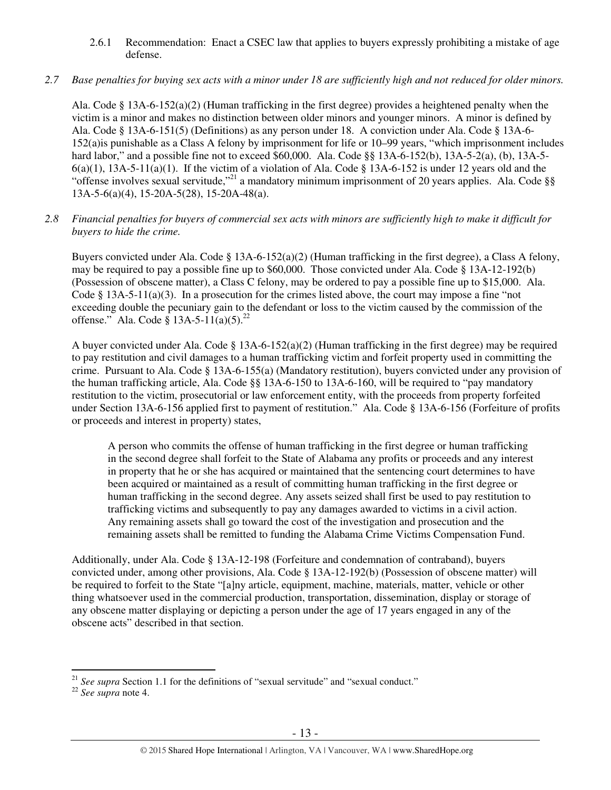# 2.6.1 Recommendation: Enact a CSEC law that applies to buyers expressly prohibiting a mistake of age defense.

# *2.7 Base penalties for buying sex acts with a minor under 18 are sufficiently high and not reduced for older minors.*

Ala. Code § 13A-6-152(a)(2) (Human trafficking in the first degree) provides a heightened penalty when the victim is a minor and makes no distinction between older minors and younger minors. A minor is defined by Ala. Code § 13A-6-151(5) (Definitions) as any person under 18. A conviction under Ala. Code § 13A-6- 152(a)is punishable as a Class A felony by imprisonment for life or 10–99 years, "which imprisonment includes hard labor," and a possible fine not to exceed \$60,000. Ala. Code §§ 13A-6-152(b), 13A-5-2(a), (b), 13A-5-  $6(a)(1)$ ,  $13A-5-11(a)(1)$ . If the victim of a violation of Ala. Code § 13A-6-152 is under 12 years old and the "offense involves sexual servitude,"<sup>21</sup> a mandatory minimum imprisonment of 20 years applies. Ala. Code §§ 13A-5-6(a)(4), 15-20A-5(28), 15-20A-48(a).

#### *2.8 Financial penalties for buyers of commercial sex acts with minors are sufficiently high to make it difficult for buyers to hide the crime.*

Buyers convicted under Ala. Code § 13A-6-152(a)(2) (Human trafficking in the first degree), a Class A felony, may be required to pay a possible fine up to \$60,000. Those convicted under Ala. Code § 13A-12-192(b) (Possession of obscene matter), a Class C felony, may be ordered to pay a possible fine up to \$15,000. Ala. Code § 13A-5-11(a)(3). In a prosecution for the crimes listed above, the court may impose a fine "not exceeding double the pecuniary gain to the defendant or loss to the victim caused by the commission of the offense." Ala. Code § 13A-5-11(a)(5).<sup>22</sup>

A buyer convicted under Ala. Code § 13A-6-152(a)(2) (Human trafficking in the first degree) may be required to pay restitution and civil damages to a human trafficking victim and forfeit property used in committing the crime. Pursuant to Ala. Code § 13A-6-155(a) (Mandatory restitution), buyers convicted under any provision of the human trafficking article, Ala. Code §§ 13A-6-150 to 13A-6-160, will be required to "pay mandatory restitution to the victim, prosecutorial or law enforcement entity, with the proceeds from property forfeited under Section 13A-6-156 applied first to payment of restitution." Ala. Code § 13A-6-156 (Forfeiture of profits or proceeds and interest in property) states,

A person who commits the offense of human trafficking in the first degree or human trafficking in the second degree shall forfeit to the State of Alabama any profits or proceeds and any interest in property that he or she has acquired or maintained that the sentencing court determines to have been acquired or maintained as a result of committing human trafficking in the first degree or human trafficking in the second degree. Any assets seized shall first be used to pay restitution to trafficking victims and subsequently to pay any damages awarded to victims in a civil action. Any remaining assets shall go toward the cost of the investigation and prosecution and the remaining assets shall be remitted to funding the Alabama Crime Victims Compensation Fund.

Additionally, under Ala. Code § 13A-12-198 (Forfeiture and condemnation of contraband), buyers convicted under, among other provisions, Ala. Code § 13A-12-192(b) (Possession of obscene matter) will be required to forfeit to the State "[a]ny article, equipment, machine, materials, matter, vehicle or other thing whatsoever used in the commercial production, transportation, dissemination, display or storage of any obscene matter displaying or depicting a person under the age of 17 years engaged in any of the obscene acts" described in that section.

 $\overline{a}$ <sup>21</sup> See supra Section 1.1 for the definitions of "sexual servitude" and "sexual conduct."

<sup>22</sup> *See supra* note 4.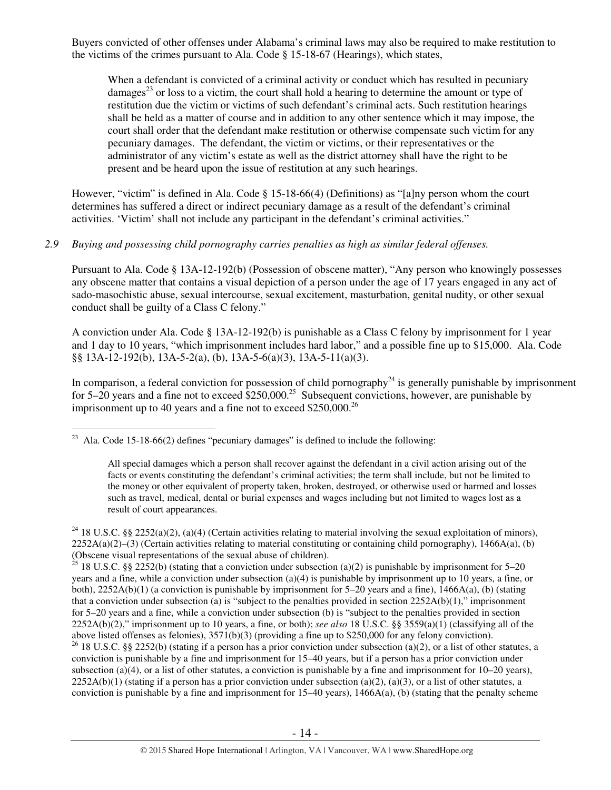Buyers convicted of other offenses under Alabama's criminal laws may also be required to make restitution to the victims of the crimes pursuant to Ala. Code § 15-18-67 (Hearings), which states,

When a defendant is convicted of a criminal activity or conduct which has resulted in pecuniary damages<sup>23</sup> or loss to a victim, the court shall hold a hearing to determine the amount or type of restitution due the victim or victims of such defendant's criminal acts. Such restitution hearings shall be held as a matter of course and in addition to any other sentence which it may impose, the court shall order that the defendant make restitution or otherwise compensate such victim for any pecuniary damages. The defendant, the victim or victims, or their representatives or the administrator of any victim's estate as well as the district attorney shall have the right to be present and be heard upon the issue of restitution at any such hearings.

However, "victim" is defined in Ala. Code § 15-18-66(4) (Definitions) as "[a]ny person whom the court determines has suffered a direct or indirect pecuniary damage as a result of the defendant's criminal activities. 'Victim' shall not include any participant in the defendant's criminal activities."

#### *2.9 Buying and possessing child pornography carries penalties as high as similar federal offenses.*

Pursuant to Ala. Code § 13A-12-192(b) (Possession of obscene matter), "Any person who knowingly possesses any obscene matter that contains a visual depiction of a person under the age of 17 years engaged in any act of sado-masochistic abuse, sexual intercourse, sexual excitement, masturbation, genital nudity, or other sexual conduct shall be guilty of a Class C felony."

A conviction under Ala. Code § 13A-12-192(b) is punishable as a Class C felony by imprisonment for 1 year and 1 day to 10 years, "which imprisonment includes hard labor," and a possible fine up to \$15,000. Ala. Code §§ 13A-12-192(b), 13A-5-2(a), (b), 13A-5-6(a)(3), 13A-5-11(a)(3).

In comparison, a federal conviction for possession of child pornography<sup>24</sup> is generally punishable by imprisonment for 5–20 years and a fine not to exceed  $$250,000.<sup>25</sup>$  Subsequent convictions, however, are punishable by imprisonment up to 40 years and a fine not to exceed  $$250,000.<sup>26</sup>$ 

 $\overline{a}$ <sup>23</sup> Ala. Code 15-18-66(2) defines "pecuniary damages" is defined to include the following:

All special damages which a person shall recover against the defendant in a civil action arising out of the facts or events constituting the defendant's criminal activities; the term shall include, but not be limited to the money or other equivalent of property taken, broken, destroyed, or otherwise used or harmed and losses such as travel, medical, dental or burial expenses and wages including but not limited to wages lost as a result of court appearances.

<sup>&</sup>lt;sup>24</sup> 18 U.S.C. §§ 2252(a)(2), (a)(4) (Certain activities relating to material involving the sexual exploitation of minors),  $2252A(a)(2)$ –(3) (Certain activities relating to material constituting or containing child pornography), 1466A(a), (b) (Obscene visual representations of the sexual abuse of children).

<sup>&</sup>lt;sup>25</sup> 18 U.S.C. §§ 2252(b) (stating that a conviction under subsection (a)(2) is punishable by imprisonment for 5–20 years and a fine, while a conviction under subsection (a)(4) is punishable by imprisonment up to 10 years, a fine, or both), 2252A(b)(1) (a conviction is punishable by imprisonment for 5–20 years and a fine), 1466A(a), (b) (stating that a conviction under subsection (a) is "subject to the penalties provided in section  $2252A(b)(1)$ ," imprisonment for 5–20 years and a fine, while a conviction under subsection (b) is "subject to the penalties provided in section 2252A(b)(2)," imprisonment up to 10 years, a fine, or both); *see also* 18 U.S.C. §§ 3559(a)(1) (classifying all of the above listed offenses as felonies), 3571(b)(3) (providing a fine up to \$250,000 for any felony conviction).

<sup>&</sup>lt;sup>26</sup> 18 U.S.C. §§ 2252(b) (stating if a person has a prior conviction under subsection (a)(2), or a list of other statutes, a conviction is punishable by a fine and imprisonment for 15–40 years, but if a person has a prior conviction under subsection (a)(4), or a list of other statutes, a conviction is punishable by a fine and imprisonment for  $10-20$  years),  $2252A(b)(1)$  (stating if a person has a prior conviction under subsection (a)(2), (a)(3), or a list of other statutes, a conviction is punishable by a fine and imprisonment for  $15-40$  years),  $1466A(a)$ , (b) (stating that the penalty scheme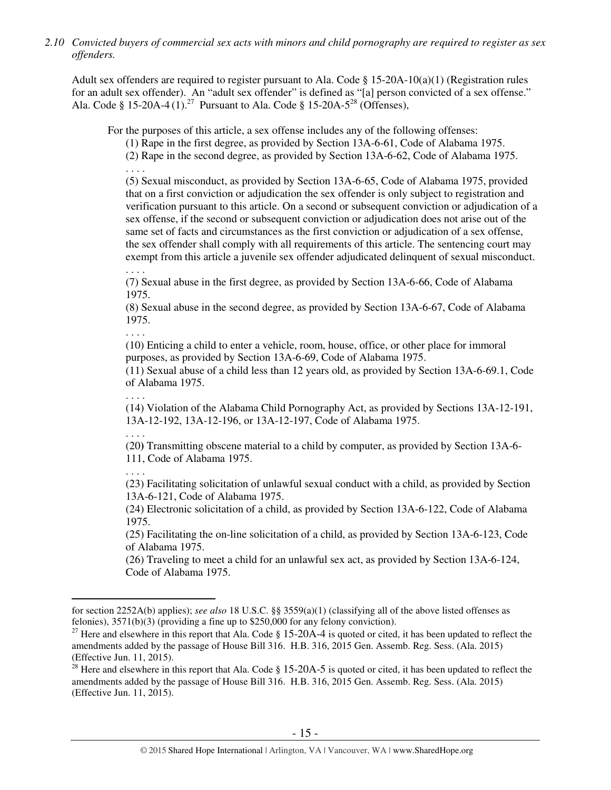*2.10 Convicted buyers of commercial sex acts with minors and child pornography are required to register as sex offenders.* 

Adult sex offenders are required to register pursuant to Ala. Code § 15-20A-10(a)(1) (Registration rules for an adult sex offender). An "adult sex offender" is defined as "[a] person convicted of a sex offense." Ala. Code § 15-20A-4 $(1)$ .<sup>27</sup> Pursuant to Ala. Code § 15-20A-5<sup>28</sup> (Offenses),

For the purposes of this article, a sex offense includes any of the following offenses:

(1) Rape in the first degree, as provided by Section 13A-6-61, Code of Alabama 1975.

(2) Rape in the second degree, as provided by Section 13A-6-62, Code of Alabama 1975. . . . .

(5) Sexual misconduct, as provided by Section 13A-6-65, Code of Alabama 1975, provided that on a first conviction or adjudication the sex offender is only subject to registration and verification pursuant to this article. On a second or subsequent conviction or adjudication of a sex offense, if the second or subsequent conviction or adjudication does not arise out of the same set of facts and circumstances as the first conviction or adjudication of a sex offense, the sex offender shall comply with all requirements of this article. The sentencing court may exempt from this article a juvenile sex offender adjudicated delinquent of sexual misconduct.

. . . .

(7) Sexual abuse in the first degree, as provided by Section 13A-6-66, Code of Alabama 1975.

(8) Sexual abuse in the second degree, as provided by Section 13A-6-67, Code of Alabama 1975.

. . . .

(10) Enticing a child to enter a vehicle, room, house, office, or other place for immoral purposes, as provided by Section 13A-6-69, Code of Alabama 1975.

(11) Sexual abuse of a child less than 12 years old, as provided by Section 13A-6-69.1, Code of Alabama 1975.

(14) Violation of the Alabama Child Pornography Act, as provided by Sections 13A-12-191, 13A-12-192, 13A-12-196, or 13A-12-197, Code of Alabama 1975.

. . . .

. . . .

(20**)** Transmitting obscene material to a child by computer, as provided by Section 13A-6- 111, Code of Alabama 1975.

. . . .

 $\overline{a}$ 

(23) Facilitating solicitation of unlawful sexual conduct with a child, as provided by Section 13A-6-121, Code of Alabama 1975.

(24) Electronic solicitation of a child, as provided by Section 13A-6-122, Code of Alabama 1975.

(25) Facilitating the on-line solicitation of a child, as provided by Section 13A-6-123, Code of Alabama 1975.

(26) Traveling to meet a child for an unlawful sex act, as provided by Section 13A-6-124, Code of Alabama 1975.

for section 2252A(b) applies); *see also* 18 U.S.C. §§ 3559(a)(1) (classifying all of the above listed offenses as felonies), 3571(b)(3) (providing a fine up to \$250,000 for any felony conviction).

<sup>&</sup>lt;sup>27</sup> Here and elsewhere in this report that Ala. Code § 15-20A-4 is quoted or cited, it has been updated to reflect the amendments added by the passage of House Bill 316. H.B. 316, 2015 Gen. Assemb. Reg. Sess. (Ala. 2015) (Effective Jun. 11, 2015).

<sup>&</sup>lt;sup>28</sup> Here and elsewhere in this report that Ala. Code  $\S$  15-20A-5 is quoted or cited, it has been updated to reflect the amendments added by the passage of House Bill 316. H.B. 316, 2015 Gen. Assemb. Reg. Sess. (Ala. 2015) (Effective Jun. 11, 2015).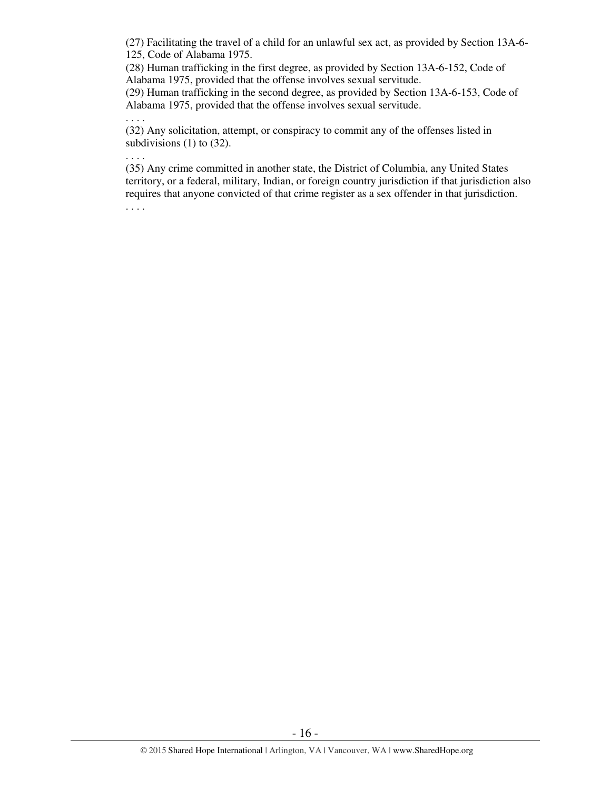(27) Facilitating the travel of a child for an unlawful sex act, as provided by Section 13A-6- 125, Code of Alabama 1975.

(28) Human trafficking in the first degree, as provided by Section 13A-6-152, Code of Alabama 1975, provided that the offense involves sexual servitude.

(29) Human trafficking in the second degree, as provided by Section 13A-6-153, Code of Alabama 1975, provided that the offense involves sexual servitude.

(32) Any solicitation, attempt, or conspiracy to commit any of the offenses listed in subdivisions (1) to (32).

. . . .

. . . .

(35) Any crime committed in another state, the District of Columbia, any United States territory, or a federal, military, Indian, or foreign country jurisdiction if that jurisdiction also requires that anyone convicted of that crime register as a sex offender in that jurisdiction.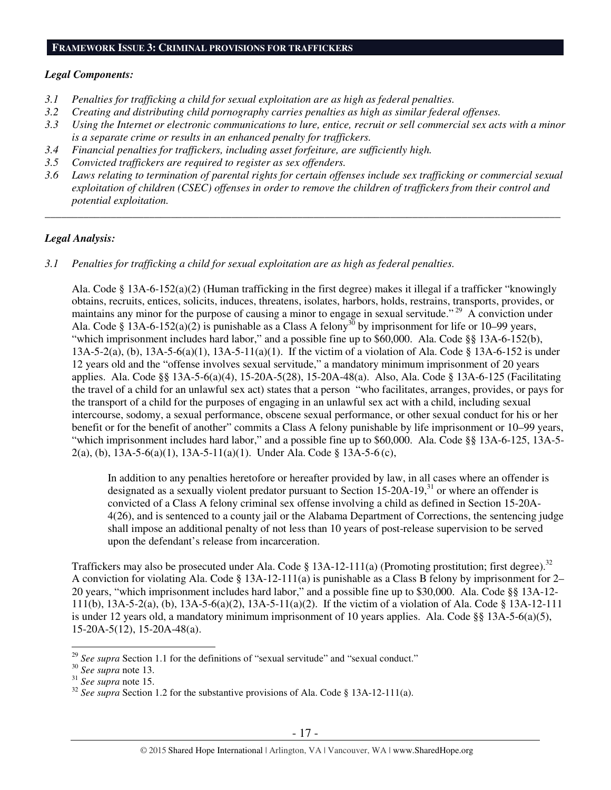#### **FRAMEWORK ISSUE 3: CRIMINAL PROVISIONS FOR TRAFFICKERS**

## *Legal Components:*

- *3.1 Penalties for trafficking a child for sexual exploitation are as high as federal penalties.*
- *3.2 Creating and distributing child pornography carries penalties as high as similar federal offenses.*
- *3.3 Using the Internet or electronic communications to lure, entice, recruit or sell commercial sex acts with a minor is a separate crime or results in an enhanced penalty for traffickers.*
- *3.4 Financial penalties for traffickers, including asset forfeiture, are sufficiently high.*
- *3.5 Convicted traffickers are required to register as sex offenders.*
- *3.6 Laws relating to termination of parental rights for certain offenses include sex trafficking or commercial sexual exploitation of children (CSEC) offenses in order to remove the children of traffickers from their control and potential exploitation.*

*\_\_\_\_\_\_\_\_\_\_\_\_\_\_\_\_\_\_\_\_\_\_\_\_\_\_\_\_\_\_\_\_\_\_\_\_\_\_\_\_\_\_\_\_\_\_\_\_\_\_\_\_\_\_\_\_\_\_\_\_\_\_\_\_\_\_\_\_\_\_\_\_\_\_\_\_\_\_\_\_\_\_\_\_\_\_\_\_\_\_\_\_\_\_* 

# *Legal Analysis:*

*3.1 Penalties for trafficking a child for sexual exploitation are as high as federal penalties.* 

Ala. Code § 13A-6-152(a)(2) (Human trafficking in the first degree) makes it illegal if a trafficker "knowingly obtains, recruits, entices, solicits, induces, threatens, isolates, harbors, holds, restrains, transports, provides, or maintains any minor for the purpose of causing a minor to engage in sexual servitude."<sup>29</sup> A conviction under Ala. Code § 13A-6-152(a)(2) is punishable as a Class A felony<sup>30</sup> by imprisonment for life or 10–99 years, "which imprisonment includes hard labor," and a possible fine up to \$60,000. Ala. Code §§ 13A-6-152(b), 13A-5-2(a), (b), 13A-5-6(a)(1), 13A-5-11(a)(1). If the victim of a violation of Ala. Code § 13A-6-152 is under 12 years old and the "offense involves sexual servitude," a mandatory minimum imprisonment of 20 years applies. Ala. Code §§ 13A-5-6(a)(4), 15-20A-5(28), 15-20A-48(a). Also, Ala. Code § 13A-6-125 (Facilitating the travel of a child for an unlawful sex act) states that a person "who facilitates, arranges, provides, or pays for the transport of a child for the purposes of engaging in an unlawful sex act with a child, including sexual intercourse, sodomy, a sexual performance, obscene sexual performance, or other sexual conduct for his or her benefit or for the benefit of another" commits a Class A felony punishable by life imprisonment or 10–99 years, "which imprisonment includes hard labor," and a possible fine up to \$60,000. Ala. Code §§ 13A-6-125, 13A-5- 2(a), (b), 13A-5-6(a)(1), 13A-5-11(a)(1). Under Ala. Code § 13A-5-6 (c),

In addition to any penalties heretofore or hereafter provided by law, in all cases where an offender is designated as a sexually violent predator pursuant to Section  $15{\text -}20A{\text -}19$ ,<sup>31</sup> or where an offender is convicted of a Class A felony criminal sex offense involving a child as defined in Section 15-20A-4(26), and is sentenced to a county jail or the Alabama Department of Corrections, the sentencing judge shall impose an additional penalty of not less than 10 years of post-release supervision to be served upon the defendant's release from incarceration.

Traffickers may also be prosecuted under Ala. Code § 13A-12-111(a) (Promoting prostitution; first degree).<sup>32</sup> A conviction for violating Ala. Code  $\S 13A-12-111(a)$  is punishable as a Class B felony by imprisonment for 2– 20 years, "which imprisonment includes hard labor," and a possible fine up to \$30,000. Ala. Code §§ 13A-12- 111(b), 13A-5-2(a), (b), 13A-5-6(a)(2), 13A-5-11(a)(2). If the victim of a violation of Ala. Code § 13A-12-111 is under 12 years old, a mandatory minimum imprisonment of 10 years applies. Ala. Code §§ 13A-5-6(a)(5), 15-20A-5(12), 15-20A-48(a).

 $\overline{a}$ 

<sup>&</sup>lt;sup>29</sup> See supra Section 1.1 for the definitions of "sexual servitude" and "sexual conduct."

<sup>30</sup> *See supra* note 13.

<sup>31</sup> *See supra* note 15.

<sup>&</sup>lt;sup>32</sup> *See supra* Section 1.2 for the substantive provisions of Ala. Code § 13A-12-111(a).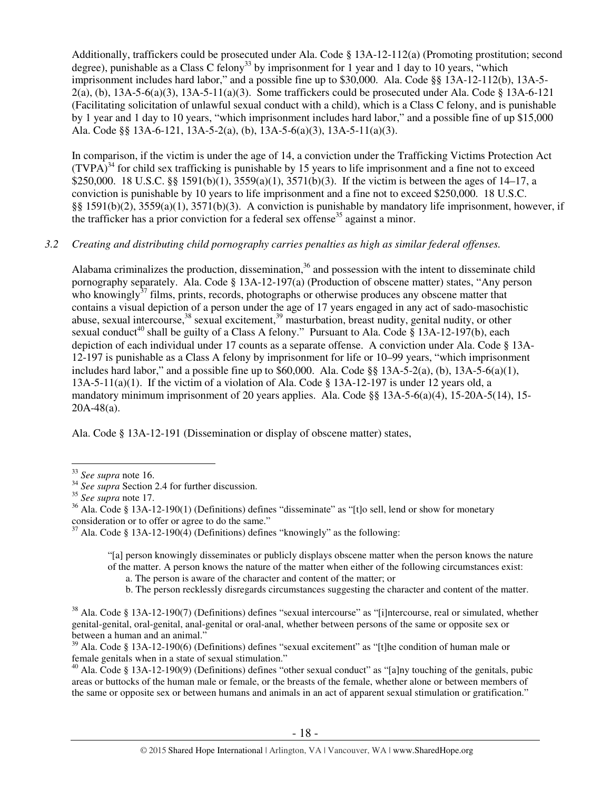Additionally, traffickers could be prosecuted under Ala. Code § 13A-12-112(a) (Promoting prostitution; second degree), punishable as a Class C felony<sup>33</sup> by imprisonment for 1 year and 1 day to 10 years, "which imprisonment includes hard labor," and a possible fine up to \$30,000. Ala. Code §§ 13A-12-112(b), 13A-5-  $2(a)$ , (b), 13A-5-6(a)(3), 13A-5-11(a)(3). Some traffickers could be prosecuted under Ala. Code § 13A-6-121 (Facilitating solicitation of unlawful sexual conduct with a child), which is a Class C felony, and is punishable by 1 year and 1 day to 10 years, "which imprisonment includes hard labor," and a possible fine of up \$15,000 Ala. Code §§ 13A-6-121, 13A-5-2(a), (b), 13A-5-6(a)(3), 13A-5-11(a)(3).

In comparison, if the victim is under the age of 14, a conviction under the Trafficking Victims Protection Act  $(TVPA)<sup>34</sup>$  for child sex trafficking is punishable by 15 years to life imprisonment and a fine not to exceed \$250,000. 18 U.S.C. §§ 1591(b)(1), 3559(a)(1), 3571(b)(3). If the victim is between the ages of 14–17, a conviction is punishable by 10 years to life imprisonment and a fine not to exceed \$250,000. 18 U.S.C. §§ 1591(b)(2), 3559(a)(1), 3571(b)(3). A conviction is punishable by mandatory life imprisonment, however, if the trafficker has a prior conviction for a federal sex offense<sup>35</sup> against a minor.

# *3.2 Creating and distributing child pornography carries penalties as high as similar federal offenses.*

Alabama criminalizes the production, dissemination,<sup>36</sup> and possession with the intent to disseminate child pornography separately. Ala. Code § 13A-12-197(a) (Production of obscene matter) states, "Any person who knowingly $37$  films, prints, records, photographs or otherwise produces any obscene matter that contains a visual depiction of a person under the age of 17 years engaged in any act of sado-masochistic abuse, sexual intercourse,<sup>38</sup> sexual excitement,<sup>39</sup> masturbation, breast nudity, genital nudity, or other sexual conduct<sup>40</sup> shall be guilty of a Class A felony." Pursuant to Ala. Code § 13A-12-197(b), each depiction of each individual under 17 counts as a separate offense. A conviction under Ala. Code § 13A-12-197 is punishable as a Class A felony by imprisonment for life or 10–99 years, "which imprisonment includes hard labor," and a possible fine up to  $$60,000$ . Ala. Code §§ 13A-5-2(a), (b), 13A-5-6(a)(1), 13A-5-11(a)(1). If the victim of a violation of Ala. Code § 13A-12-197 is under 12 years old, a mandatory minimum imprisonment of 20 years applies. Ala. Code §§ 13A-5-6(a)(4), 15-20A-5(14), 15- 20A-48(a).

Ala. Code § 13A-12-191 (Dissemination or display of obscene matter) states,

"[a] person knowingly disseminates or publicly displays obscene matter when the person knows the nature of the matter. A person knows the nature of the matter when either of the following circumstances exist:

a. The person is aware of the character and content of the matter; or

b. The person recklessly disregards circumstances suggesting the character and content of the matter.

 $38$  Ala. Code § 13A-12-190(7) (Definitions) defines "sexual intercourse" as "[i]ntercourse, real or simulated, whether genital-genital, oral-genital, anal-genital or oral-anal, whether between persons of the same or opposite sex or between a human and an animal."

 $39$  Ala. Code § 13A-12-190(6) (Definitions) defines "sexual excitement" as "[t]he condition of human male or female genitals when in a state of sexual stimulation."

 $40$  Ala. Code § 13A-12-190(9) (Definitions) defines "other sexual conduct" as "[a]ny touching of the genitals, pubic areas or buttocks of the human male or female, or the breasts of the female, whether alone or between members of the same or opposite sex or between humans and animals in an act of apparent sexual stimulation or gratification."

 $\overline{a}$ <sup>33</sup> *See supra* note 16.

<sup>&</sup>lt;sup>34</sup> *See supra* Section 2.4 for further discussion.

<sup>35</sup> *See supra* note 17.

 $36$  Ala. Code § 13A-12-190(1) (Definitions) defines "disseminate" as "[t]o sell, lend or show for monetary consideration or to offer or agree to do the same."

 $37$  Ala. Code § 13A-12-190(4) (Definitions) defines "knowingly" as the following: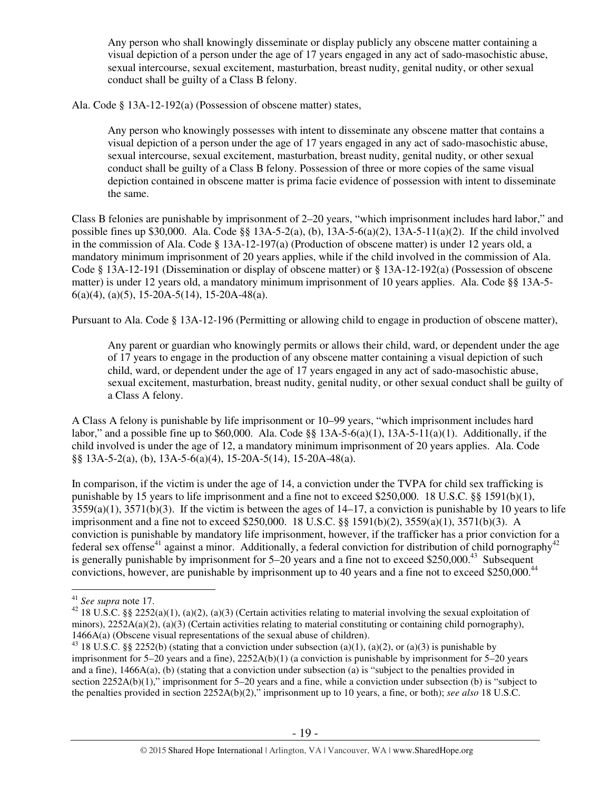Any person who shall knowingly disseminate or display publicly any obscene matter containing a visual depiction of a person under the age of 17 years engaged in any act of sado-masochistic abuse, sexual intercourse, sexual excitement, masturbation, breast nudity, genital nudity, or other sexual conduct shall be guilty of a Class B felony.

Ala. Code § 13A-12-192(a) (Possession of obscene matter) states,

Any person who knowingly possesses with intent to disseminate any obscene matter that contains a visual depiction of a person under the age of 17 years engaged in any act of sado-masochistic abuse, sexual intercourse, sexual excitement, masturbation, breast nudity, genital nudity, or other sexual conduct shall be guilty of a Class B felony. Possession of three or more copies of the same visual depiction contained in obscene matter is prima facie evidence of possession with intent to disseminate the same.

Class B felonies are punishable by imprisonment of 2–20 years, "which imprisonment includes hard labor," and possible fines up \$30,000. Ala. Code §§ 13A-5-2(a), (b), 13A-5-6(a)(2), 13A-5-11(a)(2). If the child involved in the commission of Ala. Code § 13A-12-197(a) (Production of obscene matter) is under 12 years old, a mandatory minimum imprisonment of 20 years applies, while if the child involved in the commission of Ala. Code § 13A-12-191 (Dissemination or display of obscene matter) or § 13A-12-192(a) (Possession of obscene matter) is under 12 years old, a mandatory minimum imprisonment of 10 years applies. Ala. Code §§ 13A-5-  $6(a)(4)$ ,  $(a)(5)$ , 15-20A-5(14), 15-20A-48(a).

Pursuant to Ala. Code § 13A-12-196 (Permitting or allowing child to engage in production of obscene matter),

Any parent or guardian who knowingly permits or allows their child, ward, or dependent under the age of 17 years to engage in the production of any obscene matter containing a visual depiction of such child, ward, or dependent under the age of 17 years engaged in any act of sado-masochistic abuse, sexual excitement, masturbation, breast nudity, genital nudity, or other sexual conduct shall be guilty of a Class A felony.

A Class A felony is punishable by life imprisonment or 10–99 years, "which imprisonment includes hard labor," and a possible fine up to  $$60,000$ . Ala. Code  $\$  13A-5-6(a)(1), 13A-5-11(a)(1). Additionally, if the child involved is under the age of 12, a mandatory minimum imprisonment of 20 years applies. Ala. Code §§ 13A-5-2(a), (b), 13A-5-6(a)(4), 15-20A-5(14), 15-20A-48(a).

In comparison, if the victim is under the age of 14, a conviction under the TVPA for child sex trafficking is punishable by 15 years to life imprisonment and a fine not to exceed \$250,000. 18 U.S.C. §§ 1591(b)(1),  $3559(a)(1)$ ,  $3571(b)(3)$ . If the victim is between the ages of  $14-17$ , a conviction is punishable by 10 years to life imprisonment and a fine not to exceed \$250,000. 18 U.S.C. §§ 1591(b)(2), 3559(a)(1), 3571(b)(3). A conviction is punishable by mandatory life imprisonment, however, if the trafficker has a prior conviction for a federal sex offense<sup>41</sup> against a minor. Additionally, a federal conviction for distribution of child pornography<sup>42</sup> is generally punishable by imprisonment for  $5-20$  years and a fine not to exceed \$250,000.<sup>43</sup> Subsequent convictions, however, are punishable by imprisonment up to 40 years and a fine not to exceed \$250,000.<sup>44</sup>

 $\overline{a}$ <sup>41</sup> *See supra* note 17.

<sup>&</sup>lt;sup>42</sup> 18 U.S.C. §§ 2252(a)(1), (a)(2), (a)(3) (Certain activities relating to material involving the sexual exploitation of minors),  $2252A(a)(2)$ , (a)(3) (Certain activities relating to material constituting or containing child pornography), 1466A(a) (Obscene visual representations of the sexual abuse of children).

<sup>&</sup>lt;sup>43</sup> 18 U.S.C. §§ 2252(b) (stating that a conviction under subsection (a)(1), (a)(2), or (a)(3) is punishable by imprisonment for 5–20 years and a fine), 2252A(b)(1) (a conviction is punishable by imprisonment for 5–20 years and a fine), 1466A(a), (b) (stating that a conviction under subsection (a) is "subject to the penalties provided in section 2252A(b)(1)," imprisonment for 5–20 years and a fine, while a conviction under subsection (b) is "subject to the penalties provided in section 2252A(b)(2)," imprisonment up to 10 years, a fine, or both); *see also* 18 U.S.C.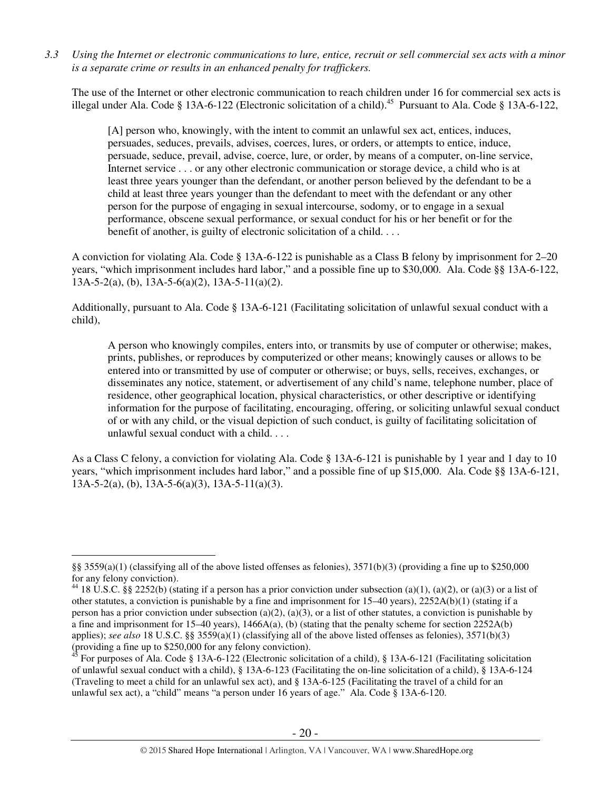*3.3 Using the Internet or electronic communications to lure, entice, recruit or sell commercial sex acts with a minor is a separate crime or results in an enhanced penalty for traffickers.* 

The use of the Internet or other electronic communication to reach children under 16 for commercial sex acts is illegal under Ala. Code § 13A-6-122 (Electronic solicitation of a child).<sup>45</sup> Pursuant to Ala. Code § 13A-6-122,

[A] person who, knowingly, with the intent to commit an unlawful sex act, entices, induces, persuades, seduces, prevails, advises, coerces, lures, or orders, or attempts to entice, induce, persuade, seduce, prevail, advise, coerce, lure, or order, by means of a computer, on-line service, Internet service . . . or any other electronic communication or storage device, a child who is at least three years younger than the defendant, or another person believed by the defendant to be a child at least three years younger than the defendant to meet with the defendant or any other person for the purpose of engaging in sexual intercourse, sodomy, or to engage in a sexual performance, obscene sexual performance, or sexual conduct for his or her benefit or for the benefit of another, is guilty of electronic solicitation of a child. . . .

A conviction for violating Ala. Code § 13A-6-122 is punishable as a Class B felony by imprisonment for 2–20 years, "which imprisonment includes hard labor," and a possible fine up to \$30,000. Ala. Code §§ 13A-6-122,  $13A-5-2(a)$ , (b),  $13A-5-6(a)(2)$ ,  $13A-5-11(a)(2)$ .

Additionally, pursuant to Ala. Code § 13A-6-121 (Facilitating solicitation of unlawful sexual conduct with a child),

A person who knowingly compiles, enters into, or transmits by use of computer or otherwise; makes, prints, publishes, or reproduces by computerized or other means; knowingly causes or allows to be entered into or transmitted by use of computer or otherwise; or buys, sells, receives, exchanges, or disseminates any notice, statement, or advertisement of any child's name, telephone number, place of residence, other geographical location, physical characteristics, or other descriptive or identifying information for the purpose of facilitating, encouraging, offering, or soliciting unlawful sexual conduct of or with any child, or the visual depiction of such conduct, is guilty of facilitating solicitation of unlawful sexual conduct with a child. . . .

As a Class C felony, a conviction for violating Ala. Code § 13A-6-121 is punishable by 1 year and 1 day to 10 years, "which imprisonment includes hard labor," and a possible fine of up \$15,000. Ala. Code §§ 13A-6-121,  $13A-5-2(a)$ , (b),  $13A-5-6(a)(3)$ ,  $13A-5-11(a)(3)$ .

 $\overline{a}$ 

<sup>§§ 3559(</sup>a)(1) (classifying all of the above listed offenses as felonies), 3571(b)(3) (providing a fine up to \$250,000 for any felony conviction).

<sup>&</sup>lt;sup>44</sup> 18 U.S.C. §§ 2252(b) (stating if a person has a prior conviction under subsection (a)(1), (a)(2), or (a)(3) or a list of other statutes, a conviction is punishable by a fine and imprisonment for 15–40 years), 2252A(b)(1) (stating if a person has a prior conviction under subsection (a)(2), (a)(3), or a list of other statutes, a conviction is punishable by a fine and imprisonment for  $15-40$  years),  $1466A(a)$ , (b) (stating that the penalty scheme for section  $2252A(b)$ applies); *see also* 18 U.S.C. §§ 3559(a)(1) (classifying all of the above listed offenses as felonies), 3571(b)(3) (providing a fine up to \$250,000 for any felony conviction).

 $45$  For purposes of Ala. Code § 13A-6-122 (Electronic solicitation of a child), § 13A-6-121 (Facilitating solicitation of unlawful sexual conduct with a child), § 13A-6-123 (Facilitating the on-line solicitation of a child), § 13A-6-124 (Traveling to meet a child for an unlawful sex act), and § 13A-6-125 (Facilitating the travel of a child for an unlawful sex act), a "child" means "a person under 16 years of age." Ala. Code § 13A-6-120.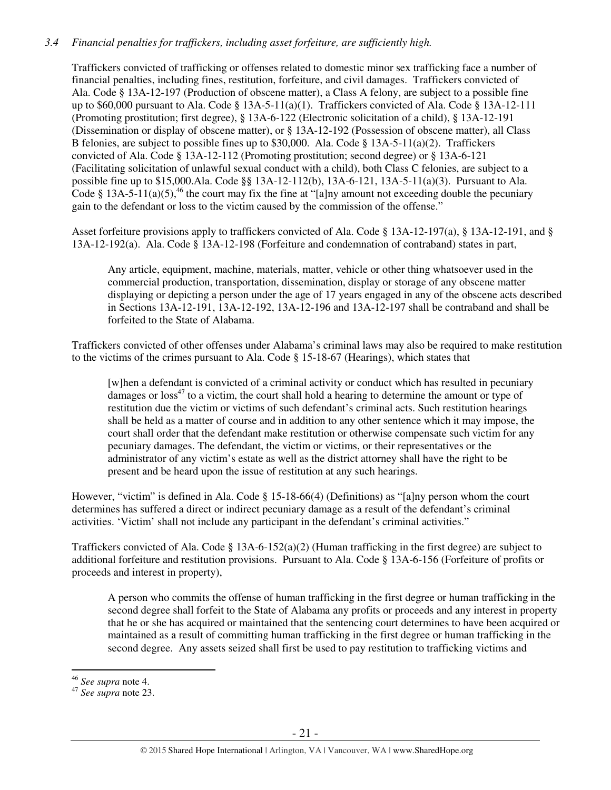# *3.4 Financial penalties for traffickers, including asset forfeiture, are sufficiently high.*

Traffickers convicted of trafficking or offenses related to domestic minor sex trafficking face a number of financial penalties, including fines, restitution, forfeiture, and civil damages. Traffickers convicted of Ala. Code § 13A-12-197 (Production of obscene matter), a Class A felony, are subject to a possible fine up to \$60,000 pursuant to Ala. Code § 13A-5-11(a)(1). Traffickers convicted of Ala. Code § 13A-12-111 (Promoting prostitution; first degree), § 13A-6-122 (Electronic solicitation of a child), § 13A-12-191 (Dissemination or display of obscene matter), or § 13A-12-192 (Possession of obscene matter), all Class B felonies, are subject to possible fines up to \$30,000. Ala. Code § 13A-5-11(a)(2). Traffickers convicted of Ala. Code § 13A-12-112 (Promoting prostitution; second degree) or § 13A-6-121 (Facilitating solicitation of unlawful sexual conduct with a child), both Class C felonies, are subject to a possible fine up to \$15,000.Ala. Code §§ 13A-12-112(b), 13A-6-121, 13A-5-11(a)(3). Pursuant to Ala. Code § 13A-5-11(a)(5),<sup>46</sup> the court may fix the fine at "[a]ny amount not exceeding double the pecuniary gain to the defendant or loss to the victim caused by the commission of the offense."

Asset forfeiture provisions apply to traffickers convicted of Ala. Code § 13A-12-197(a), § 13A-12-191, and § 13A-12-192(a). Ala. Code § 13A-12-198 (Forfeiture and condemnation of contraband) states in part,

Any article, equipment, machine, materials, matter, vehicle or other thing whatsoever used in the commercial production, transportation, dissemination, display or storage of any obscene matter displaying or depicting a person under the age of 17 years engaged in any of the obscene acts described in Sections 13A-12-191, 13A-12-192, 13A-12-196 and 13A-12-197 shall be contraband and shall be forfeited to the State of Alabama.

Traffickers convicted of other offenses under Alabama's criminal laws may also be required to make restitution to the victims of the crimes pursuant to Ala. Code  $\S$  15-18-67 (Hearings), which states that

[w]hen a defendant is convicted of a criminal activity or conduct which has resulted in pecuniary damages or  $\cos^{47}$  to a victim, the court shall hold a hearing to determine the amount or type of restitution due the victim or victims of such defendant's criminal acts. Such restitution hearings shall be held as a matter of course and in addition to any other sentence which it may impose, the court shall order that the defendant make restitution or otherwise compensate such victim for any pecuniary damages. The defendant, the victim or victims, or their representatives or the administrator of any victim's estate as well as the district attorney shall have the right to be present and be heard upon the issue of restitution at any such hearings.

However, "victim" is defined in Ala. Code § 15-18-66(4) (Definitions) as "[a]ny person whom the court determines has suffered a direct or indirect pecuniary damage as a result of the defendant's criminal activities. 'Victim' shall not include any participant in the defendant's criminal activities."

Traffickers convicted of Ala. Code §  $13A-6-152(a)(2)$  (Human trafficking in the first degree) are subject to additional forfeiture and restitution provisions. Pursuant to Ala. Code § 13A-6-156 (Forfeiture of profits or proceeds and interest in property),

A person who commits the offense of human trafficking in the first degree or human trafficking in the second degree shall forfeit to the State of Alabama any profits or proceeds and any interest in property that he or she has acquired or maintained that the sentencing court determines to have been acquired or maintained as a result of committing human trafficking in the first degree or human trafficking in the second degree. Any assets seized shall first be used to pay restitution to trafficking victims and

 $\overline{a}$ 

<sup>46</sup> *See supra* note 4.

<sup>47</sup> *See supra* note 23.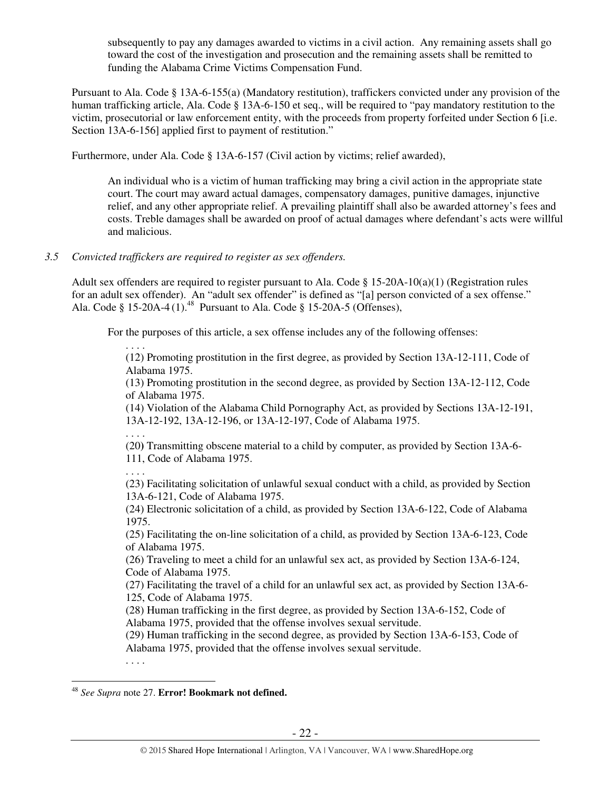subsequently to pay any damages awarded to victims in a civil action. Any remaining assets shall go toward the cost of the investigation and prosecution and the remaining assets shall be remitted to funding the Alabama Crime Victims Compensation Fund.

Pursuant to Ala. Code § 13A-6-155(a) (Mandatory restitution), traffickers convicted under any provision of the human trafficking article, Ala. Code § 13A-6-150 et seq., will be required to "pay mandatory restitution to the victim, prosecutorial or law enforcement entity, with the proceeds from property forfeited under Section 6 [i.e. Section 13A-6-156] applied first to payment of restitution."

Furthermore, under Ala. Code § 13A-6-157 (Civil action by victims; relief awarded),

An individual who is a victim of human trafficking may bring a civil action in the appropriate state court. The court may award actual damages, compensatory damages, punitive damages, injunctive relief, and any other appropriate relief. A prevailing plaintiff shall also be awarded attorney's fees and costs. Treble damages shall be awarded on proof of actual damages where defendant's acts were willful and malicious.

# *3.5 Convicted traffickers are required to register as sex offenders.*

Adult sex offenders are required to register pursuant to Ala. Code § 15-20A-10(a)(1) (Registration rules for an adult sex offender). An "adult sex offender" is defined as "[a] person convicted of a sex offense." Ala. Code § 15-20A-4 $(1)$ <sup>48</sup> Pursuant to Ala. Code § 15-20A-5 (Offenses),

For the purposes of this article, a sex offense includes any of the following offenses:

. . . .

(12) Promoting prostitution in the first degree, as provided by Section 13A-12-111, Code of Alabama 1975.

(13) Promoting prostitution in the second degree, as provided by Section 13A-12-112, Code of Alabama 1975.

(14) Violation of the Alabama Child Pornography Act, as provided by Sections 13A-12-191, 13A-12-192, 13A-12-196, or 13A-12-197, Code of Alabama 1975.

. . . .

(20**)** Transmitting obscene material to a child by computer, as provided by Section 13A-6- 111, Code of Alabama 1975.

. . . .

(23) Facilitating solicitation of unlawful sexual conduct with a child, as provided by Section 13A-6-121, Code of Alabama 1975.

(24) Electronic solicitation of a child, as provided by Section 13A-6-122, Code of Alabama 1975.

(25) Facilitating the on-line solicitation of a child, as provided by Section 13A-6-123, Code of Alabama 1975.

(26) Traveling to meet a child for an unlawful sex act, as provided by Section 13A-6-124, Code of Alabama 1975.

(27) Facilitating the travel of a child for an unlawful sex act, as provided by Section 13A-6- 125, Code of Alabama 1975.

(28) Human trafficking in the first degree, as provided by Section 13A-6-152, Code of Alabama 1975, provided that the offense involves sexual servitude.

(29) Human trafficking in the second degree, as provided by Section 13A-6-153, Code of Alabama 1975, provided that the offense involves sexual servitude.

 $\overline{a}$ <sup>48</sup> *See Supra* note 27. **Error! Bookmark not defined.**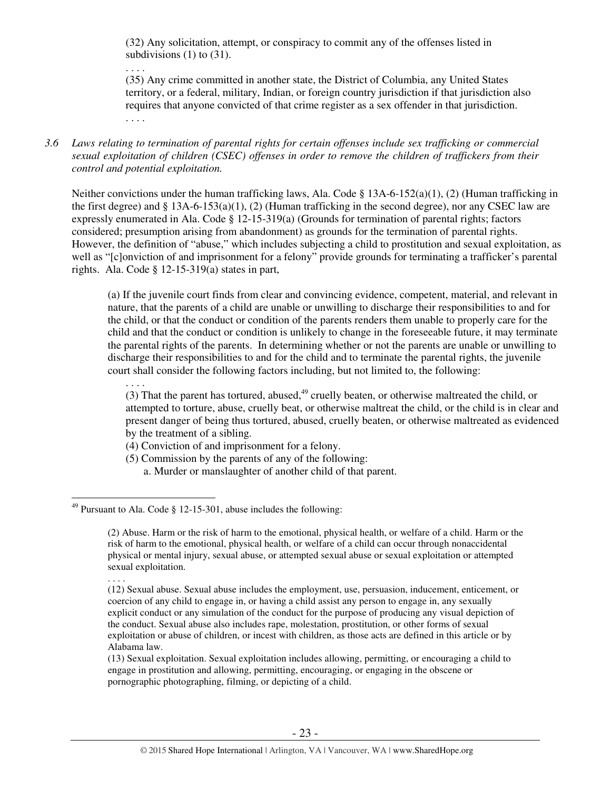(32) Any solicitation, attempt, or conspiracy to commit any of the offenses listed in subdivisions (1) to (31).

. . . .

(35) Any crime committed in another state, the District of Columbia, any United States territory, or a federal, military, Indian, or foreign country jurisdiction if that jurisdiction also requires that anyone convicted of that crime register as a sex offender in that jurisdiction. . . . .

*3.6 Laws relating to termination of parental rights for certain offenses include sex trafficking or commercial sexual exploitation of children (CSEC) offenses in order to remove the children of traffickers from their control and potential exploitation.* 

Neither convictions under the human trafficking laws, Ala. Code § 13A-6-152(a)(1), (2) (Human trafficking in the first degree) and  $\S 13A-6-153(a)(1)$ , (2) (Human trafficking in the second degree), nor any CSEC law are expressly enumerated in Ala. Code § 12-15-319(a) (Grounds for termination of parental rights; factors considered; presumption arising from abandonment) as grounds for the termination of parental rights. However, the definition of "abuse," which includes subjecting a child to prostitution and sexual exploitation, as well as "[c]onviction of and imprisonment for a felony" provide grounds for terminating a trafficker's parental rights. Ala. Code  $\S$  12-15-319(a) states in part,

(a) If the juvenile court finds from clear and convincing evidence, competent, material, and relevant in nature, that the parents of a child are unable or unwilling to discharge their responsibilities to and for the child, or that the conduct or condition of the parents renders them unable to properly care for the child and that the conduct or condition is unlikely to change in the foreseeable future, it may terminate the parental rights of the parents. In determining whether or not the parents are unable or unwilling to discharge their responsibilities to and for the child and to terminate the parental rights, the juvenile court shall consider the following factors including, but not limited to, the following:

. . . . (3) That the parent has tortured, abused, $49$  cruelly beaten, or otherwise maltreated the child, or attempted to torture, abuse, cruelly beat, or otherwise maltreat the child, or the child is in clear and present danger of being thus tortured, abused, cruelly beaten, or otherwise maltreated as evidenced by the treatment of a sibling.

- (4) Conviction of and imprisonment for a felony.
- (5) Commission by the parents of any of the following: a. Murder or manslaughter of another child of that parent.

 $\overline{a}$  $^{49}$  Pursuant to Ala. Code § 12-15-301, abuse includes the following:

<sup>(2)</sup> Abuse. Harm or the risk of harm to the emotional, physical health, or welfare of a child. Harm or the risk of harm to the emotional, physical health, or welfare of a child can occur through nonaccidental physical or mental injury, sexual abuse, or attempted sexual abuse or sexual exploitation or attempted sexual exploitation.

<sup>(12)</sup> Sexual abuse. Sexual abuse includes the employment, use, persuasion, inducement, enticement, or coercion of any child to engage in, or having a child assist any person to engage in, any sexually explicit conduct or any simulation of the conduct for the purpose of producing any visual depiction of the conduct. Sexual abuse also includes rape, molestation, prostitution, or other forms of sexual exploitation or abuse of children, or incest with children, as those acts are defined in this article or by Alabama law.

<sup>(13)</sup> Sexual exploitation. Sexual exploitation includes allowing, permitting, or encouraging a child to engage in prostitution and allowing, permitting, encouraging, or engaging in the obscene or pornographic photographing, filming, or depicting of a child.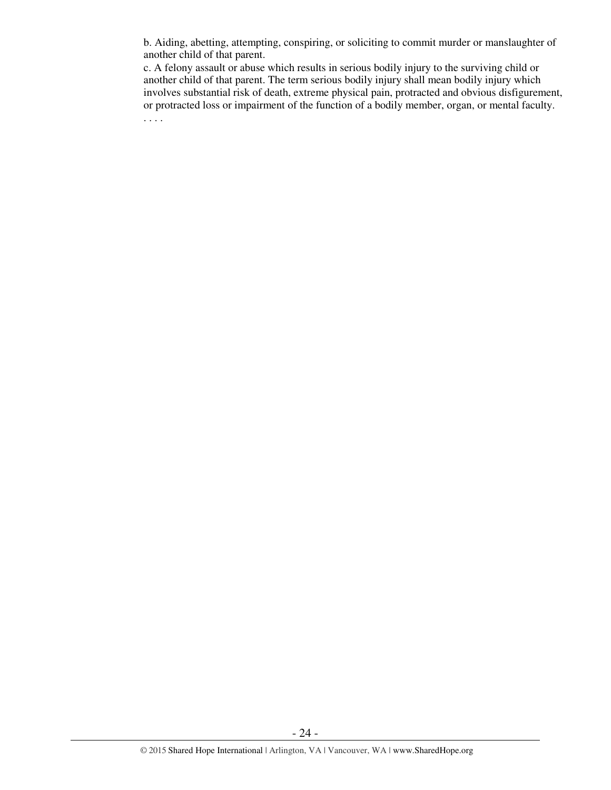b. Aiding, abetting, attempting, conspiring, or soliciting to commit murder or manslaughter of another child of that parent.

c. A felony assault or abuse which results in serious bodily injury to the surviving child or another child of that parent. The term serious bodily injury shall mean bodily injury which involves substantial risk of death, extreme physical pain, protracted and obvious disfigurement, or protracted loss or impairment of the function of a bodily member, organ, or mental faculty.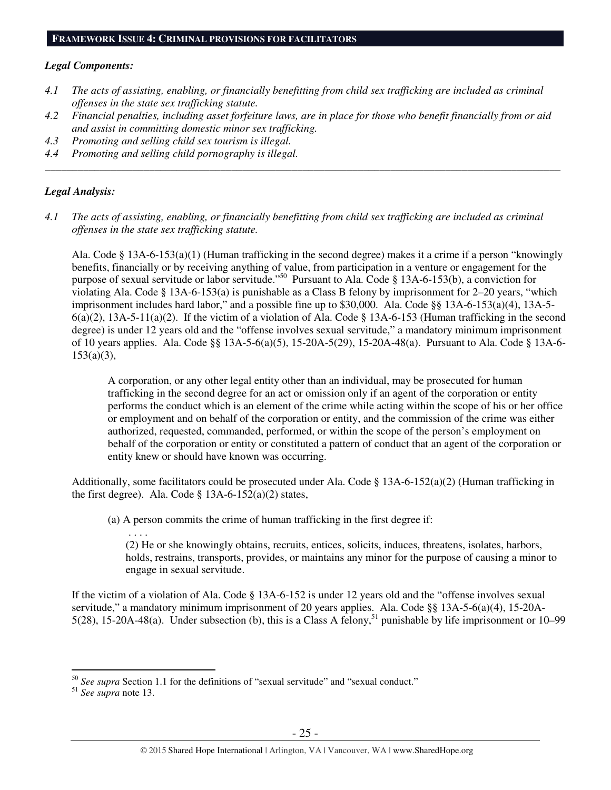#### **FRAMEWORK ISSUE 4: CRIMINAL PROVISIONS FOR FACILITATORS**

#### *Legal Components:*

- *4.1 The acts of assisting, enabling, or financially benefitting from child sex trafficking are included as criminal offenses in the state sex trafficking statute.*
- *4.2 Financial penalties, including asset forfeiture laws, are in place for those who benefit financially from or aid and assist in committing domestic minor sex trafficking.*

*\_\_\_\_\_\_\_\_\_\_\_\_\_\_\_\_\_\_\_\_\_\_\_\_\_\_\_\_\_\_\_\_\_\_\_\_\_\_\_\_\_\_\_\_\_\_\_\_\_\_\_\_\_\_\_\_\_\_\_\_\_\_\_\_\_\_\_\_\_\_\_\_\_\_\_\_\_\_\_\_\_\_\_\_\_\_\_\_\_\_\_\_\_\_* 

- *4.3 Promoting and selling child sex tourism is illegal.*
- *4.4 Promoting and selling child pornography is illegal.*

#### *Legal Analysis:*

*4.1 The acts of assisting, enabling, or financially benefitting from child sex trafficking are included as criminal offenses in the state sex trafficking statute.* 

Ala. Code § 13A-6-153(a)(1) (Human trafficking in the second degree) makes it a crime if a person "knowingly benefits, financially or by receiving anything of value, from participation in a venture or engagement for the purpose of sexual servitude or labor servitude."<sup>50</sup> Pursuant to Ala. Code § 13A-6-153(b), a conviction for violating Ala. Code § 13A-6-153(a) is punishable as a Class B felony by imprisonment for 2–20 years, "which imprisonment includes hard labor," and a possible fine up to \$30,000. Ala. Code §§ 13A-6-153(a)(4), 13A-5-  $6(a)(2)$ , 13A-5-11(a)(2). If the victim of a violation of Ala. Code § 13A-6-153 (Human trafficking in the second degree) is under 12 years old and the "offense involves sexual servitude," a mandatory minimum imprisonment of 10 years applies. Ala. Code §§ 13A-5-6(a)(5), 15-20A-5(29), 15-20A-48(a). Pursuant to Ala. Code § 13A-6-  $153(a)(3)$ ,

A corporation, or any other legal entity other than an individual, may be prosecuted for human trafficking in the second degree for an act or omission only if an agent of the corporation or entity performs the conduct which is an element of the crime while acting within the scope of his or her office or employment and on behalf of the corporation or entity, and the commission of the crime was either authorized, requested, commanded, performed, or within the scope of the person's employment on behalf of the corporation or entity or constituted a pattern of conduct that an agent of the corporation or entity knew or should have known was occurring.

Additionally, some facilitators could be prosecuted under Ala. Code § 13A-6-152(a)(2) (Human trafficking in the first degree). Ala. Code  $\S$  13A-6-152(a)(2) states,

(a) A person commits the crime of human trafficking in the first degree if:

(2) He or she knowingly obtains, recruits, entices, solicits, induces, threatens, isolates, harbors, holds, restrains, transports, provides, or maintains any minor for the purpose of causing a minor to engage in sexual servitude.

If the victim of a violation of Ala. Code § 13A-6-152 is under 12 years old and the "offense involves sexual servitude," a mandatory minimum imprisonment of 20 years applies. Ala. Code §§ 13A-5-6(a)(4), 15-20A-5(28), 15-20A-48(a). Under subsection (b), this is a Class A felony,<sup>51</sup> punishable by life imprisonment or 10–99

 $\overline{a}$ <sup>50</sup> *See supra* Section 1.1 for the definitions of "sexual servitude" and "sexual conduct."

<sup>51</sup> *See supra* note 13.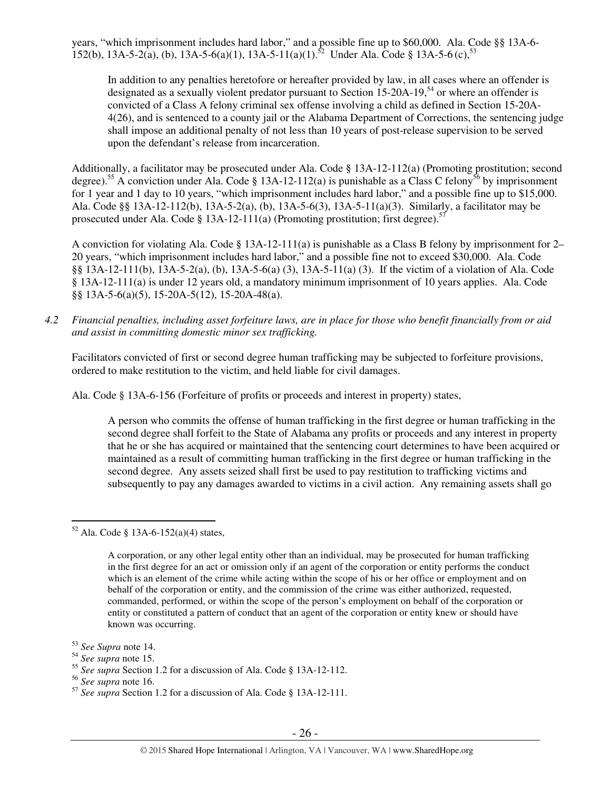years, "which imprisonment includes hard labor," and a possible fine up to \$60,000. Ala. Code §§ 13A-6- 152(b), 13A-5-2(a), (b), 13A-5-6(a)(1), 13A-5-11(a)(1).<sup>52</sup> Under Ala. Code § 13A-5-6(c),<sup>53</sup>

In addition to any penalties heretofore or hereafter provided by law, in all cases where an offender is designated as a sexually violent predator pursuant to Section 15-20A-19,<sup>54</sup> or where an offender is convicted of a Class A felony criminal sex offense involving a child as defined in Section 15-20A-4(26), and is sentenced to a county jail or the Alabama Department of Corrections, the sentencing judge shall impose an additional penalty of not less than 10 years of post-release supervision to be served upon the defendant's release from incarceration.

Additionally, a facilitator may be prosecuted under Ala. Code § 13A-12-112(a) (Promoting prostitution; second degree).<sup>55</sup> A conviction under Ala. Code § 13A-12-112(a) is punishable as a Class C felony<sup>56</sup> by imprisonment for 1 year and 1 day to 10 years, "which imprisonment includes hard labor," and a possible fine up to \$15,000. Ala. Code §§ 13A-12-112(b), 13A-5-2(a), (b), 13A-5-6(3), 13A-5-11(a)(3). Similarly, a facilitator may be prosecuted under Ala. Code § 13A-12-111(a) (Promoting prostitution; first degree).<sup>57</sup>

A conviction for violating Ala. Code  $\S 13A-12-111(a)$  is punishable as a Class B felony by imprisonment for 2– 20 years, "which imprisonment includes hard labor," and a possible fine not to exceed \$30,000. Ala. Code §§ 13A-12-111(b), 13A-5-2(a), (b), 13A-5-6(a) (3), 13A-5-11(a) (3). If the victim of a violation of Ala. Code § 13A-12-111(a) is under 12 years old, a mandatory minimum imprisonment of 10 years applies. Ala. Code §§ 13A-5-6(a)(5), 15-20A-5(12), 15-20A-48(a).

*4.2 Financial penalties, including asset forfeiture laws, are in place for those who benefit financially from or aid and assist in committing domestic minor sex trafficking.* 

Facilitators convicted of first or second degree human trafficking may be subjected to forfeiture provisions, ordered to make restitution to the victim, and held liable for civil damages.

Ala. Code § 13A-6-156 (Forfeiture of profits or proceeds and interest in property) states,

A person who commits the offense of human trafficking in the first degree or human trafficking in the second degree shall forfeit to the State of Alabama any profits or proceeds and any interest in property that he or she has acquired or maintained that the sentencing court determines to have been acquired or maintained as a result of committing human trafficking in the first degree or human trafficking in the second degree. Any assets seized shall first be used to pay restitution to trafficking victims and subsequently to pay any damages awarded to victims in a civil action. Any remaining assets shall go

 $\overline{a}$  $52$  Ala. Code § 13A-6-152(a)(4) states,

A corporation, or any other legal entity other than an individual, may be prosecuted for human trafficking in the first degree for an act or omission only if an agent of the corporation or entity performs the conduct which is an element of the crime while acting within the scope of his or her office or employment and on behalf of the corporation or entity, and the commission of the crime was either authorized, requested, commanded, performed, or within the scope of the person's employment on behalf of the corporation or entity or constituted a pattern of conduct that an agent of the corporation or entity knew or should have known was occurring.

<sup>53</sup> *See Supra* note 14.

<sup>54</sup> *See supra* note 15.

<sup>55</sup> *See supra* Section 1.2 for a discussion of Ala. Code § 13A-12-112.

<sup>56</sup> *See supra* note 16.

<sup>57</sup> *See supra* Section 1.2 for a discussion of Ala. Code § 13A-12-111.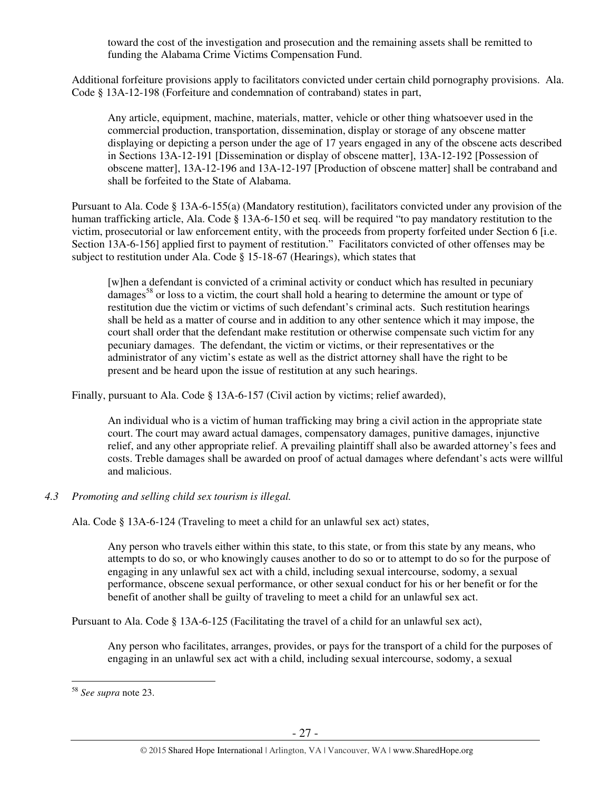toward the cost of the investigation and prosecution and the remaining assets shall be remitted to funding the Alabama Crime Victims Compensation Fund.

Additional forfeiture provisions apply to facilitators convicted under certain child pornography provisions. Ala. Code § 13A-12-198 (Forfeiture and condemnation of contraband) states in part,

Any article, equipment, machine, materials, matter, vehicle or other thing whatsoever used in the commercial production, transportation, dissemination, display or storage of any obscene matter displaying or depicting a person under the age of 17 years engaged in any of the obscene acts described in Sections 13A-12-191 [Dissemination or display of obscene matter], 13A-12-192 [Possession of obscene matter], 13A-12-196 and 13A-12-197 [Production of obscene matter] shall be contraband and shall be forfeited to the State of Alabama.

Pursuant to Ala. Code § 13A-6-155(a) (Mandatory restitution), facilitators convicted under any provision of the human trafficking article, Ala. Code § 13A-6-150 et seq. will be required "to pay mandatory restitution to the victim, prosecutorial or law enforcement entity, with the proceeds from property forfeited under Section 6 [i.e. Section 13A-6-156] applied first to payment of restitution." Facilitators convicted of other offenses may be subject to restitution under Ala. Code § 15-18-67 (Hearings), which states that

[w]hen a defendant is convicted of a criminal activity or conduct which has resulted in pecuniary damages<sup>58</sup> or loss to a victim, the court shall hold a hearing to determine the amount or type of restitution due the victim or victims of such defendant's criminal acts. Such restitution hearings shall be held as a matter of course and in addition to any other sentence which it may impose, the court shall order that the defendant make restitution or otherwise compensate such victim for any pecuniary damages. The defendant, the victim or victims, or their representatives or the administrator of any victim's estate as well as the district attorney shall have the right to be present and be heard upon the issue of restitution at any such hearings.

Finally, pursuant to Ala. Code § 13A-6-157 (Civil action by victims; relief awarded),

An individual who is a victim of human trafficking may bring a civil action in the appropriate state court. The court may award actual damages, compensatory damages, punitive damages, injunctive relief, and any other appropriate relief. A prevailing plaintiff shall also be awarded attorney's fees and costs. Treble damages shall be awarded on proof of actual damages where defendant's acts were willful and malicious.

# *4.3 Promoting and selling child sex tourism is illegal.*

Ala. Code § 13A-6-124 (Traveling to meet a child for an unlawful sex act) states,

Any person who travels either within this state, to this state, or from this state by any means, who attempts to do so, or who knowingly causes another to do so or to attempt to do so for the purpose of engaging in any unlawful sex act with a child, including sexual intercourse, sodomy, a sexual performance, obscene sexual performance, or other sexual conduct for his or her benefit or for the benefit of another shall be guilty of traveling to meet a child for an unlawful sex act.

Pursuant to Ala. Code § 13A-6-125 (Facilitating the travel of a child for an unlawful sex act),

Any person who facilitates, arranges, provides, or pays for the transport of a child for the purposes of engaging in an unlawful sex act with a child, including sexual intercourse, sodomy, a sexual

 $\overline{a}$ 

<sup>58</sup> *See supra* note 23.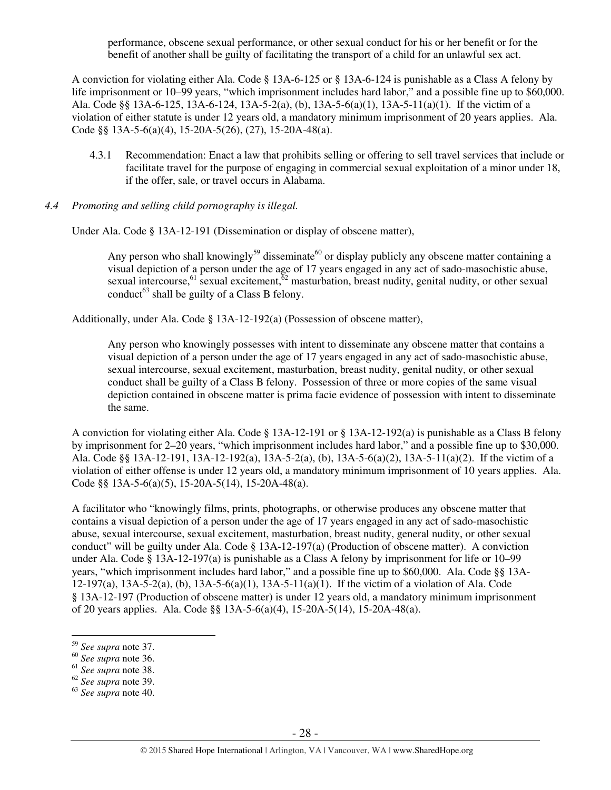performance, obscene sexual performance, or other sexual conduct for his or her benefit or for the benefit of another shall be guilty of facilitating the transport of a child for an unlawful sex act.

A conviction for violating either Ala. Code § 13A-6-125 or § 13A-6-124 is punishable as a Class A felony by life imprisonment or 10–99 years, "which imprisonment includes hard labor," and a possible fine up to \$60,000. Ala. Code §§ 13A-6-125, 13A-6-124, 13A-5-2(a), (b), 13A-5-6(a)(1), 13A-5-11(a)(1). If the victim of a violation of either statute is under 12 years old, a mandatory minimum imprisonment of 20 years applies. Ala. Code §§ 13A-5-6(a)(4), 15-20A-5(26), (27), 15-20A-48(a).

- 4.3.1 Recommendation: Enact a law that prohibits selling or offering to sell travel services that include or facilitate travel for the purpose of engaging in commercial sexual exploitation of a minor under 18, if the offer, sale, or travel occurs in Alabama.
- *4.4 Promoting and selling child pornography is illegal.*

Under Ala. Code § 13A-12-191 (Dissemination or display of obscene matter),

Any person who shall knowingly<sup>59</sup> disseminate<sup>60</sup> or display publicly any obscene matter containing a visual depiction of a person under the age of 17 years engaged in any act of sado-masochistic abuse, sexual intercourse,  $61 \text{ sec}$  sexual excitement,  $62 \text{ maximum}$  masturbation, breast nudity, genital nudity, or other sexual conduct<sup>63</sup> shall be guilty of a Class B felony.

Additionally, under Ala. Code § 13A-12-192(a) (Possession of obscene matter),

Any person who knowingly possesses with intent to disseminate any obscene matter that contains a visual depiction of a person under the age of 17 years engaged in any act of sado-masochistic abuse, sexual intercourse, sexual excitement, masturbation, breast nudity, genital nudity, or other sexual conduct shall be guilty of a Class B felony. Possession of three or more copies of the same visual depiction contained in obscene matter is prima facie evidence of possession with intent to disseminate the same.

A conviction for violating either Ala. Code § 13A-12-191 or § 13A-12-192(a) is punishable as a Class B felony by imprisonment for 2–20 years, "which imprisonment includes hard labor," and a possible fine up to \$30,000. Ala. Code §§ 13A-12-191, 13A-12-192(a), 13A-5-2(a), (b), 13A-5-6(a)(2), 13A-5-11(a)(2). If the victim of a violation of either offense is under 12 years old, a mandatory minimum imprisonment of 10 years applies. Ala. Code §§ 13A-5-6(a)(5), 15-20A-5(14), 15-20A-48(a).

A facilitator who "knowingly films, prints, photographs, or otherwise produces any obscene matter that contains a visual depiction of a person under the age of 17 years engaged in any act of sado-masochistic abuse, sexual intercourse, sexual excitement, masturbation, breast nudity, general nudity, or other sexual conduct" will be guilty under Ala. Code § 13A-12-197(a) (Production of obscene matter). A conviction under Ala. Code § 13A-12-197(a) is punishable as a Class A felony by imprisonment for life or 10–99 years, "which imprisonment includes hard labor," and a possible fine up to \$60,000. Ala. Code §§ 13A-12-197(a), 13A-5-2(a), (b), 13A-5-6(a)(1), 13A-5-11(a)(1). If the victim of a violation of Ala. Code § 13A-12-197 (Production of obscene matter) is under 12 years old, a mandatory minimum imprisonment of 20 years applies. Ala. Code §§ 13A-5-6(a)(4), 15-20A-5(14), 15-20A-48(a).

 $\overline{a}$ <sup>59</sup> *See supra* note 37.

<sup>60</sup> *See supra* note 36.

<sup>61</sup> *See supra* note 38.

<sup>62</sup> *See supra* note 39.

<sup>63</sup> *See supra* note 40.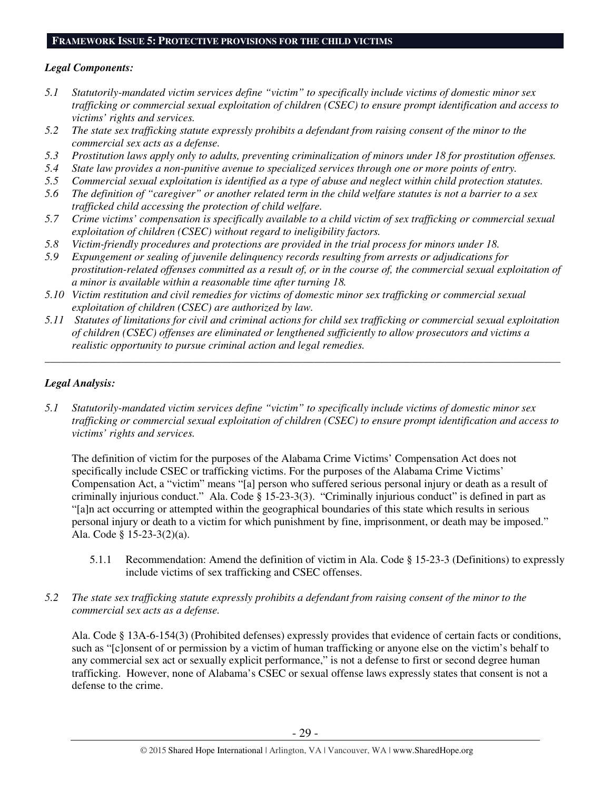#### **FRAMEWORK ISSUE 5: PROTECTIVE PROVISIONS FOR THE CHILD VICTIMS**

## *Legal Components:*

- *5.1 Statutorily-mandated victim services define "victim" to specifically include victims of domestic minor sex trafficking or commercial sexual exploitation of children (CSEC) to ensure prompt identification and access to victims' rights and services.*
- *5.2 The state sex trafficking statute expressly prohibits a defendant from raising consent of the minor to the commercial sex acts as a defense.*
- *5.3 Prostitution laws apply only to adults, preventing criminalization of minors under 18 for prostitution offenses.*
- *5.4 State law provides a non-punitive avenue to specialized services through one or more points of entry.*
- *5.5 Commercial sexual exploitation is identified as a type of abuse and neglect within child protection statutes.*
- *5.6 The definition of "caregiver" or another related term in the child welfare statutes is not a barrier to a sex trafficked child accessing the protection of child welfare.*
- *5.7 Crime victims' compensation is specifically available to a child victim of sex trafficking or commercial sexual exploitation of children (CSEC) without regard to ineligibility factors.*
- *5.8 Victim-friendly procedures and protections are provided in the trial process for minors under 18.*
- *5.9 Expungement or sealing of juvenile delinquency records resulting from arrests or adjudications for prostitution-related offenses committed as a result of, or in the course of, the commercial sexual exploitation of a minor is available within a reasonable time after turning 18.*
- *5.10 Victim restitution and civil remedies for victims of domestic minor sex trafficking or commercial sexual exploitation of children (CSEC) are authorized by law.*
- *5.11 Statutes of limitations for civil and criminal actions for child sex trafficking or commercial sexual exploitation of children (CSEC) offenses are eliminated or lengthened sufficiently to allow prosecutors and victims a realistic opportunity to pursue criminal action and legal remedies.*

*\_\_\_\_\_\_\_\_\_\_\_\_\_\_\_\_\_\_\_\_\_\_\_\_\_\_\_\_\_\_\_\_\_\_\_\_\_\_\_\_\_\_\_\_\_\_\_\_\_\_\_\_\_\_\_\_\_\_\_\_\_\_\_\_\_\_\_\_\_\_\_\_\_\_\_\_\_\_\_\_\_\_\_\_\_\_\_\_\_\_\_\_\_\_* 

# *Legal Analysis:*

*5.1 Statutorily-mandated victim services define "victim" to specifically include victims of domestic minor sex trafficking or commercial sexual exploitation of children (CSEC) to ensure prompt identification and access to victims' rights and services.* 

The definition of victim for the purposes of the Alabama Crime Victims' Compensation Act does not specifically include CSEC or trafficking victims. For the purposes of the Alabama Crime Victims' Compensation Act, a "victim" means "[a] person who suffered serious personal injury or death as a result of criminally injurious conduct." Ala. Code  $\hat{\S}$  15-23-3(3). "Criminally injurious conduct" is defined in part as "[a]n act occurring or attempted within the geographical boundaries of this state which results in serious personal injury or death to a victim for which punishment by fine, imprisonment, or death may be imposed." Ala. Code § 15-23-3(2)(a).

- 5.1.1 Recommendation: Amend the definition of victim in Ala. Code § 15-23-3 (Definitions) to expressly include victims of sex trafficking and CSEC offenses.
- *5.2 The state sex trafficking statute expressly prohibits a defendant from raising consent of the minor to the commercial sex acts as a defense.*

Ala. Code § 13A-6-154(3) (Prohibited defenses) expressly provides that evidence of certain facts or conditions, such as "[c]onsent of or permission by a victim of human trafficking or anyone else on the victim's behalf to any commercial sex act or sexually explicit performance," is not a defense to first or second degree human trafficking. However, none of Alabama's CSEC or sexual offense laws expressly states that consent is not a defense to the crime.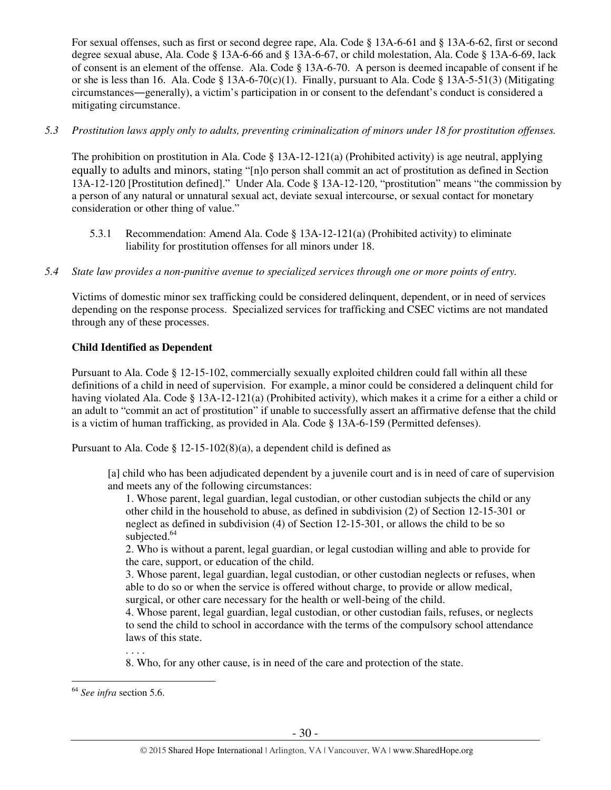For sexual offenses, such as first or second degree rape, Ala. Code § 13A-6-61 and § 13A-6-62, first or second degree sexual abuse, Ala. Code § 13A-6-66 and § 13A-6-67, or child molestation, Ala. Code § 13A-6-69, lack of consent is an element of the offense. Ala. Code § 13A-6-70. A person is deemed incapable of consent if he or she is less than 16. Ala. Code § 13A-6-70(c)(1). Finally, pursuant to Ala. Code § 13A-5-51(3) (Mitigating circumstances―generally), a victim's participation in or consent to the defendant's conduct is considered a mitigating circumstance.

# *5.3 Prostitution laws apply only to adults, preventing criminalization of minors under 18 for prostitution offenses.*

The prohibition on prostitution in Ala. Code  $\S$  13A-12-121(a) (Prohibited activity) is age neutral, applying equally to adults and minors, stating "[n]o person shall commit an act of prostitution as defined in Section 13A-12-120 [Prostitution defined]." Under Ala. Code § 13A-12-120, "prostitution" means "the commission by a person of any natural or unnatural sexual act, deviate sexual intercourse, or sexual contact for monetary consideration or other thing of value."

- 5.3.1 Recommendation: Amend Ala. Code § 13A-12-121(a) (Prohibited activity) to eliminate liability for prostitution offenses for all minors under 18.
- *5.4 State law provides a non-punitive avenue to specialized services through one or more points of entry.*

Victims of domestic minor sex trafficking could be considered delinquent, dependent, or in need of services depending on the response process. Specialized services for trafficking and CSEC victims are not mandated through any of these processes.

# **Child Identified as Dependent**

Pursuant to Ala. Code § 12-15-102, commercially sexually exploited children could fall within all these definitions of a child in need of supervision. For example, a minor could be considered a delinquent child for having violated Ala. Code § 13A-12-121(a) (Prohibited activity), which makes it a crime for a either a child or an adult to "commit an act of prostitution" if unable to successfully assert an affirmative defense that the child is a victim of human trafficking, as provided in Ala. Code § 13A-6-159 (Permitted defenses).

Pursuant to Ala. Code § 12-15-102(8)(a), a dependent child is defined as

[a] child who has been adjudicated dependent by a juvenile court and is in need of care of supervision and meets any of the following circumstances:

1. Whose parent, legal guardian, legal custodian, or other custodian subjects the child or any other child in the household to abuse, as defined in subdivision (2) of Section 12-15-301 or neglect as defined in subdivision (4) of Section 12-15-301, or allows the child to be so subjected.<sup>64</sup>

2. Who is without a parent, legal guardian, or legal custodian willing and able to provide for the care, support, or education of the child.

3. Whose parent, legal guardian, legal custodian, or other custodian neglects or refuses, when able to do so or when the service is offered without charge, to provide or allow medical, surgical, or other care necessary for the health or well-being of the child.

4. Whose parent, legal guardian, legal custodian, or other custodian fails, refuses, or neglects to send the child to school in accordance with the terms of the compulsory school attendance laws of this state.

. . . .

8. Who, for any other cause, is in need of the care and protection of the state.

 $\overline{a}$ 

<sup>64</sup> *See infra* section 5.6.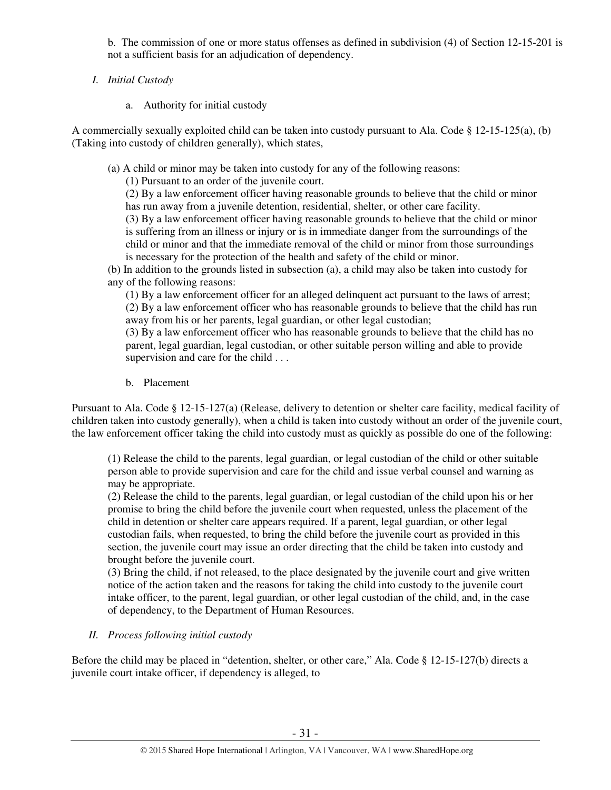b. The commission of one or more status offenses as defined in subdivision (4) of Section 12-15-201 is not a sufficient basis for an adjudication of dependency.

- *I. Initial Custody* 
	- a. Authority for initial custody

A commercially sexually exploited child can be taken into custody pursuant to Ala. Code § 12-15-125(a), (b) (Taking into custody of children generally), which states,

(a) A child or minor may be taken into custody for any of the following reasons:

(1) Pursuant to an order of the juvenile court.

(2) By a law enforcement officer having reasonable grounds to believe that the child or minor has run away from a juvenile detention, residential, shelter, or other care facility.

(3) By a law enforcement officer having reasonable grounds to believe that the child or minor is suffering from an illness or injury or is in immediate danger from the surroundings of the child or minor and that the immediate removal of the child or minor from those surroundings is necessary for the protection of the health and safety of the child or minor.

(b) In addition to the grounds listed in subsection (a), a child may also be taken into custody for any of the following reasons:

(1) By a law enforcement officer for an alleged delinquent act pursuant to the laws of arrest; (2) By a law enforcement officer who has reasonable grounds to believe that the child has run away from his or her parents, legal guardian, or other legal custodian;

(3) By a law enforcement officer who has reasonable grounds to believe that the child has no parent, legal guardian, legal custodian, or other suitable person willing and able to provide supervision and care for the child . . .

b. Placement

Pursuant to Ala. Code § 12-15-127(a) (Release, delivery to detention or shelter care facility, medical facility of children taken into custody generally), when a child is taken into custody without an order of the juvenile court, the law enforcement officer taking the child into custody must as quickly as possible do one of the following:

(1) Release the child to the parents, legal guardian, or legal custodian of the child or other suitable person able to provide supervision and care for the child and issue verbal counsel and warning as may be appropriate.

(2) Release the child to the parents, legal guardian, or legal custodian of the child upon his or her promise to bring the child before the juvenile court when requested, unless the placement of the child in detention or shelter care appears required. If a parent, legal guardian, or other legal custodian fails, when requested, to bring the child before the juvenile court as provided in this section, the juvenile court may issue an order directing that the child be taken into custody and brought before the juvenile court.

(3) Bring the child, if not released, to the place designated by the juvenile court and give written notice of the action taken and the reasons for taking the child into custody to the juvenile court intake officer, to the parent, legal guardian, or other legal custodian of the child, and, in the case of dependency, to the Department of Human Resources.

# *II. Process following initial custody*

Before the child may be placed in "detention, shelter, or other care," Ala. Code § 12-15-127(b) directs a juvenile court intake officer, if dependency is alleged, to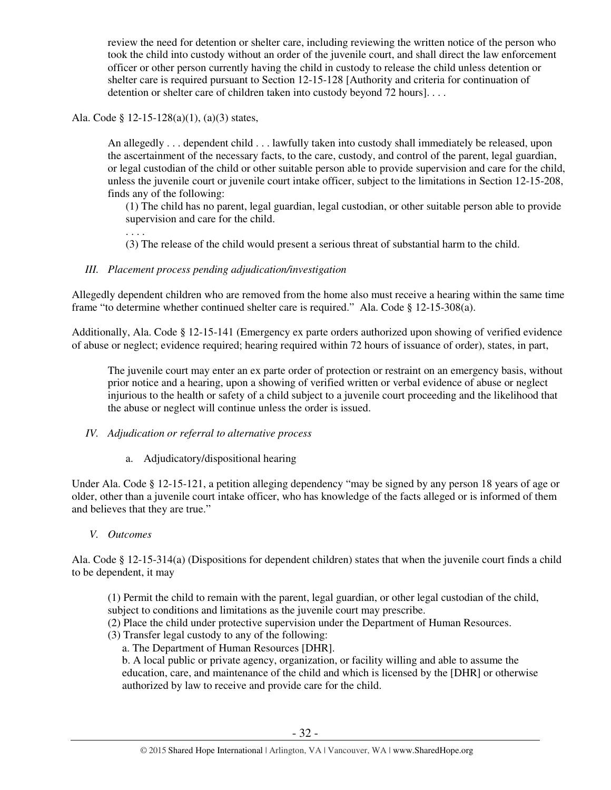review the need for detention or shelter care, including reviewing the written notice of the person who took the child into custody without an order of the juvenile court, and shall direct the law enforcement officer or other person currently having the child in custody to release the child unless detention or shelter care is required pursuant to Section 12-15-128 [Authority and criteria for continuation of detention or shelter care of children taken into custody beyond 72 hours]...

Ala. Code § 12-15-128(a)(1), (a)(3) states,

. . . .

An allegedly . . . dependent child . . . lawfully taken into custody shall immediately be released, upon the ascertainment of the necessary facts, to the care, custody, and control of the parent, legal guardian, or legal custodian of the child or other suitable person able to provide supervision and care for the child, unless the juvenile court or juvenile court intake officer, subject to the limitations in Section 12-15-208, finds any of the following:

(1) The child has no parent, legal guardian, legal custodian, or other suitable person able to provide supervision and care for the child.

(3) The release of the child would present a serious threat of substantial harm to the child.

# *III. Placement process pending adjudication/investigation*

Allegedly dependent children who are removed from the home also must receive a hearing within the same time frame "to determine whether continued shelter care is required." Ala. Code § 12-15-308(a).

Additionally, Ala. Code § 12-15-141 (Emergency ex parte orders authorized upon showing of verified evidence of abuse or neglect; evidence required; hearing required within 72 hours of issuance of order), states, in part,

The juvenile court may enter an ex parte order of protection or restraint on an emergency basis, without prior notice and a hearing, upon a showing of verified written or verbal evidence of abuse or neglect injurious to the health or safety of a child subject to a juvenile court proceeding and the likelihood that the abuse or neglect will continue unless the order is issued.

#### *IV. Adjudication or referral to alternative process*

a. Adjudicatory/dispositional hearing

Under Ala. Code § 12-15-121, a petition alleging dependency "may be signed by any person 18 years of age or older, other than a juvenile court intake officer, who has knowledge of the facts alleged or is informed of them and believes that they are true."

#### *V. Outcomes*

Ala. Code § 12-15-314(a) (Dispositions for dependent children) states that when the juvenile court finds a child to be dependent, it may

(1) Permit the child to remain with the parent, legal guardian, or other legal custodian of the child, subject to conditions and limitations as the juvenile court may prescribe.

- (2) Place the child under protective supervision under the Department of Human Resources.
- (3) Transfer legal custody to any of the following:
	- a. The Department of Human Resources [DHR].

b. A local public or private agency, organization, or facility willing and able to assume the education, care, and maintenance of the child and which is licensed by the [DHR] or otherwise authorized by law to receive and provide care for the child.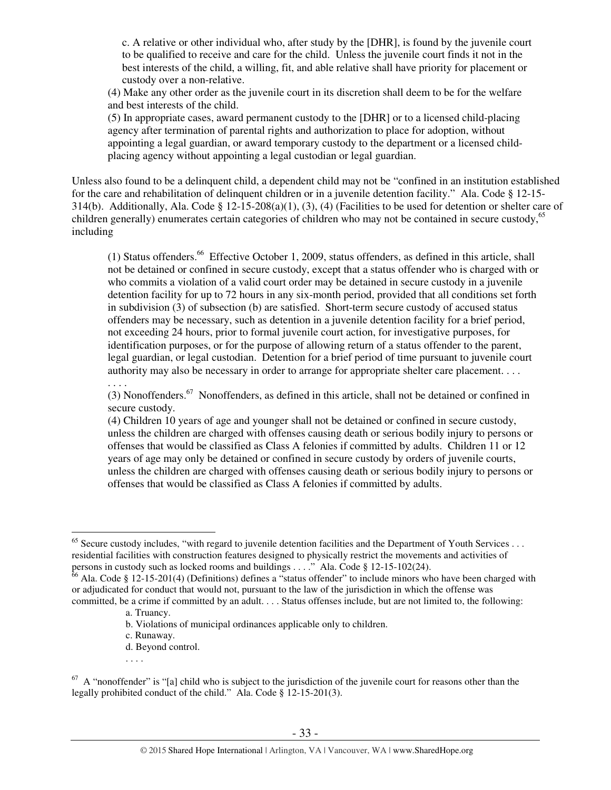c. A relative or other individual who, after study by the [DHR], is found by the juvenile court to be qualified to receive and care for the child. Unless the juvenile court finds it not in the best interests of the child, a willing, fit, and able relative shall have priority for placement or custody over a non-relative.

(4) Make any other order as the juvenile court in its discretion shall deem to be for the welfare and best interests of the child.

(5) In appropriate cases, award permanent custody to the [DHR] or to a licensed child-placing agency after termination of parental rights and authorization to place for adoption, without appointing a legal guardian, or award temporary custody to the department or a licensed childplacing agency without appointing a legal custodian or legal guardian.

Unless also found to be a delinquent child, a dependent child may not be "confined in an institution established for the care and rehabilitation of delinquent children or in a juvenile detention facility." Ala. Code § 12-15- 314(b). Additionally, Ala. Code § 12-15-208(a)(1), (3), (4) (Facilities to be used for detention or shelter care of children generally) enumerates certain categories of children who may not be contained in secure custody,<sup>65</sup> including

(1) Status offenders.<sup>66</sup> Effective October 1, 2009, status offenders, as defined in this article, shall not be detained or confined in secure custody, except that a status offender who is charged with or who commits a violation of a valid court order may be detained in secure custody in a juvenile detention facility for up to 72 hours in any six-month period, provided that all conditions set forth in subdivision (3) of subsection (b) are satisfied. Short-term secure custody of accused status offenders may be necessary, such as detention in a juvenile detention facility for a brief period, not exceeding 24 hours, prior to formal juvenile court action, for investigative purposes, for identification purposes, or for the purpose of allowing return of a status offender to the parent, legal guardian, or legal custodian. Detention for a brief period of time pursuant to juvenile court authority may also be necessary in order to arrange for appropriate shelter care placement. . . .

(3) Nonoffenders.<sup>67</sup> Nonoffenders, as defined in this article, shall not be detained or confined in secure custody.

(4) Children 10 years of age and younger shall not be detained or confined in secure custody, unless the children are charged with offenses causing death or serious bodily injury to persons or offenses that would be classified as Class A felonies if committed by adults. Children 11 or 12 years of age may only be detained or confined in secure custody by orders of juvenile courts, unless the children are charged with offenses causing death or serious bodily injury to persons or offenses that would be classified as Class A felonies if committed by adults.

- d. Beyond control.
- . . . .

 $\overline{a}$  $65$  Secure custody includes, "with regard to juvenile detention facilities and the Department of Youth Services ... residential facilities with construction features designed to physically restrict the movements and activities of persons in custody such as locked rooms and buildings . . . ." Ala. Code § 12-15-102(24).

 $66$  Ala. Code § 12-15-201(4) (Definitions) defines a "status offender" to include minors who have been charged with or adjudicated for conduct that would not, pursuant to the law of the jurisdiction in which the offense was committed, be a crime if committed by an adult. . . . Status offenses include, but are not limited to, the following:

a. Truancy.

b. Violations of municipal ordinances applicable only to children.

c. Runaway.

 $67$  A "nonoffender" is "[a] child who is subject to the jurisdiction of the juvenile court for reasons other than the legally prohibited conduct of the child." Ala. Code § 12-15-201(3).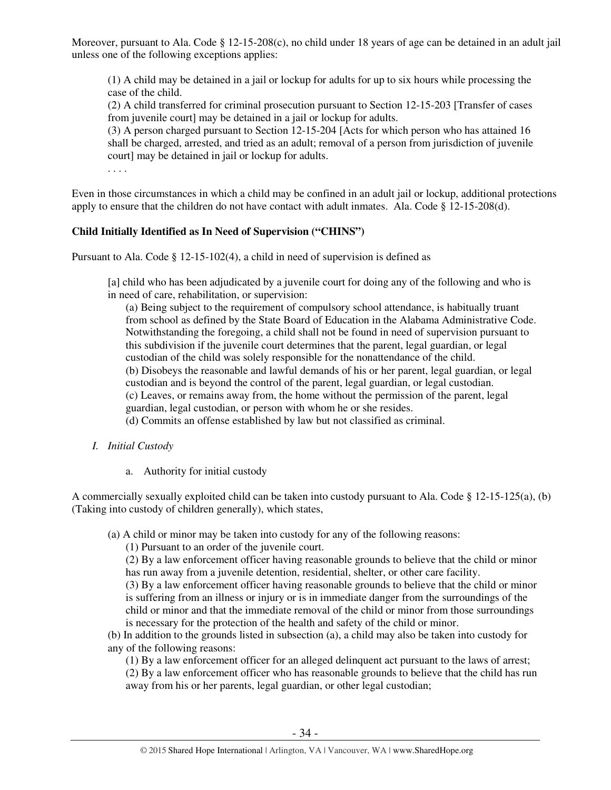Moreover, pursuant to Ala. Code § 12-15-208(c), no child under 18 years of age can be detained in an adult jail unless one of the following exceptions applies:

(1) A child may be detained in a jail or lockup for adults for up to six hours while processing the case of the child.

(2) A child transferred for criminal prosecution pursuant to Section 12-15-203 [Transfer of cases from juvenile court] may be detained in a jail or lockup for adults.

(3) A person charged pursuant to Section 12-15-204 [Acts for which person who has attained 16 shall be charged, arrested, and tried as an adult; removal of a person from jurisdiction of juvenile court] may be detained in jail or lockup for adults.

. . . .

Even in those circumstances in which a child may be confined in an adult jail or lockup, additional protections apply to ensure that the children do not have contact with adult inmates. Ala. Code  $\S$  12-15-208(d).

# **Child Initially Identified as In Need of Supervision ("CHINS")**

Pursuant to Ala. Code § 12-15-102(4), a child in need of supervision is defined as

[a] child who has been adjudicated by a juvenile court for doing any of the following and who is in need of care, rehabilitation, or supervision:

(a) Being subject to the requirement of compulsory school attendance, is habitually truant from school as defined by the State Board of Education in the Alabama Administrative Code. Notwithstanding the foregoing, a child shall not be found in need of supervision pursuant to this subdivision if the juvenile court determines that the parent, legal guardian, or legal custodian of the child was solely responsible for the nonattendance of the child.

(b) Disobeys the reasonable and lawful demands of his or her parent, legal guardian, or legal

custodian and is beyond the control of the parent, legal guardian, or legal custodian.

(c) Leaves, or remains away from, the home without the permission of the parent, legal

guardian, legal custodian, or person with whom he or she resides.

(d) Commits an offense established by law but not classified as criminal.

- *I. Initial Custody* 
	- a. Authority for initial custody

A commercially sexually exploited child can be taken into custody pursuant to Ala. Code § 12-15-125(a), (b) (Taking into custody of children generally), which states,

(a) A child or minor may be taken into custody for any of the following reasons:

(1) Pursuant to an order of the juvenile court.

(2) By a law enforcement officer having reasonable grounds to believe that the child or minor has run away from a juvenile detention, residential, shelter, or other care facility.

(3) By a law enforcement officer having reasonable grounds to believe that the child or minor is suffering from an illness or injury or is in immediate danger from the surroundings of the child or minor and that the immediate removal of the child or minor from those surroundings is necessary for the protection of the health and safety of the child or minor.

(b) In addition to the grounds listed in subsection (a), a child may also be taken into custody for any of the following reasons:

(1) By a law enforcement officer for an alleged delinquent act pursuant to the laws of arrest; (2) By a law enforcement officer who has reasonable grounds to believe that the child has run

away from his or her parents, legal guardian, or other legal custodian;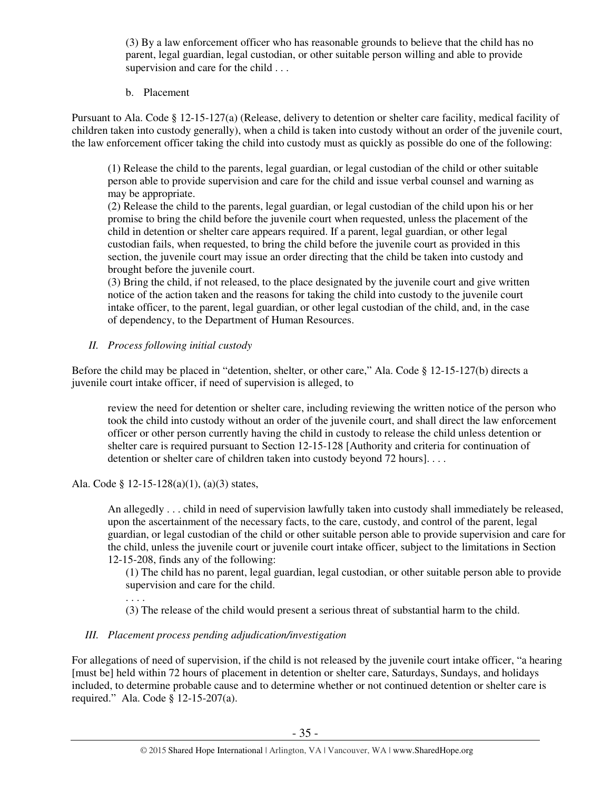(3) By a law enforcement officer who has reasonable grounds to believe that the child has no parent, legal guardian, legal custodian, or other suitable person willing and able to provide supervision and care for the child . . .

b. Placement

Pursuant to Ala. Code § 12-15-127(a) (Release, delivery to detention or shelter care facility, medical facility of children taken into custody generally), when a child is taken into custody without an order of the juvenile court, the law enforcement officer taking the child into custody must as quickly as possible do one of the following:

(1) Release the child to the parents, legal guardian, or legal custodian of the child or other suitable person able to provide supervision and care for the child and issue verbal counsel and warning as may be appropriate.

(2) Release the child to the parents, legal guardian, or legal custodian of the child upon his or her promise to bring the child before the juvenile court when requested, unless the placement of the child in detention or shelter care appears required. If a parent, legal guardian, or other legal custodian fails, when requested, to bring the child before the juvenile court as provided in this section, the juvenile court may issue an order directing that the child be taken into custody and brought before the juvenile court.

(3) Bring the child, if not released, to the place designated by the juvenile court and give written notice of the action taken and the reasons for taking the child into custody to the juvenile court intake officer, to the parent, legal guardian, or other legal custodian of the child, and, in the case of dependency, to the Department of Human Resources.

# *II. Process following initial custody*

Before the child may be placed in "detention, shelter, or other care," Ala. Code § 12-15-127(b) directs a juvenile court intake officer, if need of supervision is alleged, to

review the need for detention or shelter care, including reviewing the written notice of the person who took the child into custody without an order of the juvenile court, and shall direct the law enforcement officer or other person currently having the child in custody to release the child unless detention or shelter care is required pursuant to Section 12-15-128 [Authority and criteria for continuation of detention or shelter care of children taken into custody beyond 72 hours]. . . .

Ala. Code § 12-15-128(a)(1), (a)(3) states,

. . . .

An allegedly . . . child in need of supervision lawfully taken into custody shall immediately be released, upon the ascertainment of the necessary facts, to the care, custody, and control of the parent, legal guardian, or legal custodian of the child or other suitable person able to provide supervision and care for the child, unless the juvenile court or juvenile court intake officer, subject to the limitations in Section 12-15-208, finds any of the following:

(1) The child has no parent, legal guardian, legal custodian, or other suitable person able to provide supervision and care for the child.

(3) The release of the child would present a serious threat of substantial harm to the child.

# *III. Placement process pending adjudication/investigation*

For allegations of need of supervision, if the child is not released by the juvenile court intake officer, "a hearing [must be] held within 72 hours of placement in detention or shelter care, Saturdays, Sundays, and holidays included, to determine probable cause and to determine whether or not continued detention or shelter care is required." Ala. Code § 12-15-207(a).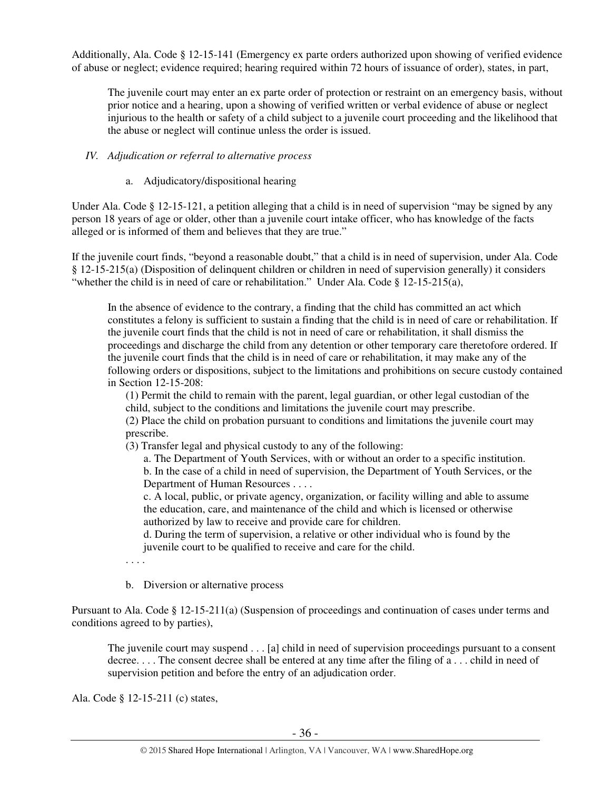Additionally, Ala. Code § 12-15-141 (Emergency ex parte orders authorized upon showing of verified evidence of abuse or neglect; evidence required; hearing required within 72 hours of issuance of order), states, in part,

The juvenile court may enter an ex parte order of protection or restraint on an emergency basis, without prior notice and a hearing, upon a showing of verified written or verbal evidence of abuse or neglect injurious to the health or safety of a child subject to a juvenile court proceeding and the likelihood that the abuse or neglect will continue unless the order is issued.

#### *IV. Adjudication or referral to alternative process*

#### a. Adjudicatory/dispositional hearing

Under Ala. Code § 12-15-121, a petition alleging that a child is in need of supervision "may be signed by any person 18 years of age or older, other than a juvenile court intake officer, who has knowledge of the facts alleged or is informed of them and believes that they are true."

If the juvenile court finds, "beyond a reasonable doubt," that a child is in need of supervision, under Ala. Code § 12-15-215(a) (Disposition of delinquent children or children in need of supervision generally) it considers "whether the child is in need of care or rehabilitation." Under Ala. Code  $\S$  12-15-215(a),

In the absence of evidence to the contrary, a finding that the child has committed an act which constitutes a felony is sufficient to sustain a finding that the child is in need of care or rehabilitation. If the juvenile court finds that the child is not in need of care or rehabilitation, it shall dismiss the proceedings and discharge the child from any detention or other temporary care theretofore ordered. If the juvenile court finds that the child is in need of care or rehabilitation, it may make any of the following orders or dispositions, subject to the limitations and prohibitions on secure custody contained in Section 12-15-208:

(1) Permit the child to remain with the parent, legal guardian, or other legal custodian of the child, subject to the conditions and limitations the juvenile court may prescribe.

(2) Place the child on probation pursuant to conditions and limitations the juvenile court may prescribe.

(3) Transfer legal and physical custody to any of the following:

a. The Department of Youth Services, with or without an order to a specific institution. b. In the case of a child in need of supervision, the Department of Youth Services, or the

Department of Human Resources . . . .

c. A local, public, or private agency, organization, or facility willing and able to assume the education, care, and maintenance of the child and which is licensed or otherwise authorized by law to receive and provide care for children.

d. During the term of supervision, a relative or other individual who is found by the juvenile court to be qualified to receive and care for the child.

. . . .

b. Diversion or alternative process

Pursuant to Ala. Code § 12-15-211(a) (Suspension of proceedings and continuation of cases under terms and conditions agreed to by parties),

The juvenile court may suspend . . . [a] child in need of supervision proceedings pursuant to a consent decree. . . . The consent decree shall be entered at any time after the filing of a . . . child in need of supervision petition and before the entry of an adjudication order.

Ala. Code § 12-15-211 (c) states,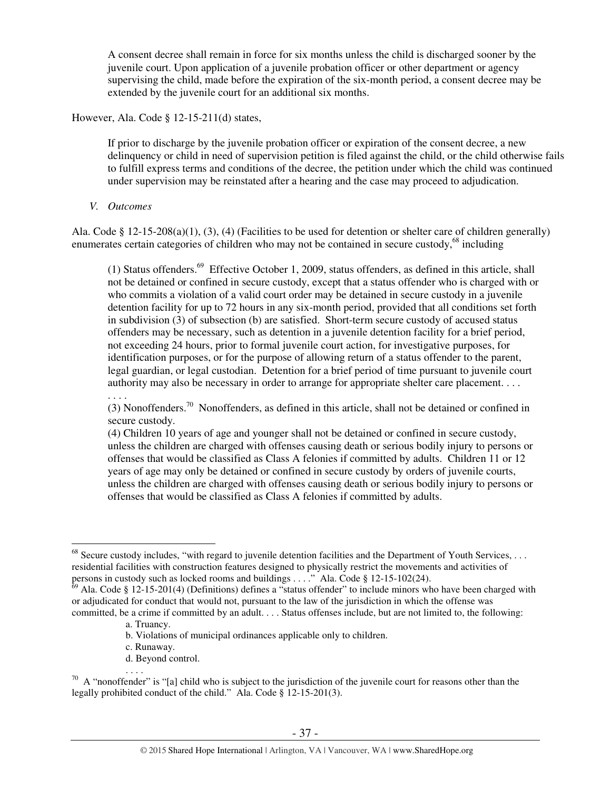A consent decree shall remain in force for six months unless the child is discharged sooner by the juvenile court. Upon application of a juvenile probation officer or other department or agency supervising the child, made before the expiration of the six-month period, a consent decree may be extended by the juvenile court for an additional six months.

However, Ala. Code § 12-15-211(d) states,

If prior to discharge by the juvenile probation officer or expiration of the consent decree, a new delinquency or child in need of supervision petition is filed against the child, or the child otherwise fails to fulfill express terms and conditions of the decree, the petition under which the child was continued under supervision may be reinstated after a hearing and the case may proceed to adjudication.

*V. Outcomes* 

Ala. Code § 12-15-208(a)(1), (3), (4) (Facilities to be used for detention or shelter care of children generally) enumerates certain categories of children who may not be contained in secure custody, $^{68}$  including

(1) Status offenders.<sup>69</sup> Effective October 1, 2009, status offenders, as defined in this article, shall not be detained or confined in secure custody, except that a status offender who is charged with or who commits a violation of a valid court order may be detained in secure custody in a juvenile detention facility for up to 72 hours in any six-month period, provided that all conditions set forth in subdivision (3) of subsection (b) are satisfied. Short-term secure custody of accused status offenders may be necessary, such as detention in a juvenile detention facility for a brief period, not exceeding 24 hours, prior to formal juvenile court action, for investigative purposes, for identification purposes, or for the purpose of allowing return of a status offender to the parent, legal guardian, or legal custodian. Detention for a brief period of time pursuant to juvenile court authority may also be necessary in order to arrange for appropriate shelter care placement. . . . . . . .

(3) Nonoffenders.<sup>70</sup> Nonoffenders, as defined in this article, shall not be detained or confined in secure custody.

(4) Children 10 years of age and younger shall not be detained or confined in secure custody, unless the children are charged with offenses causing death or serious bodily injury to persons or offenses that would be classified as Class A felonies if committed by adults. Children 11 or 12 years of age may only be detained or confined in secure custody by orders of juvenile courts, unless the children are charged with offenses causing death or serious bodily injury to persons or offenses that would be classified as Class A felonies if committed by adults.

. . . .

 $\overline{a}$ 

- b. Violations of municipal ordinances applicable only to children.
- c. Runaway.
- d. Beyond control.

 $68$  Secure custody includes, "with regard to juvenile detention facilities and the Department of Youth Services, ... residential facilities with construction features designed to physically restrict the movements and activities of persons in custody such as locked rooms and buildings . . . ." Ala. Code § 12-15-102(24).

 $69$  Ala. Code § 12-15-201(4) (Definitions) defines a "status offender" to include minors who have been charged with or adjudicated for conduct that would not, pursuant to the law of the jurisdiction in which the offense was committed, be a crime if committed by an adult. . . . Status offenses include, but are not limited to, the following:

a. Truancy.

 $70$  A "nonoffender" is "[a] child who is subject to the jurisdiction of the juvenile court for reasons other than the legally prohibited conduct of the child." Ala. Code § 12-15-201(3).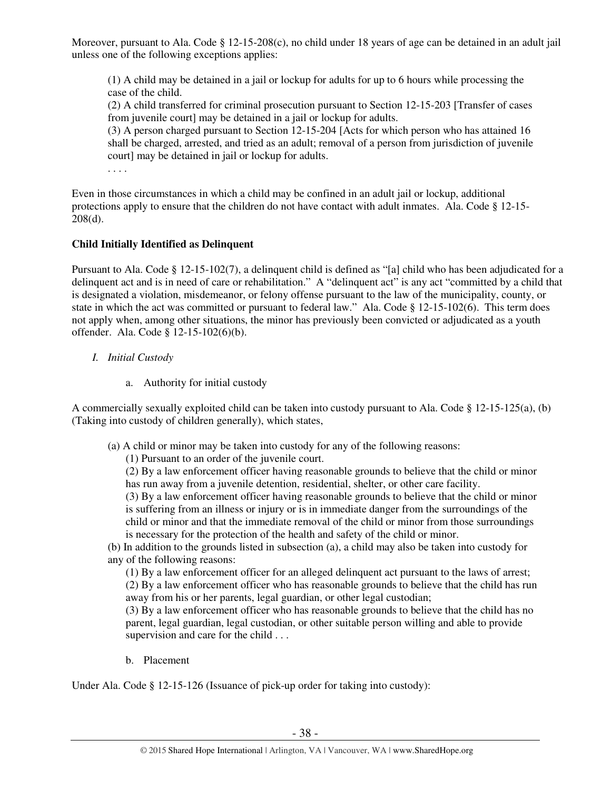Moreover, pursuant to Ala. Code § 12-15-208(c), no child under 18 years of age can be detained in an adult jail unless one of the following exceptions applies:

(1) A child may be detained in a jail or lockup for adults for up to 6 hours while processing the case of the child.

(2) A child transferred for criminal prosecution pursuant to Section 12-15-203 [Transfer of cases from juvenile court] may be detained in a jail or lockup for adults.

(3) A person charged pursuant to Section 12-15-204 [Acts for which person who has attained 16 shall be charged, arrested, and tried as an adult; removal of a person from jurisdiction of juvenile court] may be detained in jail or lockup for adults.

. . . .

Even in those circumstances in which a child may be confined in an adult jail or lockup, additional protections apply to ensure that the children do not have contact with adult inmates. Ala. Code § 12-15- 208(d).

# **Child Initially Identified as Delinquent**

Pursuant to Ala. Code § 12-15-102(7), a delinquent child is defined as "[a] child who has been adjudicated for a delinquent act and is in need of care or rehabilitation." A "delinquent act" is any act "committed by a child that is designated a violation, misdemeanor, or felony offense pursuant to the law of the municipality, county, or state in which the act was committed or pursuant to federal law." Ala. Code § 12-15-102(6). This term does not apply when, among other situations, the minor has previously been convicted or adjudicated as a youth offender. Ala. Code § 12-15-102(6)(b).

- *I. Initial Custody* 
	- a. Authority for initial custody

A commercially sexually exploited child can be taken into custody pursuant to Ala. Code  $\S$  12-15-125(a), (b) (Taking into custody of children generally), which states,

- (a) A child or minor may be taken into custody for any of the following reasons:
	- (1) Pursuant to an order of the juvenile court.

(2) By a law enforcement officer having reasonable grounds to believe that the child or minor has run away from a juvenile detention, residential, shelter, or other care facility.

(3) By a law enforcement officer having reasonable grounds to believe that the child or minor is suffering from an illness or injury or is in immediate danger from the surroundings of the child or minor and that the immediate removal of the child or minor from those surroundings is necessary for the protection of the health and safety of the child or minor.

(b) In addition to the grounds listed in subsection (a), a child may also be taken into custody for any of the following reasons:

(1) By a law enforcement officer for an alleged delinquent act pursuant to the laws of arrest; (2) By a law enforcement officer who has reasonable grounds to believe that the child has run away from his or her parents, legal guardian, or other legal custodian;

(3) By a law enforcement officer who has reasonable grounds to believe that the child has no parent, legal guardian, legal custodian, or other suitable person willing and able to provide supervision and care for the child . . .

b. Placement

Under Ala. Code § 12-15-126 (Issuance of pick-up order for taking into custody):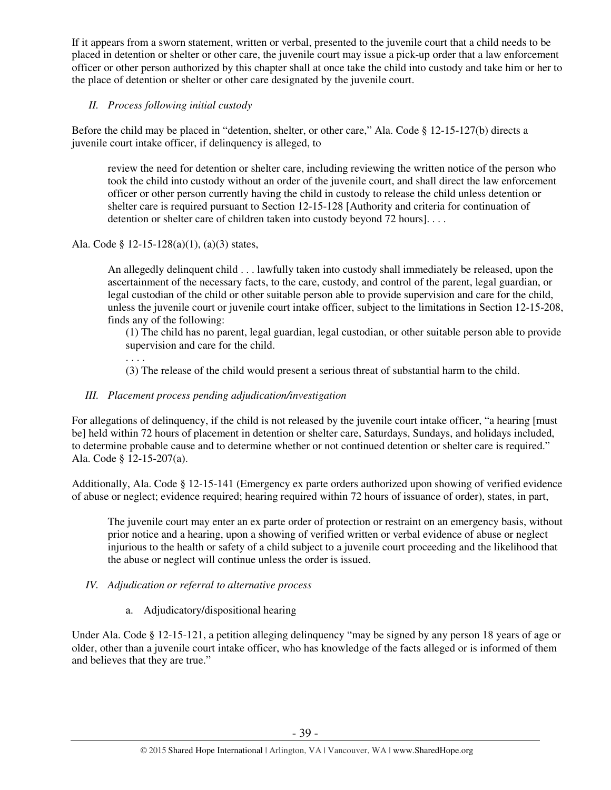If it appears from a sworn statement, written or verbal, presented to the juvenile court that a child needs to be placed in detention or shelter or other care, the juvenile court may issue a pick-up order that a law enforcement officer or other person authorized by this chapter shall at once take the child into custody and take him or her to the place of detention or shelter or other care designated by the juvenile court.

# *II. Process following initial custody*

Before the child may be placed in "detention, shelter, or other care," Ala. Code § 12-15-127(b) directs a juvenile court intake officer, if delinquency is alleged, to

review the need for detention or shelter care, including reviewing the written notice of the person who took the child into custody without an order of the juvenile court, and shall direct the law enforcement officer or other person currently having the child in custody to release the child unless detention or shelter care is required pursuant to Section 12-15-128 [Authority and criteria for continuation of detention or shelter care of children taken into custody beyond 72 hours]....

# Ala. Code § 12-15-128(a)(1), (a)(3) states,

. . . .

An allegedly delinquent child . . . lawfully taken into custody shall immediately be released, upon the ascertainment of the necessary facts, to the care, custody, and control of the parent, legal guardian, or legal custodian of the child or other suitable person able to provide supervision and care for the child, unless the juvenile court or juvenile court intake officer, subject to the limitations in Section 12-15-208, finds any of the following:

(1) The child has no parent, legal guardian, legal custodian, or other suitable person able to provide supervision and care for the child.

(3) The release of the child would present a serious threat of substantial harm to the child.

# *III. Placement process pending adjudication/investigation*

For allegations of delinquency, if the child is not released by the juvenile court intake officer, "a hearing [must be] held within 72 hours of placement in detention or shelter care, Saturdays, Sundays, and holidays included, to determine probable cause and to determine whether or not continued detention or shelter care is required." Ala. Code § 12-15-207(a).

Additionally, Ala. Code § 12-15-141 (Emergency ex parte orders authorized upon showing of verified evidence of abuse or neglect; evidence required; hearing required within 72 hours of issuance of order), states, in part,

The juvenile court may enter an ex parte order of protection or restraint on an emergency basis, without prior notice and a hearing, upon a showing of verified written or verbal evidence of abuse or neglect injurious to the health or safety of a child subject to a juvenile court proceeding and the likelihood that the abuse or neglect will continue unless the order is issued.

#### *IV. Adjudication or referral to alternative process*

a. Adjudicatory/dispositional hearing

Under Ala. Code § 12-15-121, a petition alleging delinquency "may be signed by any person 18 years of age or older, other than a juvenile court intake officer, who has knowledge of the facts alleged or is informed of them and believes that they are true."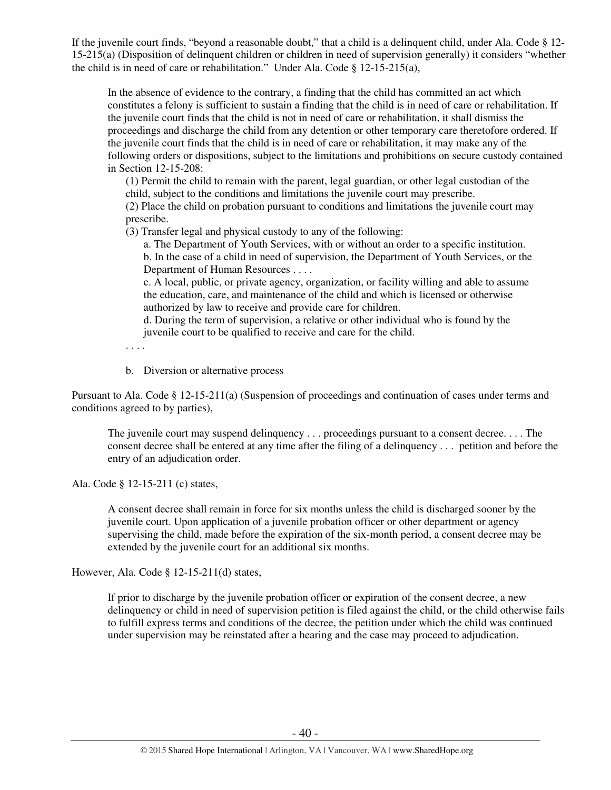If the juvenile court finds, "beyond a reasonable doubt," that a child is a delinquent child, under Ala. Code § 12- 15-215(a) (Disposition of delinquent children or children in need of supervision generally) it considers "whether the child is in need of care or rehabilitation." Under Ala. Code § 12-15-215(a),

In the absence of evidence to the contrary, a finding that the child has committed an act which constitutes a felony is sufficient to sustain a finding that the child is in need of care or rehabilitation. If the juvenile court finds that the child is not in need of care or rehabilitation, it shall dismiss the proceedings and discharge the child from any detention or other temporary care theretofore ordered. If the juvenile court finds that the child is in need of care or rehabilitation, it may make any of the following orders or dispositions, subject to the limitations and prohibitions on secure custody contained in Section 12-15-208:

(1) Permit the child to remain with the parent, legal guardian, or other legal custodian of the child, subject to the conditions and limitations the juvenile court may prescribe.

(2) Place the child on probation pursuant to conditions and limitations the juvenile court may prescribe.

(3) Transfer legal and physical custody to any of the following:

a. The Department of Youth Services, with or without an order to a specific institution. b. In the case of a child in need of supervision, the Department of Youth Services, or the Department of Human Resources . . . .

c. A local, public, or private agency, organization, or facility willing and able to assume the education, care, and maintenance of the child and which is licensed or otherwise authorized by law to receive and provide care for children.

d. During the term of supervision, a relative or other individual who is found by the juvenile court to be qualified to receive and care for the child.

. . . .

b. Diversion or alternative process

Pursuant to Ala. Code § 12-15-211(a) (Suspension of proceedings and continuation of cases under terms and conditions agreed to by parties),

The juvenile court may suspend delinquency . . . proceedings pursuant to a consent decree. . . . The consent decree shall be entered at any time after the filing of a delinquency . . . petition and before the entry of an adjudication order.

Ala. Code § 12-15-211 (c) states,

A consent decree shall remain in force for six months unless the child is discharged sooner by the juvenile court. Upon application of a juvenile probation officer or other department or agency supervising the child, made before the expiration of the six-month period, a consent decree may be extended by the juvenile court for an additional six months.

However, Ala. Code § 12-15-211(d) states,

If prior to discharge by the juvenile probation officer or expiration of the consent decree, a new delinquency or child in need of supervision petition is filed against the child, or the child otherwise fails to fulfill express terms and conditions of the decree, the petition under which the child was continued under supervision may be reinstated after a hearing and the case may proceed to adjudication.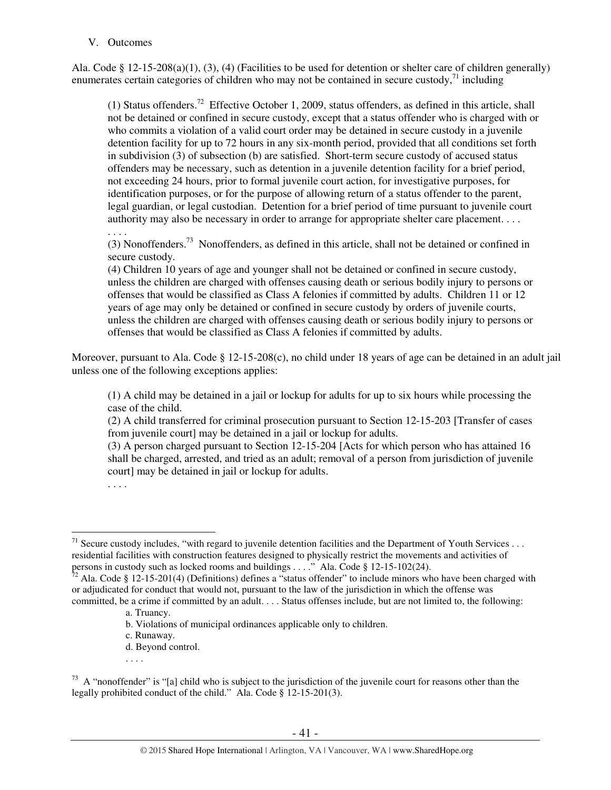#### V. Outcomes

Ala. Code § 12-15-208(a)(1), (3), (4) (Facilities to be used for detention or shelter care of children generally) enumerates certain categories of children who may not be contained in secure custody, $\frac{71}{1}$  including

(1) Status offenders.<sup>72</sup> Effective October 1, 2009, status offenders, as defined in this article, shall not be detained or confined in secure custody, except that a status offender who is charged with or who commits a violation of a valid court order may be detained in secure custody in a juvenile detention facility for up to 72 hours in any six-month period, provided that all conditions set forth in subdivision (3) of subsection (b) are satisfied. Short-term secure custody of accused status offenders may be necessary, such as detention in a juvenile detention facility for a brief period, not exceeding 24 hours, prior to formal juvenile court action, for investigative purposes, for identification purposes, or for the purpose of allowing return of a status offender to the parent, legal guardian, or legal custodian. Detention for a brief period of time pursuant to juvenile court authority may also be necessary in order to arrange for appropriate shelter care placement. . . .

. . . .

(3) Nonoffenders.<sup>73</sup> Nonoffenders, as defined in this article, shall not be detained or confined in secure custody.

(4) Children 10 years of age and younger shall not be detained or confined in secure custody, unless the children are charged with offenses causing death or serious bodily injury to persons or offenses that would be classified as Class A felonies if committed by adults. Children 11 or 12 years of age may only be detained or confined in secure custody by orders of juvenile courts, unless the children are charged with offenses causing death or serious bodily injury to persons or offenses that would be classified as Class A felonies if committed by adults.

Moreover, pursuant to Ala. Code § 12-15-208(c), no child under 18 years of age can be detained in an adult jail unless one of the following exceptions applies:

(1) A child may be detained in a jail or lockup for adults for up to six hours while processing the case of the child.

(2) A child transferred for criminal prosecution pursuant to Section 12-15-203 [Transfer of cases from juvenile court] may be detained in a jail or lockup for adults.

(3) A person charged pursuant to Section 12-15-204 [Acts for which person who has attained 16 shall be charged, arrested, and tried as an adult; removal of a person from jurisdiction of juvenile court] may be detained in jail or lockup for adults.

- d. Beyond control.
- . . . .

 $\overline{a}$ <sup>71</sup> Secure custody includes, "with regard to juvenile detention facilities and the Department of Youth Services ... residential facilities with construction features designed to physically restrict the movements and activities of persons in custody such as locked rooms and buildings . . . ." Ala. Code § 12-15-102(24).

 $72$  Ala. Code § 12-15-201(4) (Definitions) defines a "status offender" to include minors who have been charged with or adjudicated for conduct that would not, pursuant to the law of the jurisdiction in which the offense was committed, be a crime if committed by an adult. . . . Status offenses include, but are not limited to, the following:

a. Truancy.

b. Violations of municipal ordinances applicable only to children.

c. Runaway.

 $73$  A "nonoffender" is "[a] child who is subject to the jurisdiction of the juvenile court for reasons other than the legally prohibited conduct of the child." Ala. Code § 12-15-201(3).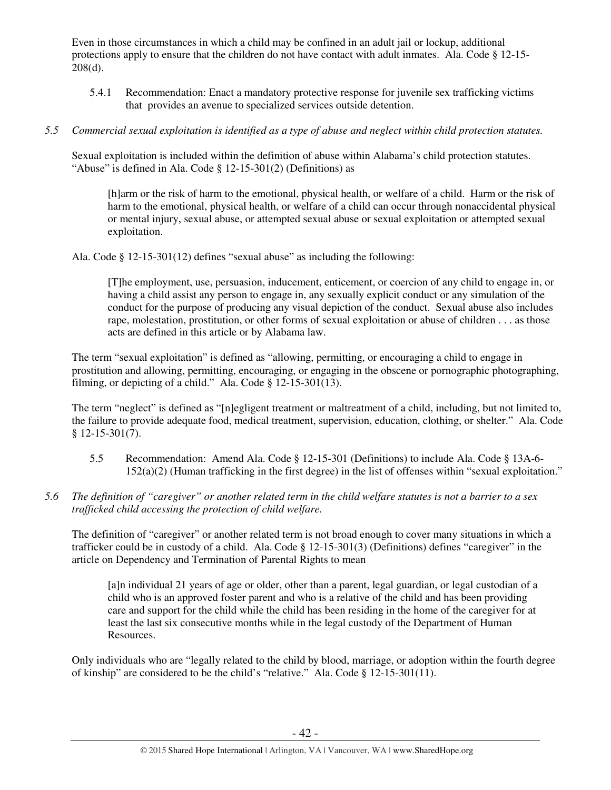Even in those circumstances in which a child may be confined in an adult jail or lockup, additional protections apply to ensure that the children do not have contact with adult inmates. Ala. Code § 12-15-  $208(d)$ .

- 5.4.1 Recommendation: Enact a mandatory protective response for juvenile sex trafficking victims that provides an avenue to specialized services outside detention.
- *5.5 Commercial sexual exploitation is identified as a type of abuse and neglect within child protection statutes.*

Sexual exploitation is included within the definition of abuse within Alabama's child protection statutes. "Abuse" is defined in Ala. Code § 12-15-301(2) (Definitions) as

[h]arm or the risk of harm to the emotional, physical health, or welfare of a child. Harm or the risk of harm to the emotional, physical health, or welfare of a child can occur through nonaccidental physical or mental injury, sexual abuse, or attempted sexual abuse or sexual exploitation or attempted sexual exploitation.

Ala. Code § 12-15-301(12) defines "sexual abuse" as including the following:

[T]he employment, use, persuasion, inducement, enticement, or coercion of any child to engage in, or having a child assist any person to engage in, any sexually explicit conduct or any simulation of the conduct for the purpose of producing any visual depiction of the conduct. Sexual abuse also includes rape, molestation, prostitution, or other forms of sexual exploitation or abuse of children . . . as those acts are defined in this article or by Alabama law.

The term "sexual exploitation" is defined as "allowing, permitting, or encouraging a child to engage in prostitution and allowing, permitting, encouraging, or engaging in the obscene or pornographic photographing, filming, or depicting of a child." Ala. Code  $\S$  12-15-301(13).

The term "neglect" is defined as "[n]egligent treatment or maltreatment of a child, including, but not limited to, the failure to provide adequate food, medical treatment, supervision, education, clothing, or shelter." Ala. Code § 12-15-301(7).

- 5.5 Recommendation: Amend Ala. Code § 12-15-301 (Definitions) to include Ala. Code § 13A-6- 152(a)(2) (Human trafficking in the first degree) in the list of offenses within "sexual exploitation."
- *5.6 The definition of "caregiver" or another related term in the child welfare statutes is not a barrier to a sex trafficked child accessing the protection of child welfare.*

The definition of "caregiver" or another related term is not broad enough to cover many situations in which a trafficker could be in custody of a child. Ala. Code § 12-15-301(3) (Definitions) defines "caregiver" in the article on Dependency and Termination of Parental Rights to mean

[a]n individual 21 years of age or older, other than a parent, legal guardian, or legal custodian of a child who is an approved foster parent and who is a relative of the child and has been providing care and support for the child while the child has been residing in the home of the caregiver for at least the last six consecutive months while in the legal custody of the Department of Human Resources.

Only individuals who are "legally related to the child by blood, marriage, or adoption within the fourth degree of kinship" are considered to be the child's "relative." Ala. Code § 12-15-301(11).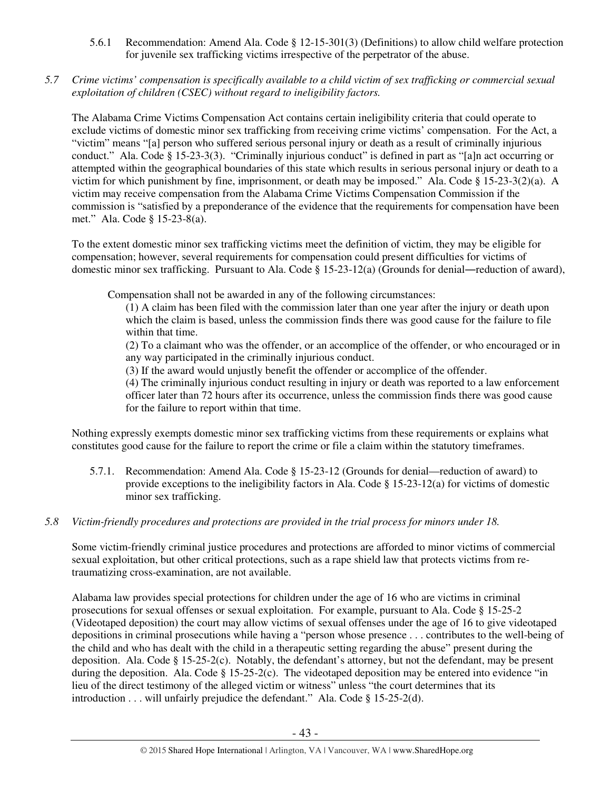- 5.6.1 Recommendation: Amend Ala. Code § 12-15-301(3) (Definitions) to allow child welfare protection for juvenile sex trafficking victims irrespective of the perpetrator of the abuse.
- *5.7 Crime victims' compensation is specifically available to a child victim of sex trafficking or commercial sexual exploitation of children (CSEC) without regard to ineligibility factors.*

The Alabama Crime Victims Compensation Act contains certain ineligibility criteria that could operate to exclude victims of domestic minor sex trafficking from receiving crime victims' compensation. For the Act, a "victim" means "[a] person who suffered serious personal injury or death as a result of criminally injurious conduct." Ala. Code § 15-23-3(3). "Criminally injurious conduct" is defined in part as "[a]n act occurring or attempted within the geographical boundaries of this state which results in serious personal injury or death to a victim for which punishment by fine, imprisonment, or death may be imposed." Ala. Code § 15-23-3(2)(a). A victim may receive compensation from the Alabama Crime Victims Compensation Commission if the commission is "satisfied by a preponderance of the evidence that the requirements for compensation have been met." Ala. Code § 15-23-8(a).

To the extent domestic minor sex trafficking victims meet the definition of victim, they may be eligible for compensation; however, several requirements for compensation could present difficulties for victims of domestic minor sex trafficking. Pursuant to Ala. Code § 15-23-12(a) (Grounds for denial―reduction of award),

Compensation shall not be awarded in any of the following circumstances:

(1) A claim has been filed with the commission later than one year after the injury or death upon which the claim is based, unless the commission finds there was good cause for the failure to file within that time.

(2) To a claimant who was the offender, or an accomplice of the offender, or who encouraged or in any way participated in the criminally injurious conduct.

(3) If the award would unjustly benefit the offender or accomplice of the offender.

(4) The criminally injurious conduct resulting in injury or death was reported to a law enforcement officer later than 72 hours after its occurrence, unless the commission finds there was good cause for the failure to report within that time.

Nothing expressly exempts domestic minor sex trafficking victims from these requirements or explains what constitutes good cause for the failure to report the crime or file a claim within the statutory timeframes.

- 5.7.1. Recommendation: Amend Ala. Code § 15-23-12 (Grounds for denial—reduction of award) to provide exceptions to the ineligibility factors in Ala. Code § 15-23-12(a) for victims of domestic minor sex trafficking.
- *5.8 Victim-friendly procedures and protections are provided in the trial process for minors under 18.*

Some victim-friendly criminal justice procedures and protections are afforded to minor victims of commercial sexual exploitation, but other critical protections, such as a rape shield law that protects victims from retraumatizing cross-examination, are not available.

Alabama law provides special protections for children under the age of 16 who are victims in criminal prosecutions for sexual offenses or sexual exploitation. For example, pursuant to Ala. Code § 15-25-2 (Videotaped deposition) the court may allow victims of sexual offenses under the age of 16 to give videotaped depositions in criminal prosecutions while having a "person whose presence . . . contributes to the well-being of the child and who has dealt with the child in a therapeutic setting regarding the abuse" present during the deposition. Ala. Code § 15-25-2(c). Notably, the defendant's attorney, but not the defendant, may be present during the deposition. Ala. Code § 15-25-2(c). The videotaped deposition may be entered into evidence "in lieu of the direct testimony of the alleged victim or witness" unless "the court determines that its introduction . . . will unfairly prejudice the defendant." Ala. Code § 15-25-2(d).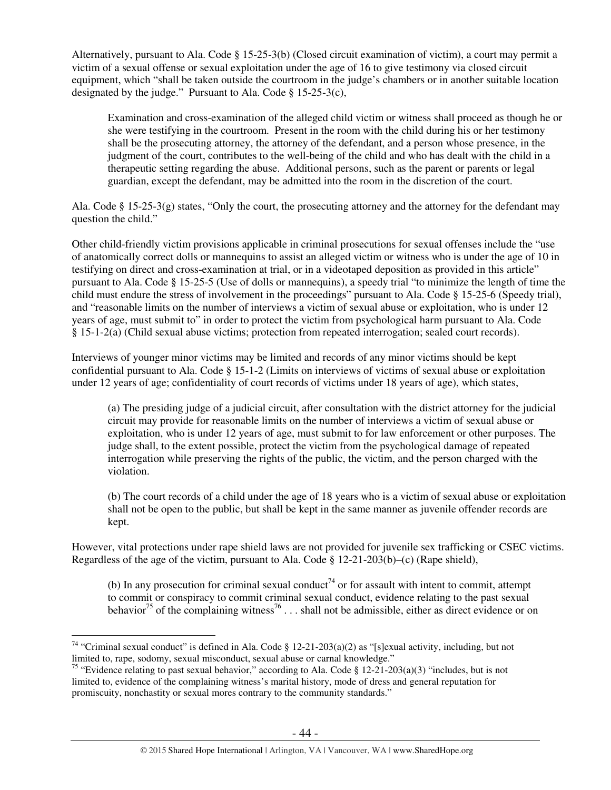Alternatively, pursuant to Ala. Code § 15-25-3(b) (Closed circuit examination of victim), a court may permit a victim of a sexual offense or sexual exploitation under the age of 16 to give testimony via closed circuit equipment, which "shall be taken outside the courtroom in the judge's chambers or in another suitable location designated by the judge." Pursuant to Ala. Code § 15-25-3(c),

Examination and cross-examination of the alleged child victim or witness shall proceed as though he or she were testifying in the courtroom. Present in the room with the child during his or her testimony shall be the prosecuting attorney, the attorney of the defendant, and a person whose presence, in the judgment of the court, contributes to the well-being of the child and who has dealt with the child in a therapeutic setting regarding the abuse. Additional persons, such as the parent or parents or legal guardian, except the defendant, may be admitted into the room in the discretion of the court.

Ala. Code § 15-25-3(g) states, "Only the court, the prosecuting attorney and the attorney for the defendant may question the child."

Other child-friendly victim provisions applicable in criminal prosecutions for sexual offenses include the "use of anatomically correct dolls or mannequins to assist an alleged victim or witness who is under the age of 10 in testifying on direct and cross-examination at trial, or in a videotaped deposition as provided in this article" pursuant to Ala. Code § 15-25-5 (Use of dolls or mannequins), a speedy trial "to minimize the length of time the child must endure the stress of involvement in the proceedings" pursuant to Ala. Code § 15-25-6 (Speedy trial), and "reasonable limits on the number of interviews a victim of sexual abuse or exploitation, who is under 12 years of age, must submit to" in order to protect the victim from psychological harm pursuant to Ala. Code § 15-1-2(a) (Child sexual abuse victims; protection from repeated interrogation; sealed court records).

Interviews of younger minor victims may be limited and records of any minor victims should be kept confidential pursuant to Ala. Code § 15-1-2 (Limits on interviews of victims of sexual abuse or exploitation under 12 years of age; confidentiality of court records of victims under 18 years of age), which states,

(a) The presiding judge of a judicial circuit, after consultation with the district attorney for the judicial circuit may provide for reasonable limits on the number of interviews a victim of sexual abuse or exploitation, who is under 12 years of age, must submit to for law enforcement or other purposes. The judge shall, to the extent possible, protect the victim from the psychological damage of repeated interrogation while preserving the rights of the public, the victim, and the person charged with the violation.

(b) The court records of a child under the age of 18 years who is a victim of sexual abuse or exploitation shall not be open to the public, but shall be kept in the same manner as juvenile offender records are kept.

However, vital protections under rape shield laws are not provided for juvenile sex trafficking or CSEC victims. Regardless of the age of the victim, pursuant to Ala. Code § 12-21-203(b)–(c) (Rape shield),

(b) In any prosecution for criminal sexual conduct<sup>74</sup> or for assault with intent to commit, attempt to commit or conspiracy to commit criminal sexual conduct, evidence relating to the past sexual behavior<sup>75</sup> of the complaining witness<sup>76</sup> . . . shall not be admissible, either as direct evidence or on

 $\overline{a}$ <sup>74</sup> "Criminal sexual conduct" is defined in Ala. Code § 12-21-203(a)(2) as "[s]exual activity, including, but not limited to, rape, sodomy, sexual misconduct, sexual abuse or carnal knowledge."

<sup>&</sup>lt;sup>75</sup> "Evidence relating to past sexual behavior," according to Ala. Code § 12-21-203(a)(3) "includes, but is not limited to, evidence of the complaining witness's marital history, mode of dress and general reputation for promiscuity, nonchastity or sexual mores contrary to the community standards."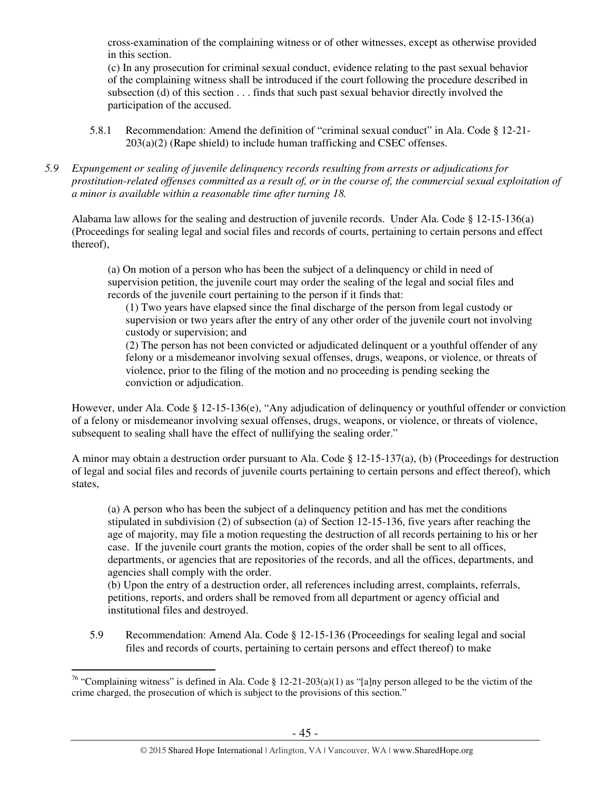cross-examination of the complaining witness or of other witnesses, except as otherwise provided in this section.

(c) In any prosecution for criminal sexual conduct, evidence relating to the past sexual behavior of the complaining witness shall be introduced if the court following the procedure described in subsection (d) of this section . . . finds that such past sexual behavior directly involved the participation of the accused.

- 5.8.1 Recommendation: Amend the definition of "criminal sexual conduct" in Ala. Code § 12-21- 203(a)(2) (Rape shield) to include human trafficking and CSEC offenses.
- *5.9 Expungement or sealing of juvenile delinquency records resulting from arrests or adjudications for prostitution-related offenses committed as a result of, or in the course of, the commercial sexual exploitation of a minor is available within a reasonable time after turning 18.*

Alabama law allows for the sealing and destruction of juvenile records. Under Ala. Code § 12-15-136(a) (Proceedings for sealing legal and social files and records of courts, pertaining to certain persons and effect thereof),

(a) On motion of a person who has been the subject of a delinquency or child in need of supervision petition, the juvenile court may order the sealing of the legal and social files and records of the juvenile court pertaining to the person if it finds that:

(1) Two years have elapsed since the final discharge of the person from legal custody or supervision or two years after the entry of any other order of the juvenile court not involving custody or supervision; and

(2) The person has not been convicted or adjudicated delinquent or a youthful offender of any felony or a misdemeanor involving sexual offenses, drugs, weapons, or violence, or threats of violence, prior to the filing of the motion and no proceeding is pending seeking the conviction or adjudication.

However, under Ala. Code § 12-15-136(e), "Any adjudication of delinquency or youthful offender or conviction of a felony or misdemeanor involving sexual offenses, drugs, weapons, or violence, or threats of violence, subsequent to sealing shall have the effect of nullifying the sealing order."

A minor may obtain a destruction order pursuant to Ala. Code  $\S$  12-15-137(a), (b) (Proceedings for destruction of legal and social files and records of juvenile courts pertaining to certain persons and effect thereof), which states,

(a) A person who has been the subject of a delinquency petition and has met the conditions stipulated in subdivision (2) of subsection (a) of Section 12-15-136, five years after reaching the age of majority, may file a motion requesting the destruction of all records pertaining to his or her case. If the juvenile court grants the motion, copies of the order shall be sent to all offices, departments, or agencies that are repositories of the records, and all the offices, departments, and agencies shall comply with the order.

(b) Upon the entry of a destruction order, all references including arrest, complaints, referrals, petitions, reports, and orders shall be removed from all department or agency official and institutional files and destroyed.

5.9 Recommendation: Amend Ala. Code § 12-15-136 (Proceedings for sealing legal and social files and records of courts, pertaining to certain persons and effect thereof) to make

 $\overline{a}$ <sup>76</sup> "Complaining witness" is defined in Ala. Code § 12-21-203(a)(1) as "[a]ny person alleged to be the victim of the crime charged, the prosecution of which is subject to the provisions of this section."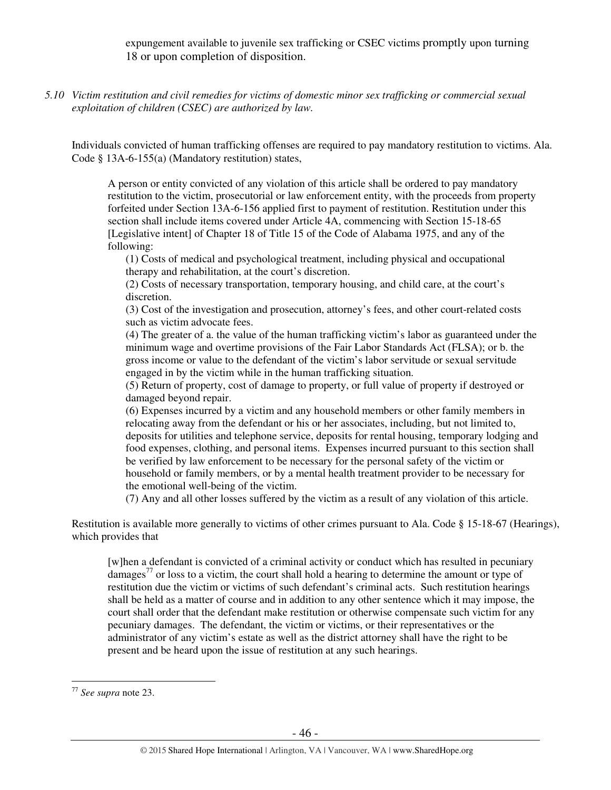expungement available to juvenile sex trafficking or CSEC victims promptly upon turning 18 or upon completion of disposition.

*5.10 Victim restitution and civil remedies for victims of domestic minor sex trafficking or commercial sexual exploitation of children (CSEC) are authorized by law.* 

Individuals convicted of human trafficking offenses are required to pay mandatory restitution to victims. Ala. Code § 13A-6-155(a) (Mandatory restitution) states,

A person or entity convicted of any violation of this article shall be ordered to pay mandatory restitution to the victim, prosecutorial or law enforcement entity, with the proceeds from property forfeited under Section 13A-6-156 applied first to payment of restitution. Restitution under this section shall include items covered under Article 4A, commencing with Section 15-18-65 [Legislative intent] of Chapter 18 of Title 15 of the Code of Alabama 1975, and any of the following:

(1) Costs of medical and psychological treatment, including physical and occupational therapy and rehabilitation, at the court's discretion.

(2) Costs of necessary transportation, temporary housing, and child care, at the court's discretion.

(3) Cost of the investigation and prosecution, attorney's fees, and other court-related costs such as victim advocate fees.

(4) The greater of a. the value of the human trafficking victim's labor as guaranteed under the minimum wage and overtime provisions of the Fair Labor Standards Act (FLSA); or b. the gross income or value to the defendant of the victim's labor servitude or sexual servitude engaged in by the victim while in the human trafficking situation.

(5) Return of property, cost of damage to property, or full value of property if destroyed or damaged beyond repair.

(6) Expenses incurred by a victim and any household members or other family members in relocating away from the defendant or his or her associates, including, but not limited to, deposits for utilities and telephone service, deposits for rental housing, temporary lodging and food expenses, clothing, and personal items. Expenses incurred pursuant to this section shall be verified by law enforcement to be necessary for the personal safety of the victim or household or family members, or by a mental health treatment provider to be necessary for the emotional well-being of the victim.

(7) Any and all other losses suffered by the victim as a result of any violation of this article.

Restitution is available more generally to victims of other crimes pursuant to Ala. Code § 15-18-67 (Hearings), which provides that

[w]hen a defendant is convicted of a criminal activity or conduct which has resulted in pecuniary damages<sup>77</sup> or loss to a victim, the court shall hold a hearing to determine the amount or type of restitution due the victim or victims of such defendant's criminal acts. Such restitution hearings shall be held as a matter of course and in addition to any other sentence which it may impose, the court shall order that the defendant make restitution or otherwise compensate such victim for any pecuniary damages. The defendant, the victim or victims, or their representatives or the administrator of any victim's estate as well as the district attorney shall have the right to be present and be heard upon the issue of restitution at any such hearings.

 $\overline{a}$ 

<sup>77</sup> *See supra* note 23.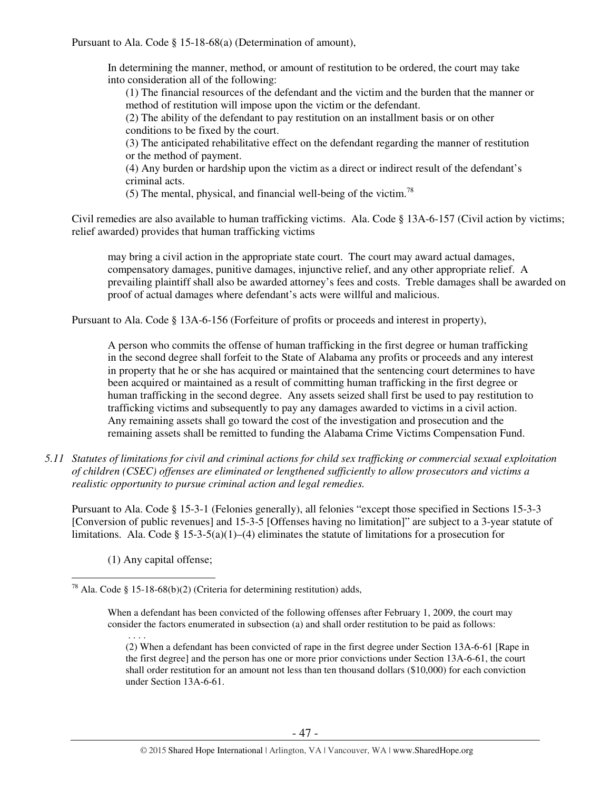Pursuant to Ala. Code § 15-18-68(a) (Determination of amount),

In determining the manner, method, or amount of restitution to be ordered, the court may take into consideration all of the following:

(1) The financial resources of the defendant and the victim and the burden that the manner or method of restitution will impose upon the victim or the defendant.

(2) The ability of the defendant to pay restitution on an installment basis or on other conditions to be fixed by the court.

(3) The anticipated rehabilitative effect on the defendant regarding the manner of restitution or the method of payment.

(4) Any burden or hardship upon the victim as a direct or indirect result of the defendant's criminal acts.

(5) The mental, physical, and financial well-being of the victim.<sup>78</sup>

Civil remedies are also available to human trafficking victims. Ala. Code § 13A-6-157 (Civil action by victims; relief awarded) provides that human trafficking victims

may bring a civil action in the appropriate state court. The court may award actual damages, compensatory damages, punitive damages, injunctive relief, and any other appropriate relief. A prevailing plaintiff shall also be awarded attorney's fees and costs. Treble damages shall be awarded on proof of actual damages where defendant's acts were willful and malicious.

Pursuant to Ala. Code § 13A-6-156 (Forfeiture of profits or proceeds and interest in property),

A person who commits the offense of human trafficking in the first degree or human trafficking in the second degree shall forfeit to the State of Alabama any profits or proceeds and any interest in property that he or she has acquired or maintained that the sentencing court determines to have been acquired or maintained as a result of committing human trafficking in the first degree or human trafficking in the second degree. Any assets seized shall first be used to pay restitution to trafficking victims and subsequently to pay any damages awarded to victims in a civil action. Any remaining assets shall go toward the cost of the investigation and prosecution and the remaining assets shall be remitted to funding the Alabama Crime Victims Compensation Fund.

*5.11 Statutes of limitations for civil and criminal actions for child sex trafficking or commercial sexual exploitation of children (CSEC) offenses are eliminated or lengthened sufficiently to allow prosecutors and victims a realistic opportunity to pursue criminal action and legal remedies.* 

Pursuant to Ala. Code § 15-3-1 (Felonies generally), all felonies "except those specified in Sections 15-3-3 [Conversion of public revenues] and 15-3-5 [Offenses having no limitation]" are subject to a 3-year statute of limitations. Ala. Code § 15-3-5(a)(1)–(4) eliminates the statute of limitations for a prosecution for

(1) Any capital offense;

 $\overline{a}$ 

<sup>&</sup>lt;sup>78</sup> Ala. Code § 15-18-68(b)(2) (Criteria for determining restitution) adds,

When a defendant has been convicted of the following offenses after February 1, 2009, the court may consider the factors enumerated in subsection (a) and shall order restitution to be paid as follows:

 <sup>. . . .</sup>  (2) When a defendant has been convicted of rape in the first degree under Section 13A-6-61 [Rape in the first degree] and the person has one or more prior convictions under Section 13A-6-61, the court shall order restitution for an amount not less than ten thousand dollars (\$10,000) for each conviction under Section 13A-6-61.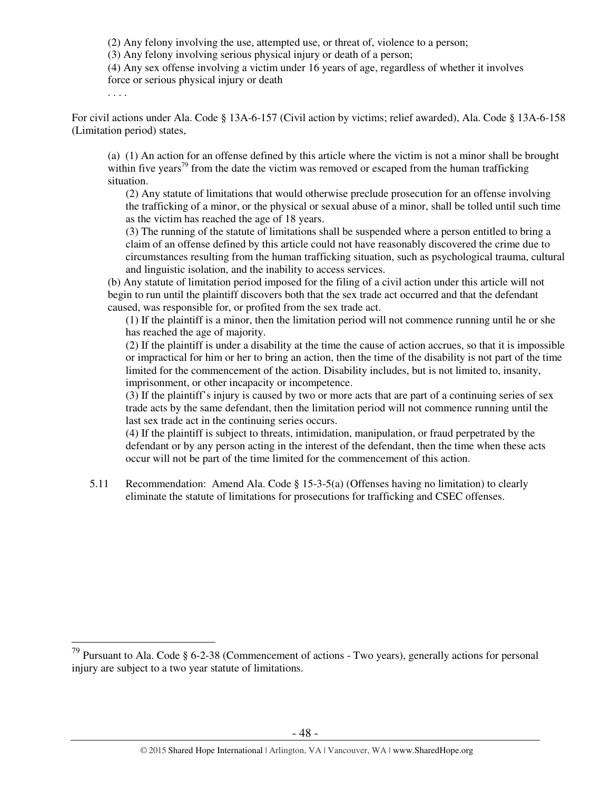(2) Any felony involving the use, attempted use, or threat of, violence to a person;

(3) Any felony involving serious physical injury or death of a person;

(4) Any sex offense involving a victim under 16 years of age, regardless of whether it involves force or serious physical injury or death

. . . .

 $\overline{a}$ 

For civil actions under Ala. Code § 13A-6-157 (Civil action by victims; relief awarded), Ala. Code § 13A-6-158 (Limitation period) states,

(a) (1) An action for an offense defined by this article where the victim is not a minor shall be brought within five years<sup>79</sup> from the date the victim was removed or escaped from the human trafficking situation.

 (2) Any statute of limitations that would otherwise preclude prosecution for an offense involving the trafficking of a minor, or the physical or sexual abuse of a minor, shall be tolled until such time as the victim has reached the age of 18 years.

 (3) The running of the statute of limitations shall be suspended where a person entitled to bring a claim of an offense defined by this article could not have reasonably discovered the crime due to circumstances resulting from the human trafficking situation, such as psychological trauma, cultural and linguistic isolation, and the inability to access services.

(b) Any statute of limitation period imposed for the filing of a civil action under this article will not begin to run until the plaintiff discovers both that the sex trade act occurred and that the defendant caused, was responsible for, or profited from the sex trade act.

 (1) If the plaintiff is a minor, then the limitation period will not commence running until he or she has reached the age of majority.

 (2) If the plaintiff is under a disability at the time the cause of action accrues, so that it is impossible or impractical for him or her to bring an action, then the time of the disability is not part of the time limited for the commencement of the action. Disability includes, but is not limited to, insanity, imprisonment, or other incapacity or incompetence.

 (3) If the plaintiff's injury is caused by two or more acts that are part of a continuing series of sex trade acts by the same defendant, then the limitation period will not commence running until the last sex trade act in the continuing series occurs.

 (4) If the plaintiff is subject to threats, intimidation, manipulation, or fraud perpetrated by the defendant or by any person acting in the interest of the defendant, then the time when these acts occur will not be part of the time limited for the commencement of this action.

5.11 Recommendation: Amend Ala. Code § 15-3-5(a) (Offenses having no limitation) to clearly eliminate the statute of limitations for prosecutions for trafficking and CSEC offenses.

<sup>&</sup>lt;sup>79</sup> Pursuant to Ala. Code § 6-2-38 (Commencement of actions - Two years), generally actions for personal injury are subject to a two year statute of limitations.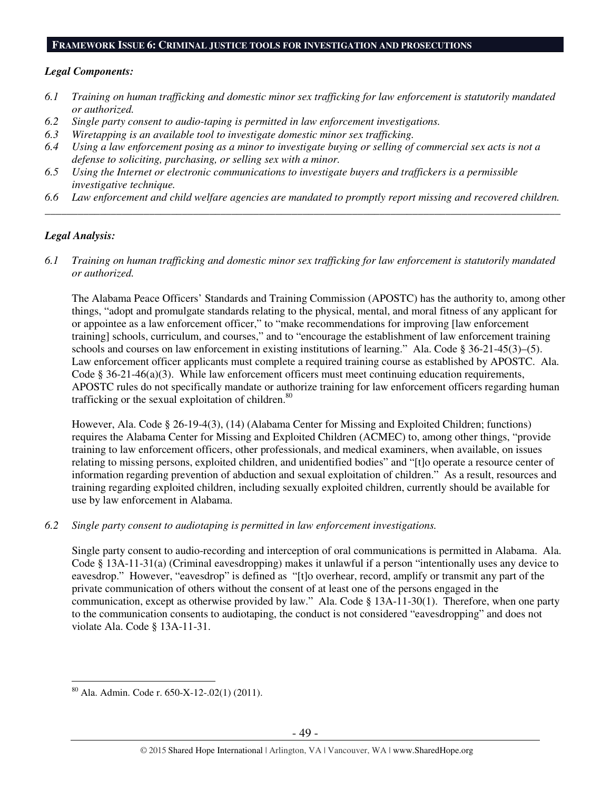#### **FRAMEWORK ISSUE 6: CRIMINAL JUSTICE TOOLS FOR INVESTIGATION AND PROSECUTIONS**

#### *Legal Components:*

- *6.1 Training on human trafficking and domestic minor sex trafficking for law enforcement is statutorily mandated or authorized.*
- *6.2 Single party consent to audio-taping is permitted in law enforcement investigations.*
- *6.3 Wiretapping is an available tool to investigate domestic minor sex trafficking.*
- *6.4 Using a law enforcement posing as a minor to investigate buying or selling of commercial sex acts is not a defense to soliciting, purchasing, or selling sex with a minor.*
- *6.5 Using the Internet or electronic communications to investigate buyers and traffickers is a permissible investigative technique.*
- *6.6 Law enforcement and child welfare agencies are mandated to promptly report missing and recovered children. \_\_\_\_\_\_\_\_\_\_\_\_\_\_\_\_\_\_\_\_\_\_\_\_\_\_\_\_\_\_\_\_\_\_\_\_\_\_\_\_\_\_\_\_\_\_\_\_\_\_\_\_\_\_\_\_\_\_\_\_\_\_\_\_\_\_\_\_\_\_\_\_\_\_\_\_\_\_\_\_\_\_\_\_\_\_\_\_\_\_\_\_\_\_*

# *Legal Analysis:*

*6.1 Training on human trafficking and domestic minor sex trafficking for law enforcement is statutorily mandated or authorized.* 

The Alabama Peace Officers' Standards and Training Commission (APOSTC) has the authority to, among other things, "adopt and promulgate standards relating to the physical, mental, and moral fitness of any applicant for or appointee as a law enforcement officer," to "make recommendations for improving [law enforcement training] schools, curriculum, and courses," and to "encourage the establishment of law enforcement training schools and courses on law enforcement in existing institutions of learning." Ala. Code § 36-21-45(3)–(5). Law enforcement officer applicants must complete a required training course as established by APOSTC. Ala. Code  $\S 36-21-46(a)(3)$ . While law enforcement officers must meet continuing education requirements, APOSTC rules do not specifically mandate or authorize training for law enforcement officers regarding human trafficking or the sexual exploitation of children.<sup>80</sup>

However, Ala. Code § 26-19-4(3), (14) (Alabama Center for Missing and Exploited Children; functions) requires the Alabama Center for Missing and Exploited Children (ACMEC) to, among other things, "provide training to law enforcement officers, other professionals, and medical examiners, when available, on issues relating to missing persons, exploited children, and unidentified bodies" and "[t]o operate a resource center of information regarding prevention of abduction and sexual exploitation of children." As a result, resources and training regarding exploited children, including sexually exploited children, currently should be available for use by law enforcement in Alabama.

# *6.2 Single party consent to audiotaping is permitted in law enforcement investigations.*

Single party consent to audio-recording and interception of oral communications is permitted in Alabama. Ala. Code § 13A-11-31(a) (Criminal eavesdropping) makes it unlawful if a person "intentionally uses any device to eavesdrop." However, "eavesdrop" is defined as "[t]o overhear, record, amplify or transmit any part of the private communication of others without the consent of at least one of the persons engaged in the communication, except as otherwise provided by law." Ala. Code § 13A-11-30(1). Therefore, when one party to the communication consents to audiotaping, the conduct is not considered "eavesdropping" and does not violate Ala. Code § 13A-11-31.

 $\overline{a}$ <sup>80</sup> Ala. Admin. Code r. 650-X-12-.02(1) (2011).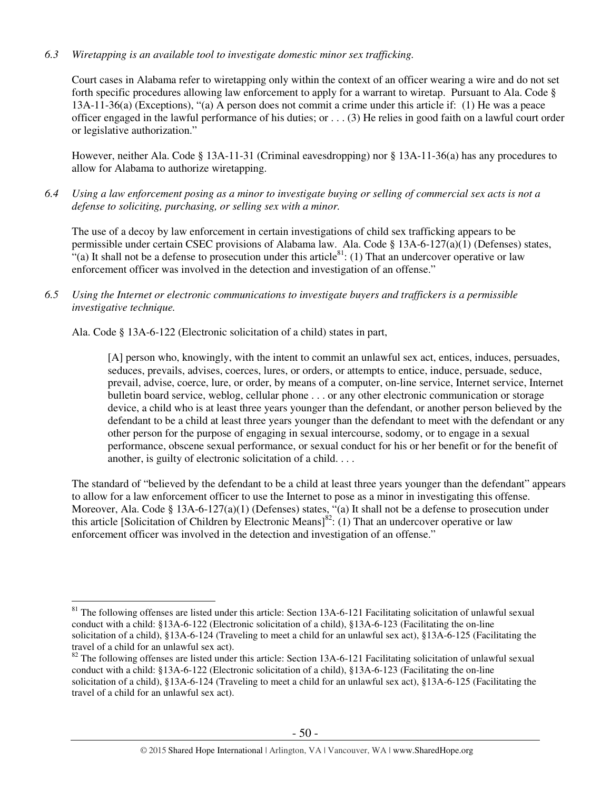# *6.3 Wiretapping is an available tool to investigate domestic minor sex trafficking.*

Court cases in Alabama refer to wiretapping only within the context of an officer wearing a wire and do not set forth specific procedures allowing law enforcement to apply for a warrant to wiretap. Pursuant to Ala. Code § 13A-11-36(a) (Exceptions), "(a) A person does not commit a crime under this article if: (1) He was a peace officer engaged in the lawful performance of his duties; or . . . (3) He relies in good faith on a lawful court order or legislative authorization."

However, neither Ala. Code § 13A-11-31 (Criminal eavesdropping) nor § 13A-11-36(a) has any procedures to allow for Alabama to authorize wiretapping.

*6.4 Using a law enforcement posing as a minor to investigate buying or selling of commercial sex acts is not a defense to soliciting, purchasing, or selling sex with a minor.* 

The use of a decoy by law enforcement in certain investigations of child sex trafficking appears to be permissible under certain CSEC provisions of Alabama law. Ala. Code § 13A-6-127(a)(1) (Defenses) states,  $\cdot$ <sup>4</sup>(a) It shall not be a defense to prosecution under this article<sup>81</sup>: (1) That an undercover operative or law enforcement officer was involved in the detection and investigation of an offense."

*6.5 Using the Internet or electronic communications to investigate buyers and traffickers is a permissible investigative technique.* 

Ala. Code § 13A-6-122 (Electronic solicitation of a child) states in part,

[A] person who, knowingly, with the intent to commit an unlawful sex act, entices, induces, persuades, seduces, prevails, advises, coerces, lures, or orders, or attempts to entice, induce, persuade, seduce, prevail, advise, coerce, lure, or order, by means of a computer, on-line service, Internet service, Internet bulletin board service, weblog, cellular phone . . . or any other electronic communication or storage device, a child who is at least three years younger than the defendant, or another person believed by the defendant to be a child at least three years younger than the defendant to meet with the defendant or any other person for the purpose of engaging in sexual intercourse, sodomy, or to engage in a sexual performance, obscene sexual performance, or sexual conduct for his or her benefit or for the benefit of another, is guilty of electronic solicitation of a child. . . .

The standard of "believed by the defendant to be a child at least three years younger than the defendant" appears to allow for a law enforcement officer to use the Internet to pose as a minor in investigating this offense. Moreover, Ala. Code § 13A-6-127(a)(1) (Defenses) states, "(a) It shall not be a defense to prosecution under this article [Solicitation of Children by Electronic Means]<sup>82</sup>: (1) That an undercover operative or law enforcement officer was involved in the detection and investigation of an offense."

 $\overline{a}$ <sup>81</sup> The following offenses are listed under this article: Section 13A-6-121 Facilitating solicitation of unlawful sexual conduct with a child: §13A-6-122 (Electronic solicitation of a child), §13A-6-123 (Facilitating the on-line solicitation of a child), §13A-6-124 (Traveling to meet a child for an unlawful sex act), §13A-6-125 (Facilitating the travel of a child for an unlawful sex act).

 $82$  The following offenses are listed under this article: Section 13A-6-121 Facilitating solicitation of unlawful sexual conduct with a child: §13A-6-122 (Electronic solicitation of a child), §13A-6-123 (Facilitating the on-line solicitation of a child), §13A-6-124 (Traveling to meet a child for an unlawful sex act), §13A-6-125 (Facilitating the travel of a child for an unlawful sex act).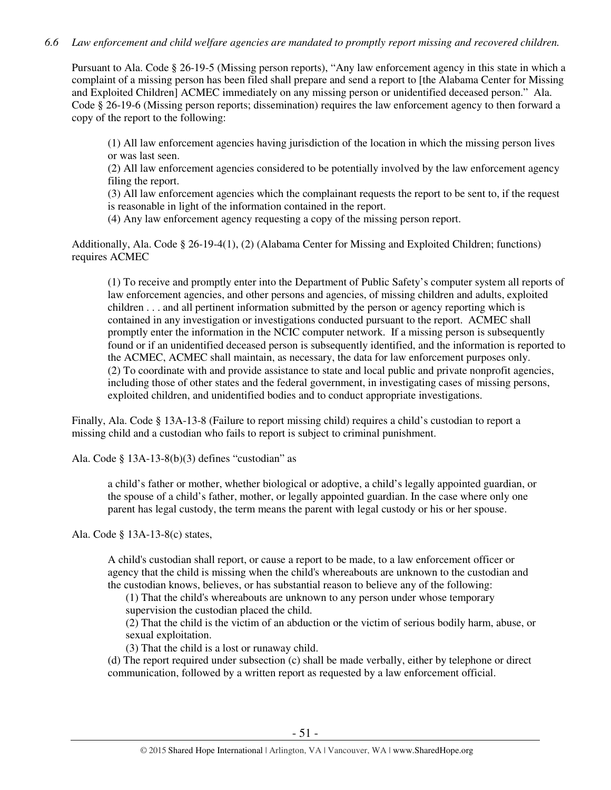# *6.6 Law enforcement and child welfare agencies are mandated to promptly report missing and recovered children.*

Pursuant to Ala. Code § 26-19-5 (Missing person reports), "Any law enforcement agency in this state in which a complaint of a missing person has been filed shall prepare and send a report to [the Alabama Center for Missing and Exploited Children] ACMEC immediately on any missing person or unidentified deceased person." Ala. Code § 26-19-6 (Missing person reports; dissemination) requires the law enforcement agency to then forward a copy of the report to the following:

(1) All law enforcement agencies having jurisdiction of the location in which the missing person lives or was last seen.

(2) All law enforcement agencies considered to be potentially involved by the law enforcement agency filing the report.

(3) All law enforcement agencies which the complainant requests the report to be sent to, if the request is reasonable in light of the information contained in the report.

(4) Any law enforcement agency requesting a copy of the missing person report.

Additionally, Ala. Code § 26-19-4(1), (2) (Alabama Center for Missing and Exploited Children; functions) requires ACMEC

(1) To receive and promptly enter into the Department of Public Safety's computer system all reports of law enforcement agencies, and other persons and agencies, of missing children and adults, exploited children . . . and all pertinent information submitted by the person or agency reporting which is contained in any investigation or investigations conducted pursuant to the report. ACMEC shall promptly enter the information in the NCIC computer network. If a missing person is subsequently found or if an unidentified deceased person is subsequently identified, and the information is reported to the ACMEC, ACMEC shall maintain, as necessary, the data for law enforcement purposes only. (2) To coordinate with and provide assistance to state and local public and private nonprofit agencies, including those of other states and the federal government, in investigating cases of missing persons, exploited children, and unidentified bodies and to conduct appropriate investigations.

Finally, Ala. Code § 13A-13-8 (Failure to report missing child) requires a child's custodian to report a missing child and a custodian who fails to report is subject to criminal punishment.

Ala. Code § 13A-13-8(b)(3) defines "custodian" as

a child's father or mother, whether biological or adoptive, a child's legally appointed guardian, or the spouse of a child's father, mother, or legally appointed guardian. In the case where only one parent has legal custody, the term means the parent with legal custody or his or her spouse.

Ala. Code § 13A-13-8(c) states,

A child's custodian shall report, or cause a report to be made, to a law enforcement officer or agency that the child is missing when the child's whereabouts are unknown to the custodian and the custodian knows, believes, or has substantial reason to believe any of the following:

(1) That the child's whereabouts are unknown to any person under whose temporary supervision the custodian placed the child.

(2) That the child is the victim of an abduction or the victim of serious bodily harm, abuse, or sexual exploitation.

(3) That the child is a lost or runaway child.

(d) The report required under subsection (c) shall be made verbally, either by telephone or direct communication, followed by a written report as requested by a law enforcement official.